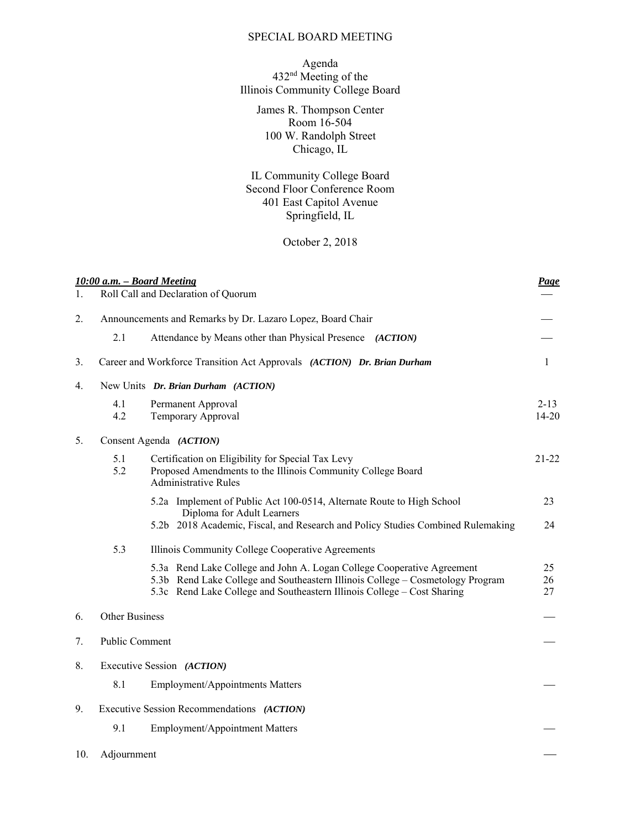## SPECIAL BOARD MEETING

## Agenda 432<sup>nd</sup> Meeting of the Illinois Community College Board

James R. Thompson Center Room 16-504 100 W. Randolph Street Chicago, IL

IL Community College Board Second Floor Conference Room 401 East Capitol Avenue Springfield, IL

## October 2, 2018

|     |                       | 10:00 a.m. - Board Meeting                                                                                                                                                                                                          | Page                  |
|-----|-----------------------|-------------------------------------------------------------------------------------------------------------------------------------------------------------------------------------------------------------------------------------|-----------------------|
| 1.  |                       | Roll Call and Declaration of Quorum                                                                                                                                                                                                 |                       |
| 2.  |                       | Announcements and Remarks by Dr. Lazaro Lopez, Board Chair                                                                                                                                                                          |                       |
|     | 2.1                   | Attendance by Means other than Physical Presence (ACTION)                                                                                                                                                                           |                       |
| 3.  |                       | Career and Workforce Transition Act Approvals (ACTION) Dr. Brian Durham                                                                                                                                                             | $\mathbf{1}$          |
| 4.  |                       | New Units Dr. Brian Durham (ACTION)                                                                                                                                                                                                 |                       |
|     | 4.1<br>4.2            | Permanent Approval<br>Temporary Approval                                                                                                                                                                                            | $2 - 13$<br>$14 - 20$ |
| 5.  |                       | Consent Agenda (ACTION)                                                                                                                                                                                                             |                       |
|     | 5.1<br>5.2            | Certification on Eligibility for Special Tax Levy<br>Proposed Amendments to the Illinois Community College Board<br><b>Administrative Rules</b>                                                                                     | $21 - 22$             |
|     |                       | 5.2a Implement of Public Act 100-0514, Alternate Route to High School                                                                                                                                                               | 23                    |
|     |                       | Diploma for Adult Learners<br>5.2b 2018 Academic, Fiscal, and Research and Policy Studies Combined Rulemaking                                                                                                                       | 24                    |
|     | 5.3                   | Illinois Community College Cooperative Agreements                                                                                                                                                                                   |                       |
|     |                       | 5.3a Rend Lake College and John A. Logan College Cooperative Agreement<br>5.3b Rend Lake College and Southeastern Illinois College - Cosmetology Program<br>5.3c Rend Lake College and Southeastern Illinois College - Cost Sharing | 25<br>26<br>27        |
| 6.  | <b>Other Business</b> |                                                                                                                                                                                                                                     |                       |
| 7.  | Public Comment        |                                                                                                                                                                                                                                     |                       |
| 8.  |                       | Executive Session (ACTION)                                                                                                                                                                                                          |                       |
|     | 8.1                   | Employment/Appointments Matters                                                                                                                                                                                                     |                       |
| 9.  |                       | Executive Session Recommendations (ACTION)                                                                                                                                                                                          |                       |
|     | 9.1                   | Employment/Appointment Matters                                                                                                                                                                                                      |                       |
| 10. | Adjournment           |                                                                                                                                                                                                                                     |                       |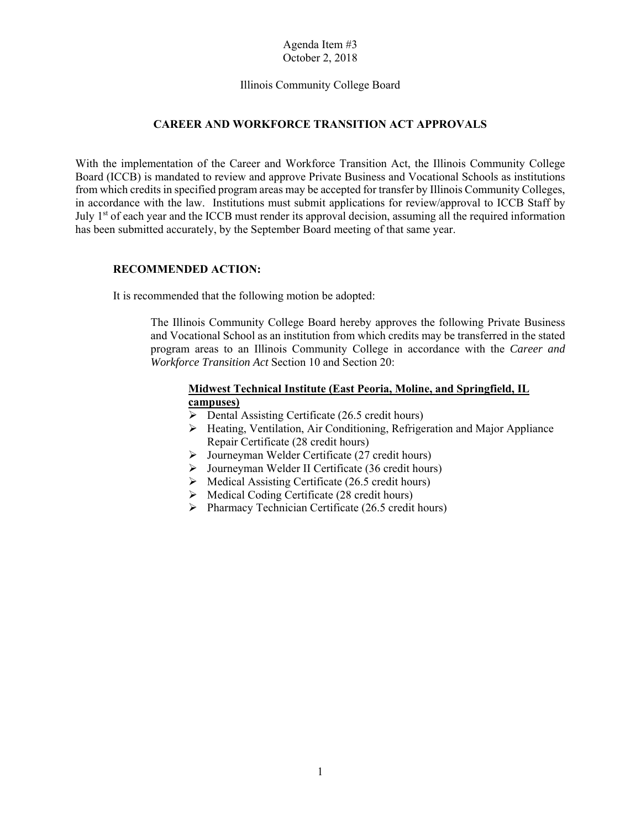### Illinois Community College Board

## **CAREER AND WORKFORCE TRANSITION ACT APPROVALS**

 from which credits in specified program areas may be accepted for transfer by Illinois Community Colleges, in accordance with the law. Institutions must submit applications for review/approval to ICCB Staff by With the implementation of the Career and Workforce Transition Act, the Illinois Community College Board (ICCB) is mandated to review and approve Private Business and Vocational Schools as institutions July  $1<sup>st</sup>$  of each year and the ICCB must render its approval decision, assuming all the required information has been submitted accurately, by the September Board meeting of that same year.

#### **RECOMMENDED ACTION:**

It is recommended that the following motion be adopted:

 The Illinois Community College Board hereby approves the following Private Business program areas to an Illinois Community College in accordance with the *Career and*  and Vocational School as an institution from which credits may be transferred in the stated *Workforce Transition Act* Section 10 and Section 20:

## **Midwest Technical Institute (East Peoria, Moline, and Springfield, IL campuses)**

- $\triangleright$  Dental Assisting Certificate (26.5 credit hours)
- Heating, Ventilation, Air Conditioning, Refrigeration and Major Appliance Repair Certificate (28 credit hours)
- Journeyman Welder Certificate (27 credit hours)
- $\triangleright$  Journeyman Welder II Certificate (36 credit hours)
- $\triangleright$  Medical Assisting Certificate (26.5 credit hours)
- $\triangleright$  Medical Coding Certificate (28 credit hours)
- $\triangleright$  Pharmacy Technician Certificate (26.5 credit hours)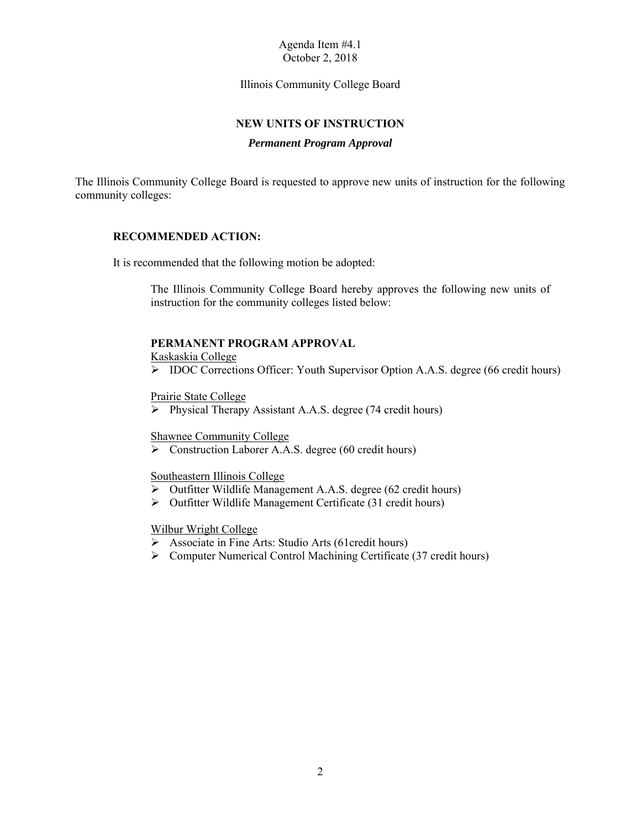Illinois Community College Board

## **NEW UNITS OF INSTRUCTION**

#### *Permanent Program Approval*

The Illinois Community College Board is requested to approve new units of instruction for the following community colleges:

### **RECOMMENDED ACTION:**

It is recommended that the following motion be adopted:

 The Illinois Community College Board hereby approves the following new units of instruction for the community colleges listed below:

#### **PERMANENT PROGRAM APPROVAL**

Kaskaskia College

IDOC Corrections Officer: Youth Supervisor Option A.A.S. degree (66 credit hours)

Prairie State College

 $\triangleright$  Physical Therapy Assistant A.A.S. degree (74 credit hours)

Shawnee Community College

Construction Laborer A.A.S. degree (60 credit hours)

#### Southeastern Illinois College

- Outfitter Wildlife Management A.A.S. degree (62 credit hours)
- $\triangleright$  Outfitter Wildlife Management Certificate (31 credit hours)

#### Wilbur Wright College

- Associate in Fine Arts: Studio Arts (61credit hours)
- $\triangleright$  Computer Numerical Control Machining Certificate (37 credit hours)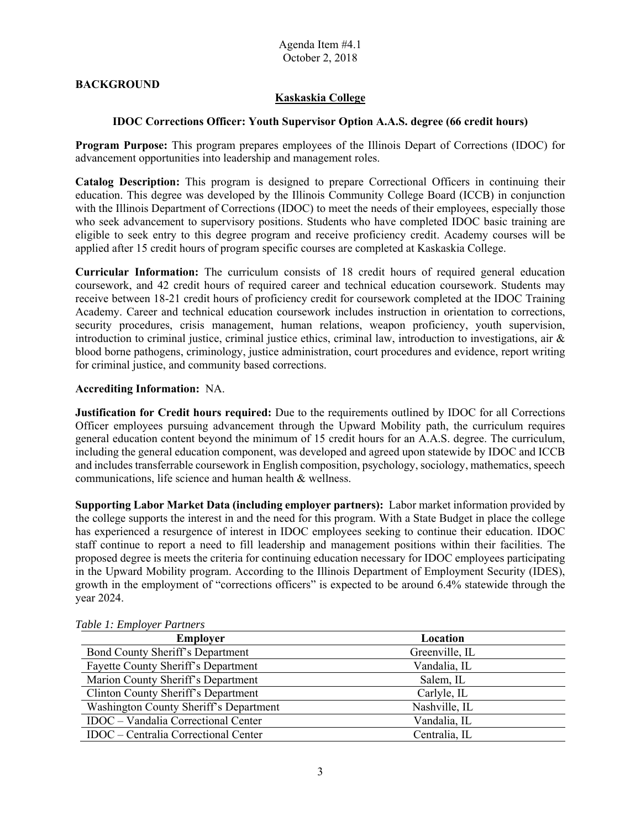## **BACKGROUND**

## **Kaskaskia College**

## **IDOC Corrections Officer: Youth Supervisor Option A.A.S. degree (66 credit hours)**

 advancement opportunities into leadership and management roles. **Program Purpose:** This program prepares employees of the Illinois Depart of Corrections (IDOC) for

 **Catalog Description:** This program is designed to prepare Correctional Officers in continuing their who seek advancement to supervisory positions. Students who have completed IDOC basic training are education. This degree was developed by the Illinois Community College Board (ICCB) in conjunction with the Illinois Department of Corrections (IDOC) to meet the needs of their employees, especially those eligible to seek entry to this degree program and receive proficiency credit. Academy courses will be applied after 15 credit hours of program specific courses are completed at Kaskaskia College.

 **Curricular Information:** The curriculum consists of 18 credit hours of required general education coursework, and 42 credit hours of required career and technical education coursework. Students may receive between 18-21 credit hours of proficiency credit for coursework completed at the IDOC Training Academy. Career and technical education coursework includes instruction in orientation to corrections, security procedures, crisis management, human relations, weapon proficiency, youth supervision, introduction to criminal justice, criminal justice ethics, criminal law, introduction to investigations, air & blood borne pathogens, criminology, justice administration, court procedures and evidence, report writing for criminal justice, and community based corrections.

#### **Accrediting Information:** NA.

**Justification for Credit hours required:** Due to the requirements outlined by IDOC for all Corrections Officer employees pursuing advancement through the Upward Mobility path, the curriculum requires general education content beyond the minimum of 15 credit hours for an A.A.S. degree. The curriculum, including the general education component, was developed and agreed upon statewide by IDOC and ICCB and includes transferrable coursework in English composition, psychology, sociology, mathematics, speech communications, life science and human health & wellness.

 **Supporting Labor Market Data (including employer partners):** Labor market information provided by the college supports the interest in and the need for this program. With a State Budget in place the college has experienced a resurgence of interest in IDOC employees seeking to continue their education. IDOC staff continue to report a need to fill leadership and management positions within their facilities. The proposed degree is meets the criteria for continuing education necessary for IDOC employees participating in the Upward Mobility program. According to the Illinois Department of Employment Security (IDES), growth in th e employment of "corrections officers" is expected to be around 6.4% statewide through the year 2024.

| t avie 1: Employer Pariners                |                |  |
|--------------------------------------------|----------------|--|
| <b>Employer</b>                            | Location       |  |
| Bond County Sheriff's Department           | Greenville, IL |  |
| Fayette County Sheriff's Department        | Vandalia, IL   |  |
| Marion County Sheriff's Department         | Salem, IL      |  |
| Clinton County Sheriff's Department        | Carlyle, IL    |  |
| Washington County Sheriff's Department     | Nashville, IL  |  |
| <b>IDOC</b> – Vandalia Correctional Center | Vandalia, IL   |  |
| IDOC – Centralia Correctional Center       | Centralia, IL  |  |

## *Table 1: Employer Partners*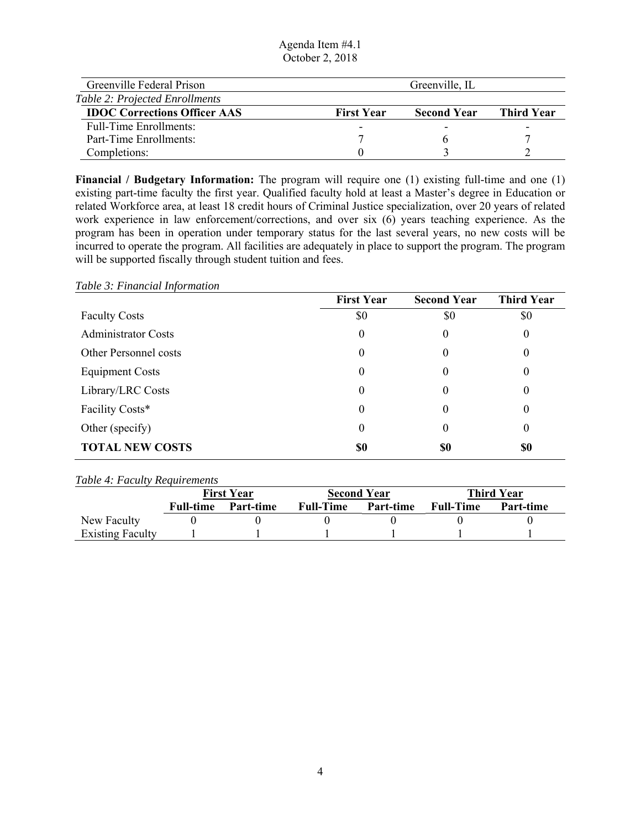Agenda Item #4.1 October 2, 2018

| Greenville Federal Prison             |                   | Greenville, IL     |            |
|---------------------------------------|-------------------|--------------------|------------|
| <b>Table 2: Projected Enrollments</b> |                   |                    |            |
| <b>IDOC Corrections Officer AAS</b>   | <b>First Year</b> | <b>Second Year</b> | Third Year |
| Full-Time Enrollments:                | -                 | -                  |            |
| Part-Time Enrollments:                |                   |                    |            |
| Completions:                          |                   |                    |            |

 existing part-time faculty the first year. Qualified faculty hold at least a Master's degree in Education or **Financial / Budgetary Information:** The program will require one (1) existing full-time and one (1) related Workforce area, at least 18 credit hours of Criminal Justice specialization, over 20 years of related work experience in law enforcement/corrections, and over six  $(6)$  years teaching experience. As the program has been in operation under temporary status for the last several years, no new costs will be incurred to operate the program. All facilities are adequately in place to support the program. The program will be supported fiscally through student tuition and fees.

#### *Table 3: Financial Information*

|                            | <b>First Year</b> | <b>Second Year</b> | <b>Third Year</b> |
|----------------------------|-------------------|--------------------|-------------------|
| <b>Faculty Costs</b>       | \$0               | \$0                | \$0               |
| <b>Administrator Costs</b> | $\overline{0}$    | $\theta$           | 0                 |
| Other Personnel costs      | 0                 | 0                  | $\theta$          |
| <b>Equipment Costs</b>     | 0                 | $\theta$           | $\theta$          |
| Library/LRC Costs          | 0                 | $\boldsymbol{0}$   | 0                 |
| Facility Costs*            | 0                 | $\theta$           | $\theta$          |
| Other (specify)            | 0                 | 0                  | $\theta$          |
| <b>TOTAL NEW COSTS</b>     | \$0               | \$0                | \$0               |

#### *Table 4: Faculty Requirements*

|                         | <b>First Year</b> |           |                  | <b>Second Year</b> |                  | <b>Third Year</b> |  |
|-------------------------|-------------------|-----------|------------------|--------------------|------------------|-------------------|--|
|                         | <b>Full-time</b>  | Part-time | <b>Full-Time</b> | <b>Part-time</b>   | <b>Full-Time</b> | Part-time         |  |
| New Faculty             |                   |           |                  |                    |                  |                   |  |
| <b>Existing Faculty</b> |                   |           |                  |                    |                  |                   |  |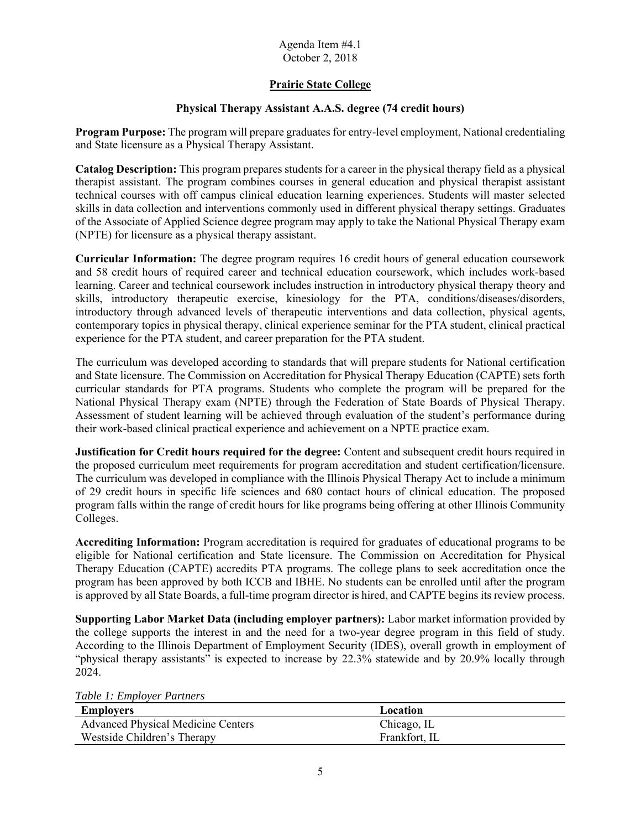## **Prairie State College**

## **Physical Therapy Assistant A.A.S. degree (74 credit hours)**

**Program Purpose:** The program will prepare graduates for entry-level employment, National credentialing and State licensure as a Physical Therapy Assistant.

 **Catalog Description:** This program prepares students for a career in the physical therapy field as a physical of the Associate of Applied Science degree program may apply to take the National Physical Therapy exam therapist assistant. The program combines courses in general education and physical therapist assistant technical courses with off campus clinical education learning experiences. Students will master selected skills in data collection and interventions commonly used in different physical therapy settings. Graduates (NPTE) for licensure as a physical therapy assistant.

 skills, introductory therapeutic exercise, kinesiology for the PTA, conditions/diseases/disorders, **Curricular Information:** The degree program requires 16 credit hours of general education coursework and 58 credit hours of required career and technical education coursework, which includes work-based learning. Career and technical coursework includes instruction in introductory physical therapy theory and introductory through advanced levels of therapeutic interventions and data collection, physical agents, contemporary topics in physical therapy, clinical experience seminar for the PTA student, clinical practical experience for the PTA student, and career preparation for the PTA student.

The curriculum was developed according to standards that will prepare students for National certification and State licensure. The Commission on Accreditation for Physical Therapy Education (CAPTE) sets forth curricular standards for PTA programs. Students who complete the program will be prepared for the National Physical Therapy exam (NPTE) through the Federation of State Boards of Physical Therapy. Assessment of student learning will be achieved through evaluation of the student's performance during their work-based clinical practical experience and achievement on a NPTE practice exam.

**Justification for Credit hours required for the degree:** Content and subsequent credit hours required in the proposed curriculum meet requirements for program accreditation and student certification/licensure. The curriculum was developed in compliance with the Illinois Physical Therapy Act to include a minimum of 29 credit hours in specific life sciences and 680 contact hours of clinical education. The proposed program falls within the range of credit hours for like programs being offering at other Illinois Community Colleges.

 is approved by all State Boards, a full-time program director is hired, and CAPTE begins its review process. **Accrediting Information:** Program accreditation is required for graduates of educational programs to be eligible for National certification and State licensure. The Commission on Accreditation for Physical Therapy Education (CAPTE) accredits PTA programs. The college plans to seek accreditation once the program has been approved by both ICCB and IBHE. No students can be enrolled until after the program

 According to the Illinois Department of Employment Security (IDES), overall growth in employment of "physical therapy assistants" is expected to increase by 22.3% statewide and by 20.9% locally through **Supporting Labor Market Data (including employer partners):** Labor market information provided by the college supports the interest in and the need for a two-year degree program in this field of study. 2024.

|  |  |  |  | Table 1: Employer Partners |
|--|--|--|--|----------------------------|
|--|--|--|--|----------------------------|

| Employers                                 | Location      |
|-------------------------------------------|---------------|
| <b>Advanced Physical Medicine Centers</b> | Chicago, IL   |
| Westside Children's Therapy               | Frankfort. IL |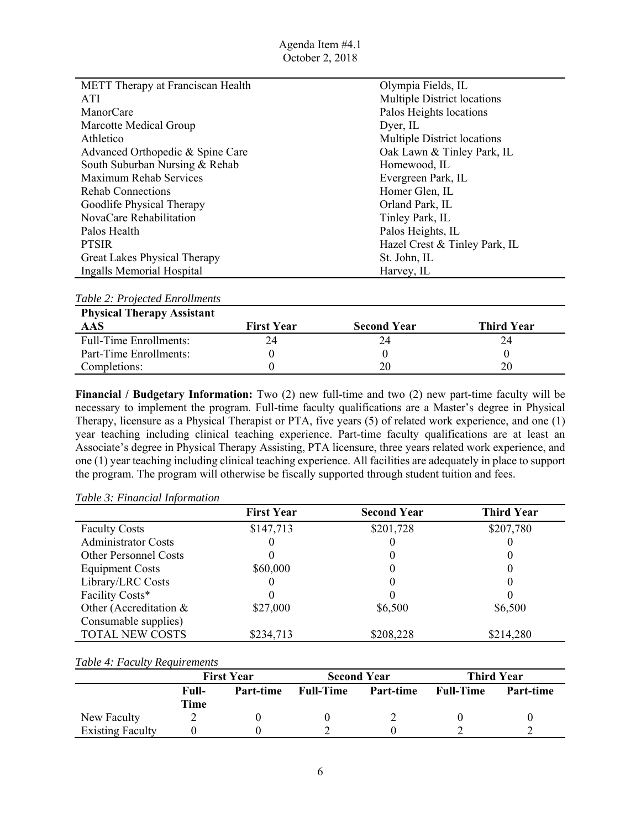| METT Therapy at Franciscan Health | Olympia Fields, IL                 |
|-----------------------------------|------------------------------------|
| ATI                               | Multiple District locations        |
| ManorCare                         | Palos Heights locations            |
| Marcotte Medical Group            | Dyer, IL                           |
| Athletico                         | <b>Multiple District locations</b> |
| Advanced Orthopedic & Spine Care  | Oak Lawn & Tinley Park, IL         |
| South Suburban Nursing & Rehab    | Homewood, IL                       |
| Maximum Rehab Services            | Evergreen Park, IL                 |
| Rehab Connections                 | Homer Glen, IL                     |
| Goodlife Physical Therapy         | Orland Park, IL                    |
| NovaCare Rehabilitation           | Tinley Park, IL                    |
| Palos Health                      | Palos Heights, IL                  |
| <b>PTSIR</b>                      | Hazel Crest & Tinley Park, IL      |
| Great Lakes Physical Therapy      | St. John, IL                       |
| Ingalls Memorial Hospital         | Harvey, IL                         |

| <b>Physical Therapy Assistant</b> |                   |                    |            |  |  |  |
|-----------------------------------|-------------------|--------------------|------------|--|--|--|
| <b>AAS</b>                        | <b>First Year</b> | <b>Second Year</b> | Third Year |  |  |  |
| <b>Full-Time Enrollments:</b>     | 24                | 24                 | 24         |  |  |  |
| Part-Time Enrollments:            |                   |                    |            |  |  |  |
| Completions:                      |                   |                    | 20         |  |  |  |

 year teaching including clinical teaching experience. Part-time faculty qualifications are at least an **Financial / Budgetary Information:** Two (2) new full-time and two (2) new part-time faculty will be necessary to implement the program. Full-time faculty qualifications are a Master's degree in Physical Therapy, licensure as a Physical Therapist or PTA, five years (5) of related work experience, and one (1) Associate's degree in Physical Therapy Assisting, PTA licensure, three years related work experience, and one (1) year teaching including clinical teaching experience. All facilities are adequately in place to support the program. The program will otherwise be fiscally supported through student tuition and fees.

#### *Table 3: Financial Information*

|                              | <b>First Year</b> | <b>Second Year</b> | <b>Third Year</b> |
|------------------------------|-------------------|--------------------|-------------------|
| <b>Faculty Costs</b>         | \$147,713         | \$201,728          | \$207,780         |
| <b>Administrator Costs</b>   |                   |                    |                   |
| <b>Other Personnel Costs</b> |                   |                    |                   |
| <b>Equipment Costs</b>       | \$60,000          |                    |                   |
| Library/LRC Costs            |                   | U                  |                   |
| Facility Costs*              |                   |                    |                   |
| Other (Accreditation &       | \$27,000          | \$6,500            | \$6,500           |
| Consumable supplies)         |                   |                    |                   |
| <b>TOTAL NEW COSTS</b>       | \$234,713         | \$208,228          | \$214,280         |

#### *Table 4: Faculty Requirements*

|                         | <b>First Year</b> |           | <b>Second Year</b> |           | <b>Third Year</b> |           |
|-------------------------|-------------------|-----------|--------------------|-----------|-------------------|-----------|
|                         | Full-<br>Time     | Part-time | <b>Full-Time</b>   | Part-time | <b>Full-Time</b>  | Part-time |
| New Faculty             |                   |           |                    |           |                   |           |
| <b>Existing Faculty</b> |                   |           |                    |           |                   |           |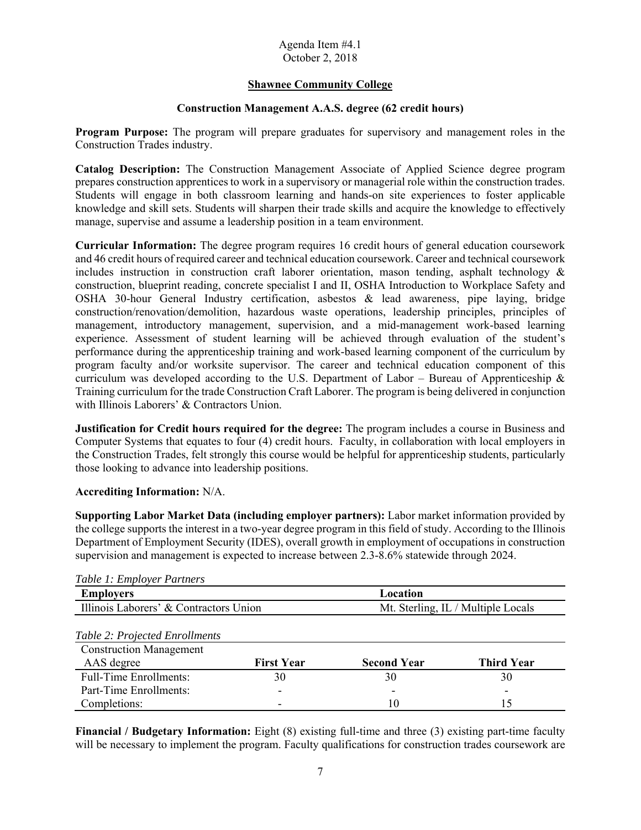## **Shawnee Community College**

## **Construction Management A.A.S. degree (62 credit hours)**

 Construction Trades industry. **Program Purpose:** The program will prepare graduates for supervisory and management roles in the

 prepares construction apprentices to work in a supervisory or managerial role within the construction trades. **Catalog Description:** The Construction Management Associate of Applied Science degree program Students will engage in both classroom learning and hands-on site experiences to foster applicable knowledge and skill sets. Students will sharpen their trade skills and acquire the knowledge to effectively manage, supervise and assume a leadership position in a team environment.

 construction, blueprint reading, concrete specialist I and II, OSHA Introduction to Workplace Safety and program faculty and/or worksite supervisor. The career and technical education component of this **Curricular Information:** The degree program requires 16 credit hours of general education coursework and 46 credit hours of required career and technical education coursework. Career and technical coursework includes instruction in construction craft laborer orientation, mason tending, asphalt technology  $\&$ OSHA 30-hour General Industry certification, asbestos & lead awareness, pipe laying, bridge construction/renovation/demolition, hazardous waste operations, leadership principles, principles of management, introductory management, supervision, and a mid-management work-based learning experience. Assessment of student learning will be achieved through evaluation of the student's performance during the apprenticeship training and work-based learning component of the curriculum by curriculum was developed according to the U.S. Department of Labor – Bureau of Apprenticeship  $\&$ Training curriculum for the trade Construction Craft Laborer. The program is being delivered in conjunction with Illinois Laborers' & Contractors Union.

 the Construction Trades, felt strongly this course would be helpful for apprenticeship students, particularly **Justification for Credit hours required for the degree:** The program includes a course in Business and Computer Systems that equates to four (4) credit hours. Faculty, in collaboration with local employers in those looking to advance into leadership positions.

### **Accrediting Information:** N/A.

 the college supports the interest in a two-year degree program in this field of study. According to the Illinois **Supporting Labor Market Data (including employer partners):** Labor market information provided by Department of Employment Security (IDES), overall growth in employment of occupations in construction supervision and management is expected to increase between 2.3-8.6% statewide through 2024.

| Table 1. Employer I armers             |                   |                                    |                   |  |  |
|----------------------------------------|-------------------|------------------------------------|-------------------|--|--|
| <b>Employers</b>                       |                   | Location                           |                   |  |  |
| Illinois Laborers' & Contractors Union |                   | Mt. Sterling, IL / Multiple Locals |                   |  |  |
| Table 2: Projected Enrollments         |                   |                                    |                   |  |  |
| <b>Construction Management</b>         |                   |                                    |                   |  |  |
| AAS degree                             | <b>First Year</b> | <b>Second Year</b>                 | <b>Third Year</b> |  |  |
| <b>Full-Time Enrollments:</b>          | 30                | 30                                 | 30                |  |  |
| Part-Time Enrollments:                 | -                 | $\overline{\phantom{0}}$           | -                 |  |  |

### *Table 1: Employer Partners*

**Financial / Budgetary Information:** Eight (8) existing full-time and three (3) existing part-time faculty will be necessary to implement the program. Faculty qualifications for construction trades coursework are

Completions: 10 15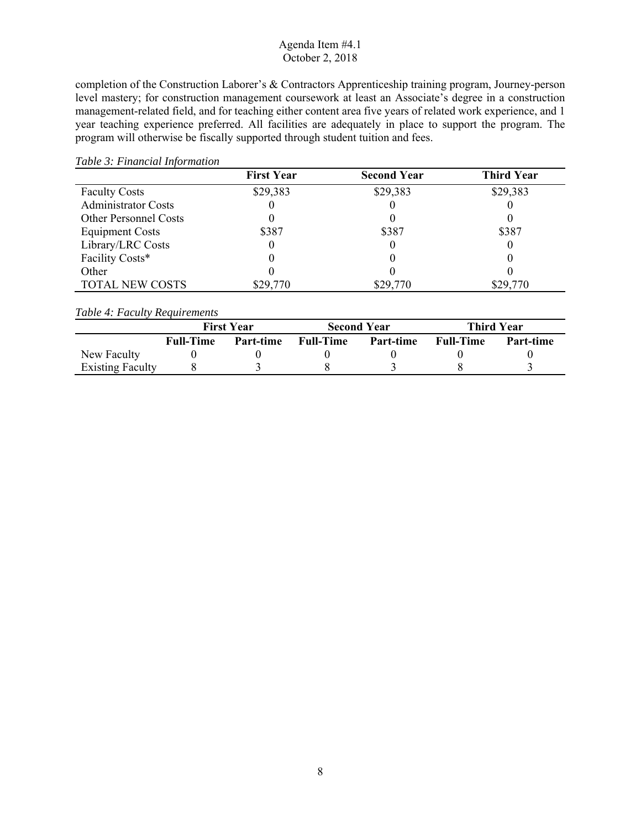completion of the Construction Laborer's & Contractors Apprenticeship training program, Journey-person level mastery; for construction management coursework at least an Associate's degree in a construction management-related field, and for teaching either content area five years of related work experience, and 1 year teaching experience preferred. All facilities are adequately in place to support the program. The program will otherwise be fiscally supported through student tuition and fees.

#### *Table 3: Financial Information*

|                              | <b>First Year</b> | <b>Second Year</b> | <b>Third Year</b> |
|------------------------------|-------------------|--------------------|-------------------|
| <b>Faculty Costs</b>         | \$29,383          | \$29,383           | \$29,383          |
| <b>Administrator Costs</b>   |                   |                    |                   |
| <b>Other Personnel Costs</b> |                   |                    |                   |
| <b>Equipment Costs</b>       | \$387             | \$387              | \$387             |
| Library/LRC Costs            |                   |                    |                   |
| Facility Costs*              |                   |                    |                   |
| Other                        |                   |                    |                   |
| TOTAL NEW COSTS              | \$29,770          | \$29,770           | \$29,770          |

## *Table 4: Faculty Requirements*

|                         |                  | <b>First Year</b> |                  | <b>Second Year</b> |                  | <b>Third Year</b> |
|-------------------------|------------------|-------------------|------------------|--------------------|------------------|-------------------|
|                         | <b>Full-Time</b> | Part-time         | <b>Full-Time</b> | Part-time          | <b>Full-Time</b> | Part-time         |
| New Faculty             |                  |                   |                  |                    |                  |                   |
| <b>Existing Faculty</b> |                  |                   |                  |                    |                  |                   |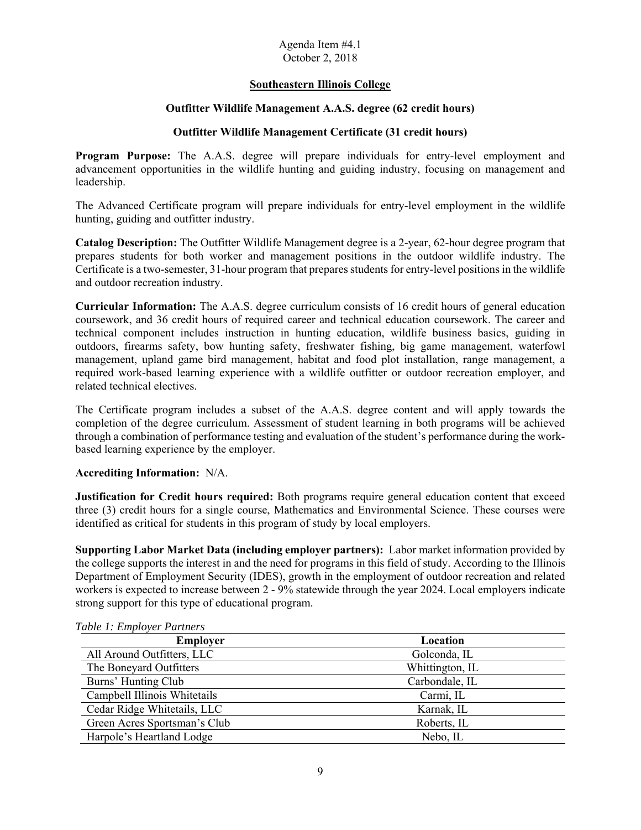## **Southeastern Illinois College**

## **Outfitter Wildlife Management A.A.S. degree (62 credit hours)**

## **Outfitter Wildlife Management Certificate (31 credit hours)**

**Program Purpose:** The A.A.S. degree will prepare individuals for entry-level employment and advancement opportunities in the wildlife hunting and guiding industry, focusing on management and leadership.

 hunting, guiding and outfitter industry. The Advanced Certificate program will prepare individuals for entry-level employment in the wildlife

**Catalog Description:** The Outfitter Wildlife Management degree is a 2-year, 62-hour degree program that prepares students for both worker and management positions in the outdoor wildlife industry. The Certificate is a two-semester, 31-hour program that prepares students for entry-level positions in the wildlife and outdoor recreation industry.

**Curricular Information:** The A.A.S. degree curriculum consists of 16 credit hours of general education coursework, and 36 credit hours of required career and technical education coursework. The career and technical component includes instruction in hunting education, wildlife business basics, guiding in outdoors, firearms safety, bow hunting safety, freshwater fishing, big game management, waterfowl management, upland game bird management, habitat and food plot installation, range management, a required work-based learning experience with a wildlife outfitter or outdoor recreation employer, and related technical electives.

The Certificate program includes a subset of the A.A.S. degree content and will apply towards the completion of the degree curriculum. Assessment of student learning in both programs will be achieved through a combination of performance testing and evaluation of the student's performance during the workbased learning experience by the employer.

### **Accrediting Information:** N/A.

**Justification for Credit hours required:** Both programs require general education content that exceed three (3) credit hours for a single course, Mathematics and Environmental Science. These courses were identified as critical for students in this program of study by local employers.

 **Supporting Labor Market Data (including employer partners):** Labor market information provided by the college supports the interest in and the need for programs in this field of study. According to the Illinois workers is expected to increase between 2 - 9% statewide through the year 2024. Local employers indicate Department of Employment Security (IDES), growth in the employment of outdoor recreation and related strong support for this type of educational program.

| cavie 1: Employer Pariners   |                 |
|------------------------------|-----------------|
| <b>Employer</b>              | Location        |
| All Around Outfitters, LLC   | Golconda, IL    |
| The Boneyard Outfitters      | Whittington, IL |
| Burns' Hunting Club          | Carbondale, IL  |
| Campbell Illinois Whitetails | Carmi, IL       |
| Cedar Ridge Whitetails, LLC  | Karnak, IL      |
| Green Acres Sportsman's Club | Roberts, IL     |
| Harpole's Heartland Lodge    | Nebo, IL        |

*Table 1: Employer Partners*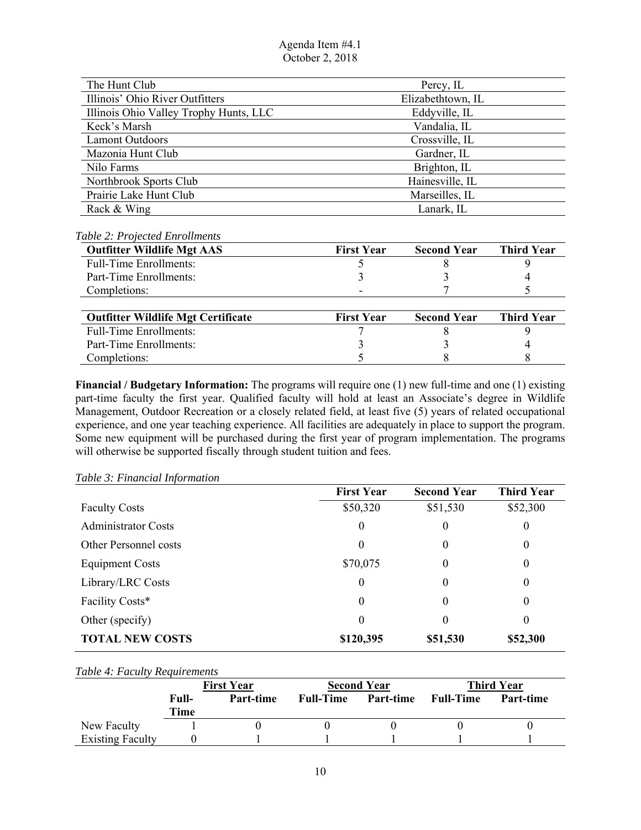| The Hunt Club                          | Percy, IL         |
|----------------------------------------|-------------------|
| Illinois' Ohio River Outfitters        | Elizabethtown, IL |
| Illinois Ohio Valley Trophy Hunts, LLC | Eddyville, IL     |
| Keck's Marsh                           | Vandalia, IL      |
| <b>Lamont Outdoors</b>                 | Crossville, IL    |
| Mazonia Hunt Club                      | Gardner, IL       |
| Nilo Farms                             | Brighton, IL      |
| Northbrook Sports Club                 | Hainesville, IL   |
| Prairie Lake Hunt Club                 | Marseilles, IL    |
| Rack & Wing                            | Lanark, IL        |

### *Table 2: Projected Enrollments*

| <b>Outfitter Wildlife Mgt AAS</b>         | <b>First Year</b> | <b>Second Year</b> | <b>Third Year</b> |
|-------------------------------------------|-------------------|--------------------|-------------------|
| <b>Full-Time Enrollments:</b>             |                   |                    |                   |
| Part-Time Enrollments:                    |                   |                    |                   |
| Completions:                              |                   |                    |                   |
|                                           |                   |                    |                   |
| <b>Outfitter Wildlife Mgt Certificate</b> | <b>First Year</b> | <b>Second Year</b> | <b>Third Year</b> |
| <b>Full-Time Enrollments:</b>             |                   |                    |                   |
| Part-Time Enrollments:                    |                   |                    |                   |
| Completions:                              |                   |                    |                   |

 part-time faculty the first year. Qualified faculty will hold at least an Associate's degree in Wildlife **Financial / Budgetary Information:** The programs will require one (1) new full-time and one (1) existing Management, Outdoor Recreation or a closely related field, at least five (5) years of related occupational experience, and one year teaching experience. All facilities are adequately in place to support the program. Some new equipment will be purchased during the first year of program implementation. The programs will otherwise be supported fiscally through student tuition and fees.

|                            | <b>First Year</b>            | <b>Second Year</b> | <b>Third Year</b> |
|----------------------------|------------------------------|--------------------|-------------------|
| <b>Faculty Costs</b>       | \$50,320                     | \$51,530           | \$52,300          |
| <b>Administrator Costs</b> | $\boldsymbol{0}$<br>$\theta$ |                    | $\boldsymbol{0}$  |
| Other Personnel costs      | $\theta$                     | 0                  | $\boldsymbol{0}$  |
| <b>Equipment Costs</b>     | \$70,075                     | 0                  | $\boldsymbol{0}$  |
| Library/LRC Costs          | $\theta$                     | $\theta$           | 0                 |
| Facility Costs*            | $\theta$                     | $\theta$           | 0                 |
| Other (specify)            | $\theta$                     | $\theta$           | 0                 |
| <b>TOTAL NEW COSTS</b>     | \$120,395                    | \$51,530           | \$52,300          |

## *Table 3: Financial Information*

#### *Table 4: Faculty Requirements*

|                         |       | <b>First Year</b> |                  | <b>Second Year</b> |                  | <b>Third Year</b> |
|-------------------------|-------|-------------------|------------------|--------------------|------------------|-------------------|
|                         | Full- | Part-time         | <b>Full-Time</b> | Part-time          | <b>Full-Time</b> | Part-time         |
|                         | Time  |                   |                  |                    |                  |                   |
| New Faculty             |       |                   |                  |                    |                  |                   |
| <b>Existing Faculty</b> |       |                   |                  |                    |                  |                   |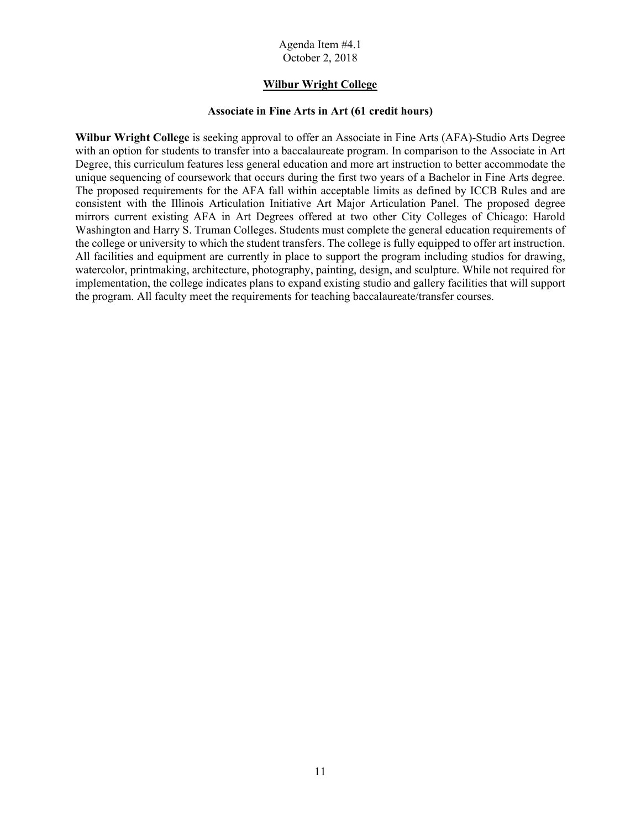### **Wilbur Wright College**

#### **Associate in Fine Arts in Art (61 credit hours)**

 implementation, the college indicates plans to expand existing studio and gallery facilities that will support **Wilbur Wright College** is seeking approval to offer an Associate in Fine Arts (AFA)-Studio Arts Degree with an option for students to transfer into a baccalaureate program. In comparison to the Associate in Art Degree, this curriculum features less general education and more art instruction to better accommodate the unique sequencing of coursework that occurs during the first two years of a Bachelor in Fine Arts degree. The proposed requirements for the AFA fall within acceptable limits as defined by ICCB Rules and are consistent with the Illinois Articulation Initiative Art Major Articulation Panel. The proposed degree mirrors current existing AFA in Art Degrees offered at two other City Colleges of Chicago: Harold Washington and Harry S. Truman Colleges. Students must complete the general education requirements of the college or university to which the student transfers. The college is fully equipped to offer art instruction. All facilities and equipment are currently in place to support the program including studios for drawing, watercolor, printmaking, architecture, photography, painting, design, and sculpture. While not required for the program. All faculty meet the requirements for teaching baccalaureate/transfer courses.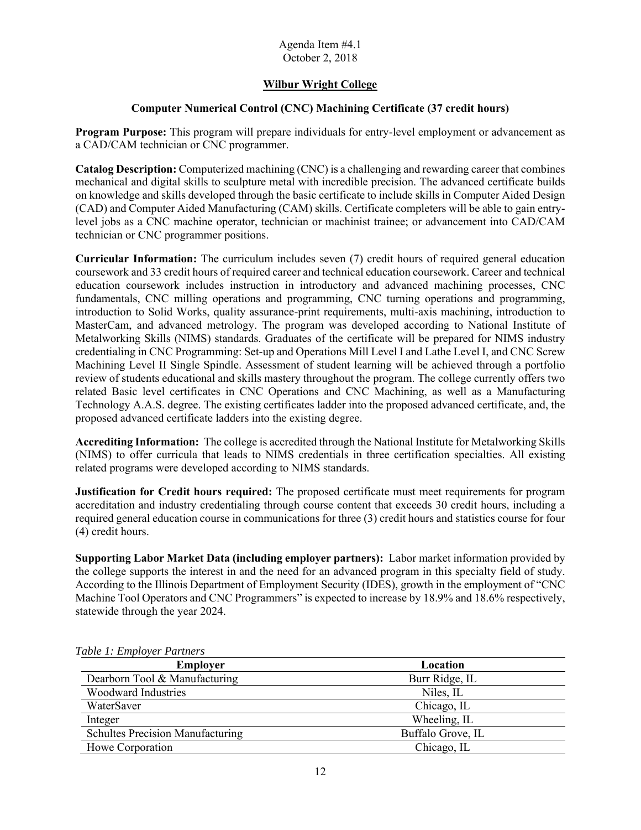## **Wilbur Wright College**

## **Computer Numerical Control (CNC) Machining Certificate (37 credit hours)**

**Program Purpose:** This program will prepare individuals for entry-level employment or advancement as a CAD/CAM technician or CNC programmer.

**Catalog Description:** Computerized machining (CNC) is a challenging and rewarding career that combines mechanical and digital skills to sculpture metal with incredible precision. The advanced certificate builds on knowledge and skills developed through the basic certificate to include skills in Computer Aided Design (CAD) and Computer Aided Manufacturing (CAM) skills. Certificate completers will be able to gain entrylevel jobs as a CNC machine operator, technician or machinist trainee; or advancement into CAD/CAM technician or CNC programmer positions.

 introduction to Solid Works, quality assurance-print requirements, multi-axis machining, introduction to MasterCam, and advanced metrology. The program was developed according to National Institute of review of students educational and skills mastery throughout the program. The college currently offers two proposed advanced certificate ladders into the existing degree. **Curricular Information:** The curriculum includes seven (7) credit hours of required general education coursework and 33 credit hours of required career and technical education coursework. Career and technical education coursework includes instruction in introductory and advanced machining processes, CNC fundamentals, CNC milling operations and programming, CNC turning operations and programming, Metalworking Skills (NIMS) standards. Graduates of the certificate will be prepared for NIMS industry credentialing in CNC Programming: Set-up and Operations Mill Level I and Lathe Level I, and CNC Screw Machining Level II Single Spindle. Assessment of student learning will be achieved through a portfolio related Basic level certificates in CNC Operations and CNC Machining, as well as a Manufacturing Technology A.A.S. degree. The existing certificates ladder into the proposed advanced certificate, and, the

 **Accrediting Information:** The college is accredited through the National Institute for Metalworking Skills (NIMS) to offer curricula that leads to NIMS credentials in three certification specialties. All existing related programs were developed according to NIMS standards.

**Justification for Credit hours required:** The proposed certificate must meet requirements for program accreditation and industry credentialing through course content that exceeds 30 credit hours, including a required general education course in communications for three (3) credit hours and statistics course for four (4) credit hours.

 **Supporting Labor Market Data (including employer partners):** Labor market information provided by Machine Tool Operators and CNC Programmers" is expected to increase by 18.9% and 18.6% respectively, the college supports the interest in and the need for an advanced program in this specialty field of study. According to the Illinois Department of Employment Security (IDES), growth in the employment of "CNC statewide through the year 2024.

| <b>Employer</b>                         | Location          |
|-----------------------------------------|-------------------|
| Dearborn Tool & Manufacturing           | Burr Ridge, IL    |
| <b>Woodward Industries</b>              | Niles, IL         |
| WaterSaver                              | Chicago, IL       |
| Integer                                 | Wheeling, IL      |
| <b>Schultes Precision Manufacturing</b> | Buffalo Grove, IL |
| Howe Corporation                        | Chicago, IL       |

 *Table 1: Employer Partners*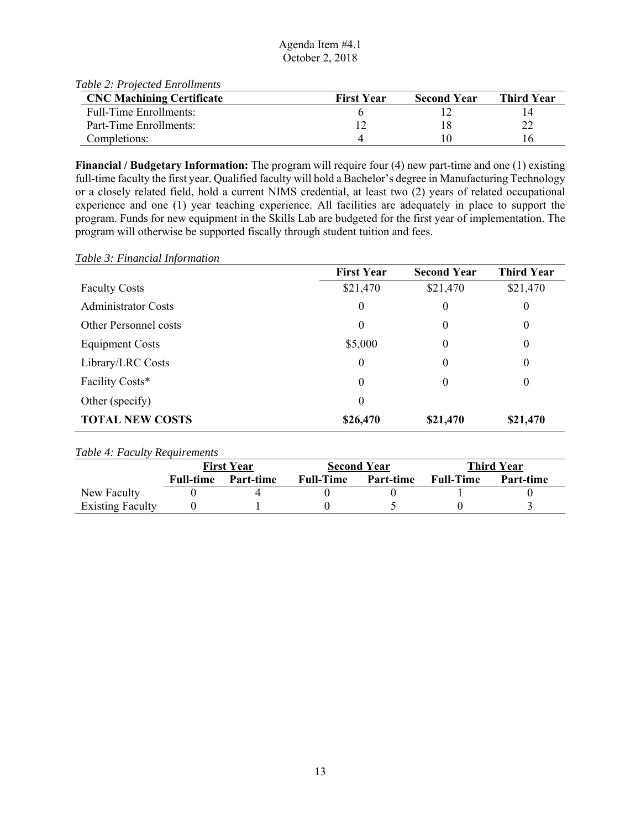| Table 2: Projected Enrollments   |                   |                    |                   |
|----------------------------------|-------------------|--------------------|-------------------|
| <b>CNC Machining Certificate</b> | <b>First Year</b> | <b>Second Year</b> | <b>Third Year</b> |
| <b>Full-Time Enrollments:</b>    |                   |                    |                   |
| Part-Time Enrollments:           |                   |                    |                   |
| Completions:                     |                   |                    | l 6               |

 full-time faculty the first year. Qualified faculty will hold a Bachelor's degree in Manufacturing Technology **Financial / Budgetary Information:** The program will require four (4) new part-time and one (1) existing or a closely related field, hold a current NIMS credential, at least two (2) years of related occupational experience and one (1) year teaching experience. All facilities are adequately in place to support the program. Funds for new equipment in the Skills Lab are budgeted for the first year of implementation. The program will otherwise be supported fiscally through student tuition and fees.

*Table 3: Financial Information* 

|                            | <b>First Year</b> | <b>Second Year</b> | <b>Third Year</b> |
|----------------------------|-------------------|--------------------|-------------------|
| <b>Faculty Costs</b>       | \$21,470          | \$21,470           | \$21,470          |
| <b>Administrator Costs</b> | $\boldsymbol{0}$  | $\boldsymbol{0}$   | $\boldsymbol{0}$  |
| Other Personnel costs      | $\boldsymbol{0}$  | $\boldsymbol{0}$   | $\overline{0}$    |
| <b>Equipment Costs</b>     | \$5,000           | 0                  | $\theta$          |
| Library/LRC Costs          | 0<br>0            |                    | $\overline{0}$    |
| Facility Costs*            | $\theta$          | $\theta$           | $\theta$          |
| Other (specify)            | $\theta$          |                    |                   |
| <b>TOTAL NEW COSTS</b>     | \$26,470          | \$21,470           | \$21,470          |

#### *Table 4: Faculty Requirements*

|                         | <b>First Year</b> |           |                  | <b>Second Year</b> | <b>Third Year</b> |           |  |
|-------------------------|-------------------|-----------|------------------|--------------------|-------------------|-----------|--|
|                         | <b>Full-time</b>  | Part-time | <b>Full-Time</b> | Part-time          | <b>Full-Time</b>  | Part-time |  |
| New Faculty             |                   |           |                  |                    |                   |           |  |
| <b>Existing Faculty</b> |                   |           |                  |                    |                   |           |  |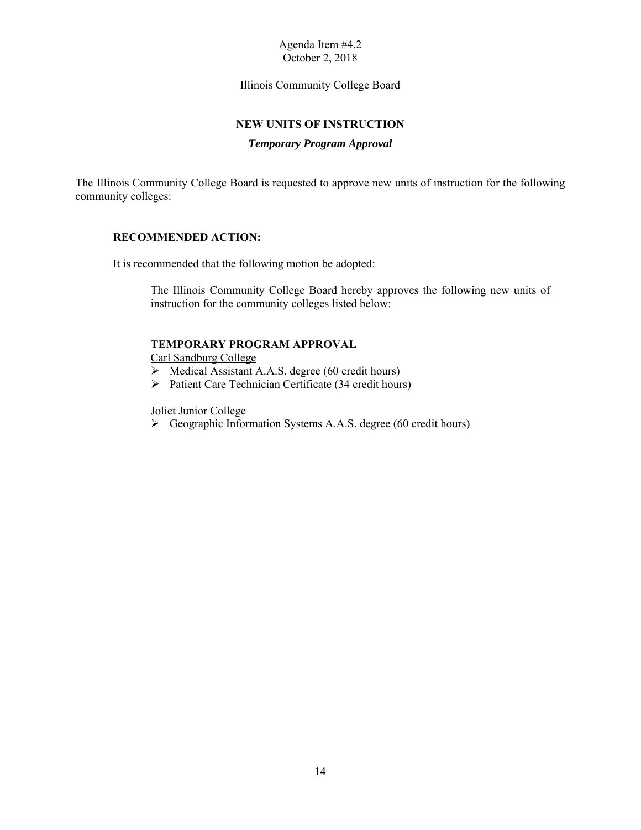Illinois Community College Board

### **NEW UNITS OF INSTRUCTION**

## *Temporary Program Approval*

The Illinois Community College Board is requested to approve new units of instruction for the following community colleges:

#### **RECOMMENDED ACTION:**

It is recommended that the following motion be adopted:

 The Illinois Community College Board hereby approves the following new units of instruction for the community colleges listed below:

#### **TEMPORARY PROGRAM APPROVAL**

Carl Sandburg College

- $\triangleright$  Medical Assistant A.A.S. degree (60 credit hours)
- $\triangleright$  Patient Care Technician Certificate (34 credit hours)

Joliet Junior College

Geographic Information Systems A.A.S. degree (60 credit hours)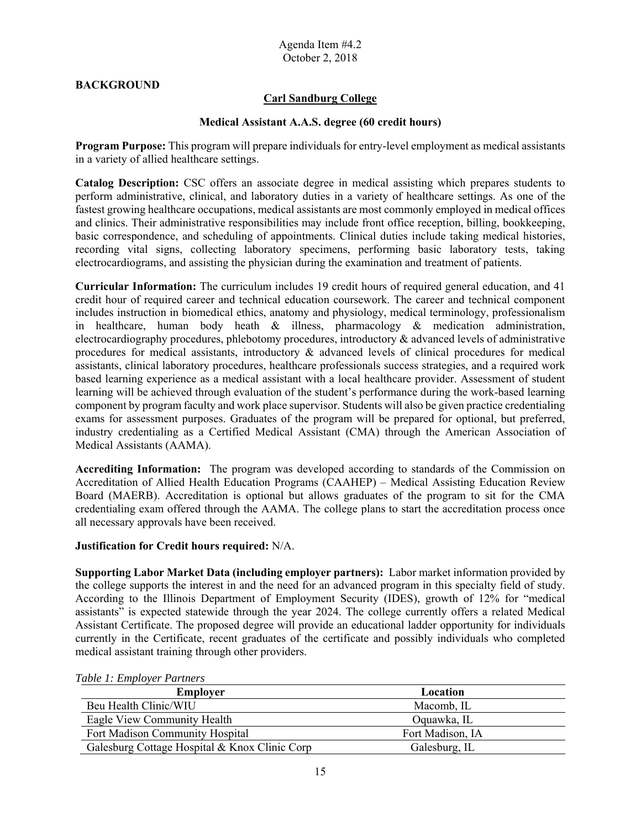### **BACKGROUND**

## **Carl Sandburg College**

#### **Medical Assistant A.A.S. degree (60 credit hours)**

**Program Purpose:** This program will prepare individuals for entry-level employment as medical assistants in a variety of allied healthcare settings.

 perform administrative, clinical, and laboratory duties in a variety of healthcare settings. As one of the **Catalog Description:** CSC offers an associate degree in medical assisting which prepares students to fastest growing healthcare occupations, medical assistants are most commonly employed in medical offices and clinics. Their administrative responsibilities may include front office reception, billing, bookkeeping, basic correspondence, and scheduling of appointments. Clinical duties include taking medical histories, recording vital signs, collecting laboratory specimens, performing basic laboratory tests, taking electrocardiograms, and assisting the physician during the examination and treatment of patients.

 in healthcare, human body heath & illness, pharmacology & medication administration, electrocardiography procedures, phlebotomy procedures, introductory & advanced levels of administrative procedures for medical assistants, introductory & advanced levels of clinical procedures for medical component by program faculty and work place supervisor. Students will also be given practice credentialing exams for assessment purposes. Graduates of the program will be prepared for optional, but preferred, **Curricular Information:** The curriculum includes 19 credit hours of required general education, and 41 credit hour of required career and technical education coursework. The career and technical component includes instruction in biomedical ethics, anatomy and physiology, medical terminology, professionalism assistants, clinical laboratory procedures, healthcare professionals success strategies, and a required work based learning experience as a medical assistant with a local healthcare provider. Assessment of student learning will be achieved through evaluation of the student's performance during the work-based learning industry credentialing as a Certified Medical Assistant (CMA) through the American Association of Medical Assistants (AAMA).

 **Accrediting Information:** The program was developed according to standards of the Commission on credentialing exam offered through the AAMA. The college plans to start the accreditation process once Accreditation of Allied Health Education Programs (CAAHEP) – Medical Assisting Education Review Board (MAERB). Accreditation is optional but allows graduates of the program to sit for the CMA all necessary approvals have been received.

#### **Justification for Credit hours required:** N/A.

 **Supporting Labor Market Data (including employer partners):** Labor market information provided by Assistant Certificate. The proposed degree will provide an educational ladder opportunity for individuals currently in the Certificate, recent graduates of the certificate and possibly individuals who completed the college supports the interest in and the need for an advanced program in this specialty field of study. According to the Illinois Department of Employment Security (IDES), growth of 12% for "medical assistants" is expected statewide through the year 2024. The college currently offers a related Medical medical assistant training through other providers.

| Twore 1. Employer I amend<br><b>Employer</b>  | Location         |
|-----------------------------------------------|------------------|
| Beu Health Clinic/WIU                         | Macomb, IL       |
| Eagle View Community Health                   | Oquawka, IL      |
| Fort Madison Community Hospital               | Fort Madison, IA |
| Galesburg Cottage Hospital & Knox Clinic Corp | Galesburg, IL    |

 *Table 1: Employer Partners*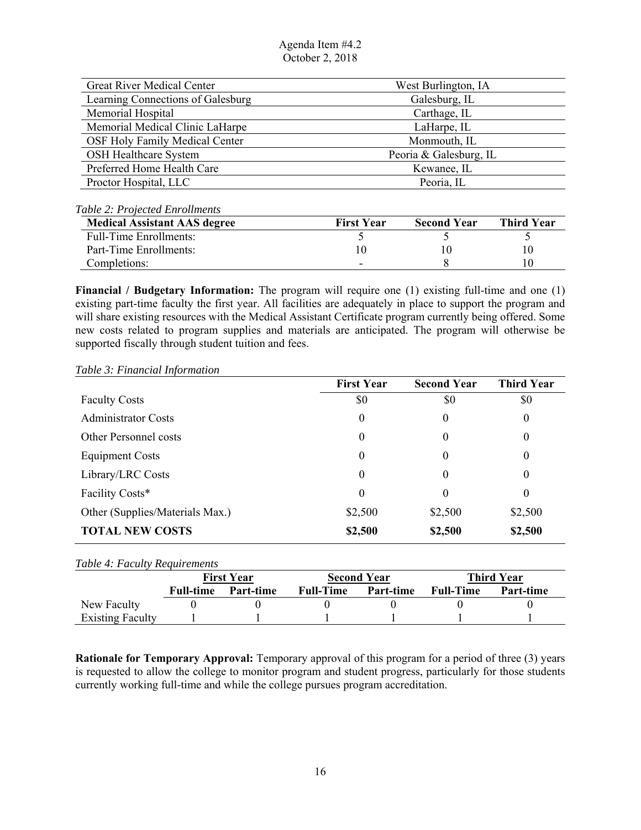| <b>Great River Medical Center</b> | West Burlington, IA    |
|-----------------------------------|------------------------|
| Learning Connections of Galesburg | Galesburg, IL          |
| Memorial Hospital                 | Carthage, IL           |
| Memorial Medical Clinic LaHarpe   | LaHarpe, IL            |
| OSF Holy Family Medical Center    | Monmouth, IL           |
| <b>OSH Healthcare System</b>      | Peoria & Galesburg, IL |
| Preferred Home Health Care        | Kewanee, IL            |
| Proctor Hospital, LLC             | Peoria, IL             |
|                                   |                        |

## *Table 2: Projected Enrollments*

| <b>Medical Assistant AAS degree</b> | <b>First Year</b> | <b>Second Year</b> | <b>Third Year</b> |
|-------------------------------------|-------------------|--------------------|-------------------|
| Full-Time Enrollments:              |                   |                    |                   |
| Part-Time Enrollments:              |                   |                    |                   |
| Completions:                        |                   |                    |                   |

 existing part-time faculty the first year. All facilities are adequately in place to support the program and **Financial / Budgetary Information:** The program will require one (1) existing full-time and one (1) will share existing resources with the Medical Assistant Certificate program currently being offered. Some new costs related to program supplies and materials are anticipated. The program will otherwise be supported fiscally through student tuition and fees.

#### *Table 3: Financial Information*

|                                 | <b>First Year</b> | <b>Second Year</b> | <b>Third Year</b> |
|---------------------------------|-------------------|--------------------|-------------------|
| <b>Faculty Costs</b>            | \$0               | \$0                | \$0               |
| <b>Administrator Costs</b>      | $\boldsymbol{0}$  | $\overline{0}$     | $\overline{0}$    |
| Other Personnel costs           | $\theta$          | $\theta$           | $\theta$          |
| <b>Equipment Costs</b>          | $\boldsymbol{0}$  | 0                  | 0                 |
| Library/LRC Costs               | $\theta$          | $\theta$           | $\theta$          |
| Facility Costs*                 | $\theta$          | $\theta$           | 0                 |
| Other (Supplies/Materials Max.) | \$2,500           | \$2,500            | \$2,500           |
| <b>TOTAL NEW COSTS</b>          | \$2,500           | \$2,500            | \$2,500           |

| <i>Table 4: Faculty Requirements</i>                         |                  |           |                  |           |                  |           |
|--------------------------------------------------------------|------------------|-----------|------------------|-----------|------------------|-----------|
| <b>First Year</b><br><b>Second Year</b><br><b>Third Year</b> |                  |           |                  |           |                  |           |
|                                                              | <b>Full-time</b> | Part-time | <b>Full-Time</b> | Part-time | <b>Full-Time</b> | Part-time |
| New Faculty                                                  |                  |           |                  |           |                  |           |
| <b>Existing Faculty</b>                                      |                  |           |                  |           |                  |           |

 **Rationale for Temporary Approval:** Temporary approval of this program for a period of three (3) years is requested to allow the college to monitor program and student progress, particularly for those students currently working full-time and while the college pursues program accreditation.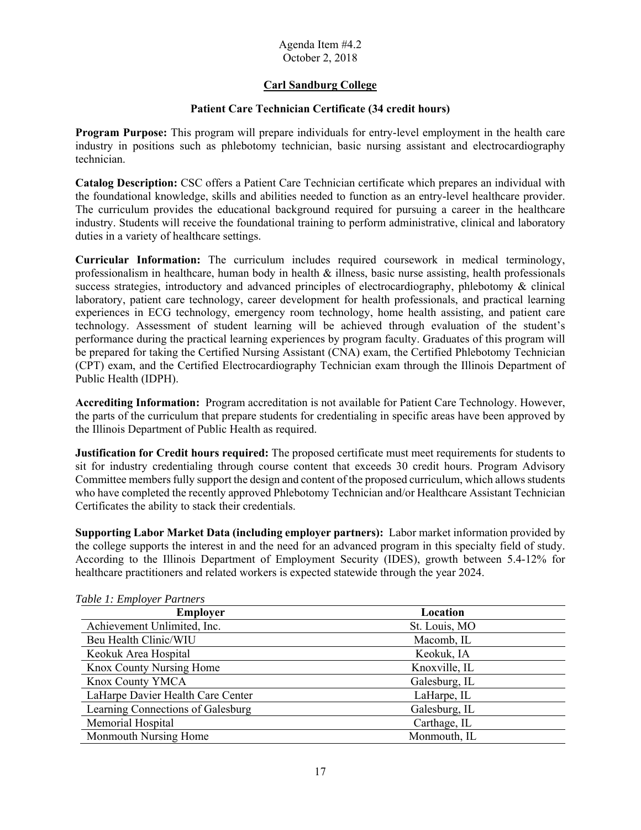## **Carl Sandburg College**

## **Patient Care Technician Certificate (34 credit hours)**

**Program Purpose:** This program will prepare individuals for entry-level employment in the health care industry in positions such as phlebotomy technician, basic nursing assistant and electrocardiography technician.

 **Catalog Description:** CSC offers a Patient Care Technician certificate which prepares an individual with the foundational knowledge, skills and abilities needed to function as an entry-level healthcare provider. The curriculum provides the educational background required for pursuing a career in the healthcare industry. Students will receive the foundational training to perform administrative, clinical and laboratory duties in a variety of healthcare settings.

 professionalism in healthcare, human body in health & illness, basic nurse assisting, health professionals success strategies, introductory and advanced principles of electrocardiography, phlebotomy & clinical experiences in ECG technology, emergency room technology, home health assisting, and patient care **Curricular Information:** The curriculum includes required coursework in medical terminology, laboratory, patient care technology, career development for health professionals, and practical learning technology. Assessment of student learning will be achieved through evaluation of the student's performance during the practical learning experiences by program faculty. Graduates of this program will be prepared for taking the Certified Nursing Assistant (CNA) exam, the Certified Phlebotomy Technician (CPT) exam, and the Certified Electrocardiography Technician exam through the Illinois Department of Public Health (IDPH).

 the parts of the curriculum that prepare students for credentialing in specific areas have been approved by **Accrediting Information:** Program accreditation is not available for Patient Care Technology. However, the Illinois Department of Public Health as required.

 Committee members fully support the design and content of the proposed curriculum, which allows students who have completed the recently approved Phlebotomy Technician and/or Healthcare Assistant Technician **Justification for Credit hours required:** The proposed certificate must meet requirements for students to sit for industry credentialing through course content that exceeds 30 credit hours. Program Advisory Certificates the ability to stack their credentials.

 **Supporting Labor Market Data (including employer partners):** Labor market information provided by According to the Illinois Department of Employment Security (IDES), growth between 5.4-12% for the college supports the interest in and the need for an advanced program in this specialty field of study. healthcare practitioners and related workers is expected statewide through the year 2024.

| raoic 1. Employer Farmers<br><b>Employer</b> | Location      |
|----------------------------------------------|---------------|
| Achievement Unlimited, Inc.                  | St. Louis, MO |
| Beu Health Clinic/WIU                        | Macomb, IL    |
| Keokuk Area Hospital                         | Keokuk, IA    |
| Knox County Nursing Home                     | Knoxville, IL |
| Knox County YMCA                             | Galesburg, IL |
| LaHarpe Davier Health Care Center            | LaHarpe, IL   |
| Learning Connections of Galesburg            | Galesburg, IL |
| Memorial Hospital                            | Carthage, IL  |
| Monmouth Nursing Home                        | Monmouth, IL  |

#### *Table 1: Employer Partners*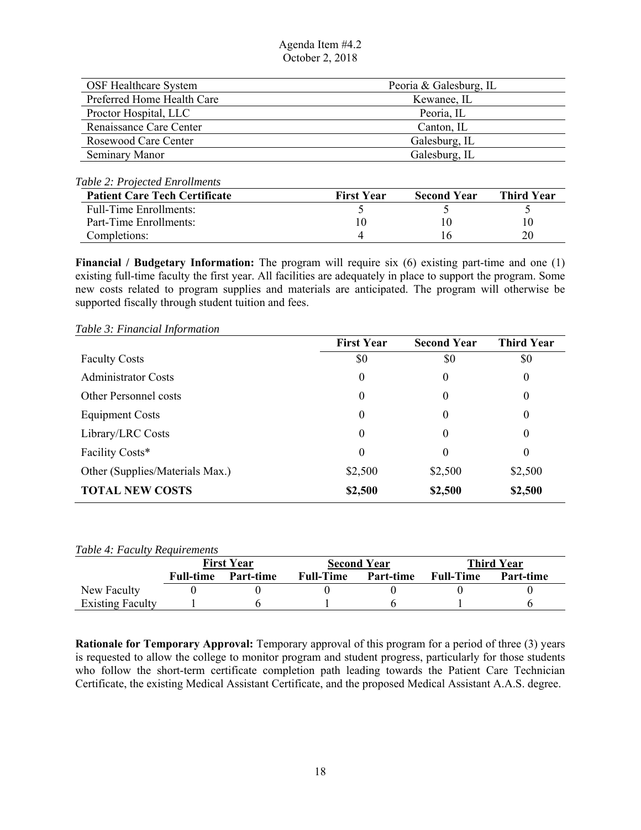| <b>OSF Healthcare System</b> | Peoria & Galesburg, IL |
|------------------------------|------------------------|
| Preferred Home Health Care   | Kewanee, IL            |
| Proctor Hospital, LLC        | Peoria, IL             |
| Renaissance Care Center      | Canton, IL             |
| Rosewood Care Center         | Galesburg, IL          |
| Seminary Manor               | Galesburg, IL          |

#### *Table 2: Projected Enrollments*

| <b>Patient Care Tech Certificate</b> | <b>First Year</b> | <b>Second Year</b> | <b>Third Year</b> |
|--------------------------------------|-------------------|--------------------|-------------------|
| <b>Full-Time Enrollments:</b>        |                   |                    |                   |
| Part-Time Enrollments:               |                   |                    |                   |
| Completions:                         |                   |                    |                   |

**Financial / Budgetary Information:** The program will require six (6) existing part-time and one (1) existing full-time faculty the first year. All facilities are adequately in place to support the program. Some new costs related to program supplies and materials are anticipated. The program will otherwise be supported fiscally through student tuition and fees.

*Table 3: Financial Information* 

|                                 | <b>First Year</b> | <b>Second Year</b> | <b>Third Year</b> |
|---------------------------------|-------------------|--------------------|-------------------|
| <b>Faculty Costs</b>            | \$0               | \$0                | \$0               |
| <b>Administrator Costs</b>      | $\boldsymbol{0}$  | 0                  | 0                 |
| <b>Other Personnel costs</b>    | 0                 | 0                  | 0                 |
| <b>Equipment Costs</b>          | $\boldsymbol{0}$  | 0                  | 0                 |
| Library/LRC Costs               | 0                 | 0                  | $\theta$          |
| Facility Costs*                 | 0                 | 0                  | $\theta$          |
| Other (Supplies/Materials Max.) | \$2,500           | \$2,500            | \$2,500           |
| <b>TOTAL NEW COSTS</b>          | \$2,500           | \$2,500            | \$2,500           |

*Table 4: Faculty Requirements* 

|                         | <b>First Year</b> |           | <b>Second Year</b> |           | <b>Third Year</b> |           |
|-------------------------|-------------------|-----------|--------------------|-----------|-------------------|-----------|
|                         | Full-time         | Part-time | Full-Time          | Part-time | <b>Full-Time</b>  | Part-time |
| New Faculty             |                   |           |                    |           |                   |           |
| <b>Existing Faculty</b> |                   |           |                    |           |                   |           |

 **Rationale for Temporary Approval:** Temporary approval of this program for a period of three (3) years is requested to allow the college to monitor program and student progress, particularly for those students who follow the short-term certificate completion path leading towards the Patient Care Technician Certificate, the existing Medical Assistant Certificate, and the proposed Medical Assistant A.A.S. degree.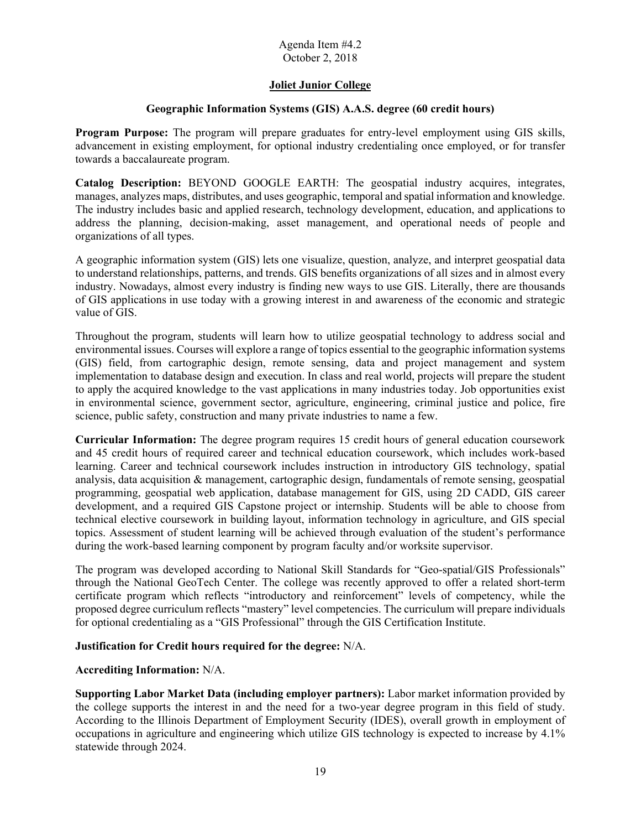## **Joliet Junior College**

### **Geographic Information Systems (GIS) A.A.S. degree (60 credit hours)**

**Program Purpose:** The program will prepare graduates for entry-level employment using GIS skills, advancement in existing employment, for optional industry credentialing once employed, or for transfer towards a baccalaureate program.

**Catalog Description:** BEYOND GOOGLE EARTH: The geospatial industry acquires, integrates, manages, analyzes maps, distributes, and uses geographic, temporal and spatial information and knowledge. The industry includes basic and applied research, technology development, education, and applications to address the planning, decision-making, asset management, and operational needs of people and organizations of all types.

 A geographic information system (GIS) lets one visualize, question, analyze, and interpret geospatial data of GIS applications in use today with a growing interest in and awareness of the economic and strategic to understand relationships, patterns, and trends. GIS benefits organizations of all sizes and in almost every industry. Nowadays, almost every industry is finding new ways to use GIS. Literally, there are thousands value of GIS.

Throughout the program, students will learn how to utilize geospatial technology to address social and environmental issues. Courses will explore a range of topics essential to the geographic information systems (GIS) field, from cartographic design, remote sensing, data and project management and system implementation to database design and execution. In class and real world, projects will prepare the student to apply the acquired knowledge to the vast applications in many industries today. Job opportunities exist in environmental science, government sector, agriculture, engineering, criminal justice and police, fire science, public safety, construction and many private industries to name a few.

 programming, geospatial web application, database management for GIS, using 2D CADD, GIS career **Curricular Information:** The degree program requires 15 credit hours of general education coursework and 45 credit hours of required career and technical education coursework, which includes work-based learning. Career and technical coursework includes instruction in introductory GIS technology, spatial analysis, data acquisition & management, cartographic design, fundamentals of remote sensing, geospatial development, and a required GIS Capstone project or internship. Students will be able to choose from technical elective coursework in building layout, information technology in agriculture, and GIS special topics. Assessment of student learning will be achieved through evaluation of the student's performance during the work-based learning component by program faculty and/or worksite supervisor.

 certificate program which reflects "introductory and reinforcement" levels of competency, while the The program was developed according to National Skill Standards for "Geo-spatial/GIS Professionals" through the National GeoTech Center. The college was recently approved to offer a related short-term proposed degree curriculum reflects "mastery" level competencies. The curriculum will prepare individuals for optional credentialing as a "GIS Professional" through the GIS Certification Institute.

## **Justification for Credit hours required for the degree:** N/A.

#### **Accrediting Information:** N/A.

 According to the Illinois Department of Employment Security (IDES), overall growth in employment of **Supporting Labor Market Data (including employer partners):** Labor market information provided by the college supports the interest in and the need for a two-year degree program in this field of study. occupations in agriculture and engineering which utilize GIS technology is expected to increase by 4.1% statewide through 2024.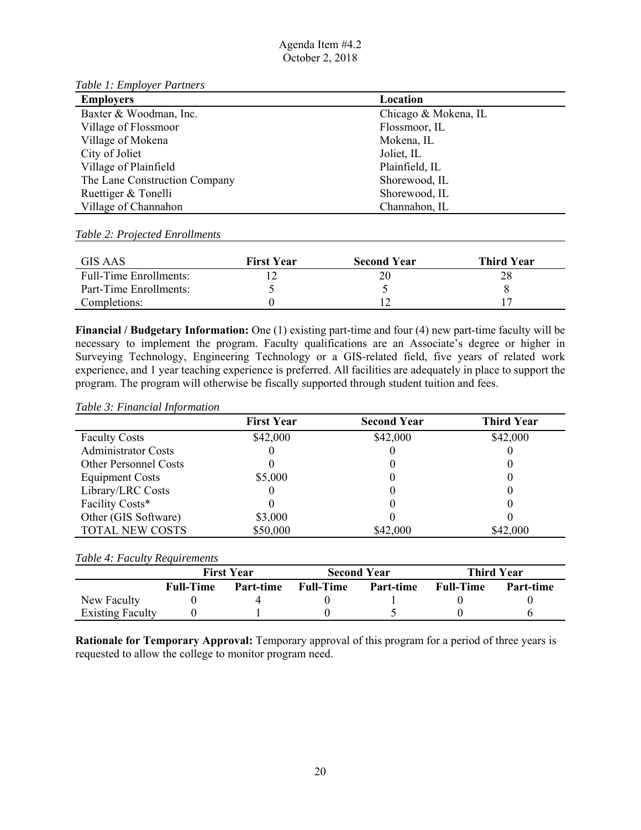*Table 1: Employer Partners* 

| <b>Employers</b>              | Location             |
|-------------------------------|----------------------|
| Baxter & Woodman, Inc.        | Chicago & Mokena, IL |
| Village of Flossmoor          | Flossmoor, IL        |
| Village of Mokena             | Mokena, IL           |
| City of Joliet                | Joliet, IL           |
| Village of Plainfield         | Plainfield, IL       |
| The Lane Construction Company | Shorewood, IL        |
| Ruettiger & Tonelli           | Shorewood, IL        |
| Village of Channahon          | Channahon, IL        |

#### *Table 2: Projected Enrollments*

| GIS AAS                       | <b>First Year</b> | <b>Second Year</b> | <b>Third Year</b> |
|-------------------------------|-------------------|--------------------|-------------------|
| <b>Full-Time Enrollments:</b> |                   |                    | 28                |
| Part-Time Enrollments:        |                   |                    |                   |
| Completions:                  |                   |                    |                   |

 **Financial / Budgetary Information:** One (1) existing part-time and four (4) new part-time faculty will be necessary to implement the program. Faculty qualifications are an Associate's degree or higher in Surveying Technology, Engineering Technology or a GIS-related field, five years of related work experience, and 1 year teaching experience is preferred. All facilities are adequately in place to support the program. The program will otherwise be fiscally supported through student tuition and fees.

#### *Table 3: Financial Information*

|                              | <b>First Year</b> | <b>Second Year</b> | <b>Third Year</b> |
|------------------------------|-------------------|--------------------|-------------------|
| <b>Faculty Costs</b>         | \$42,000          | \$42,000           | \$42,000          |
| <b>Administrator Costs</b>   |                   |                    |                   |
| <b>Other Personnel Costs</b> |                   |                    |                   |
| <b>Equipment Costs</b>       | \$5,000           |                    |                   |
| Library/LRC Costs            |                   |                    |                   |
| Facility Costs*              |                   |                    |                   |
| Other (GIS Software)         | \$3,000           |                    |                   |
| <b>TOTAL NEW COSTS</b>       | \$50,000          | \$42,000           | \$42,000          |

#### *Table 4: Faculty Requirements*

|                         | <b>First Year</b> |           | <b>Second Year</b> |           | Third Year       |           |
|-------------------------|-------------------|-----------|--------------------|-----------|------------------|-----------|
|                         | <b>Full-Time</b>  | Part-time | <b>Full-Time</b>   | Part-time | <b>Full-Time</b> | Part-time |
| New Faculty             |                   |           |                    |           |                  |           |
| <b>Existing Faculty</b> |                   |           |                    |           |                  |           |

**Rationale for Temporary Approval:** Temporary approval of this program for a period of three years is requested to allow the college to monitor program need.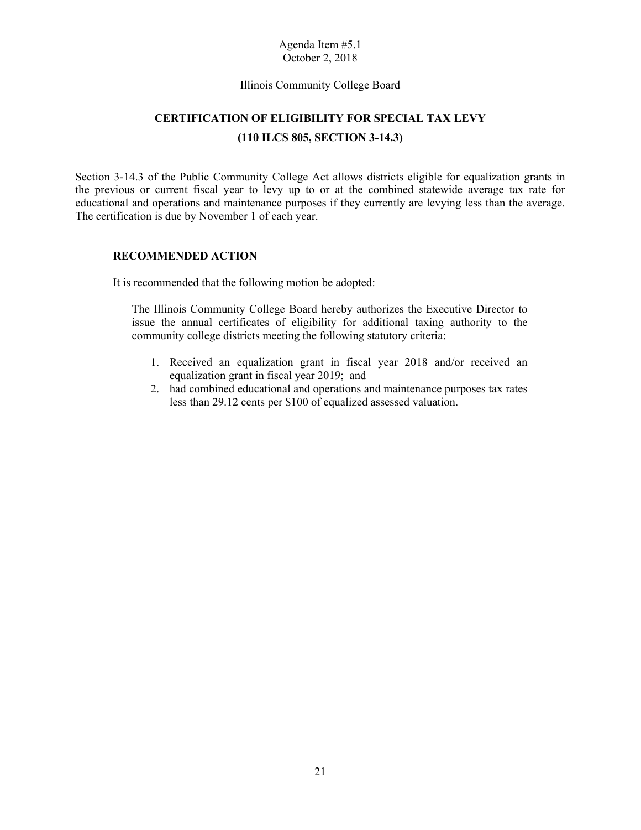#### Illinois Community College Board

# **CERTIFICATION OF ELIGIBILITY FOR SPECIAL TAX LEVY (110 ILCS 805, SECTION 3-14.3)**

 educational and operations and maintenance purposes if they currently are levying less than the average. The certification is due by November 1 of each year. Section 3-14.3 of the Public Community College Act allows districts eligible for equalization grants in the previous or current fiscal year to levy up to or at the combined statewide average tax rate for

## **RECOMMENDED ACTION**

It is recommended that the following motion be adopted:

 issue the annual certificates of eligibility for additional taxing authority to the The Illinois Community College Board hereby authorizes the Executive Director to community college districts meeting the following statutory criteria:

- 1. Received an equalization grant in fiscal year 2018 and/or received an equalization grant in fiscal year 2019; and
- 2. had combined educational and operations and maintenance purposes tax rates less than 29.12 cents per \$100 of equalized assessed valuation. less than 29.12 cents per \$100 of equalized assessed valuation.<br>
21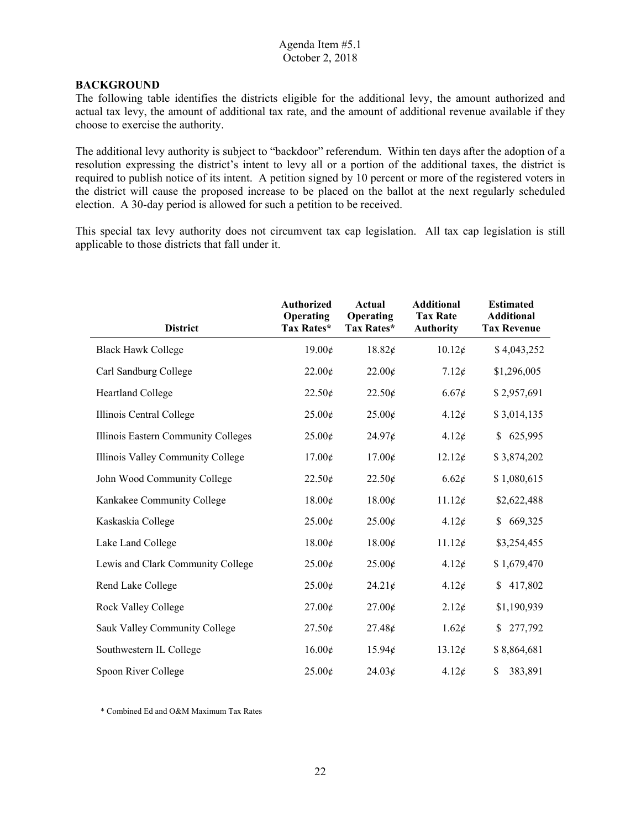### **BACKGROUND**

The following table identifies the districts eligible for the additional levy, the amount authorized and actual tax levy, the amount of additional tax rate, and the amount of additional revenue available if they choose to exercise the authority.

 resolution expressing the district's intent to levy all or a portion of the additional taxes, the district is required to publish notice of its intent. A petition signed by 10 percent or more of the registered voters in The additional levy authority is subject to "backdoor" referendum. Within ten days after the adoption of a the district will cause the proposed increase to be placed on the ballot at the next regularly scheduled election. A 30-day period is allowed for such a petition to be received.

 This special tax levy authority does not circumvent tax cap legislation. All tax cap legislation is still applicable to those districts that fall under it.

| <b>District</b>                     | <b>Authorized</b><br>Operating<br>Tax Rates* | Actual<br>Operating<br>Tax Rates* | <b>Additional</b><br><b>Tax Rate</b><br><b>Authority</b> | <b>Estimated</b><br><b>Additional</b><br><b>Tax Revenue</b> |
|-------------------------------------|----------------------------------------------|-----------------------------------|----------------------------------------------------------|-------------------------------------------------------------|
| <b>Black Hawk College</b>           | 19.00¢                                       | 18.82¢                            | 10.12¢                                                   | \$4,043,252                                                 |
| Carl Sandburg College               | 22.00¢                                       | 22.00¢                            | 7.12¢                                                    | \$1,296,005                                                 |
| Heartland College                   | 22.50¢                                       | 22.50¢                            | 6.67¢                                                    | \$2,957,691                                                 |
| Illinois Central College            | 25.00¢                                       | 25.00¢                            | 4.12¢                                                    | \$3,014,135                                                 |
| Illinois Eastern Community Colleges | $25.00\text{\textless}$                      | $24.97\mathcal{E}$                | 4.12¢                                                    | 625,995<br>\$                                               |
| Illinois Valley Community College   | 17.00¢                                       | 17.00¢                            | 12.12¢                                                   | \$3,874,202                                                 |
| John Wood Community College         | 22.50¢                                       | 22.50¢                            | 6.62¢                                                    | \$1,080,615                                                 |
| Kankakee Community College          | 18.00¢                                       | 18.00¢                            | 11.12¢                                                   | \$2,622,488                                                 |
| Kaskaskia College                   | 25.00¢                                       | $25.00\text{\textless}$           | 4.12¢                                                    | 669,325<br>\$                                               |
| Lake Land College                   | 18.00¢                                       | 18.00¢                            | 11.12¢                                                   | \$3,254,455                                                 |
| Lewis and Clark Community College   | $25.00\epsilon$                              | 25.00¢                            | $4.12\epsilon$                                           | \$1,679,470                                                 |
| Rend Lake College                   | 25.00¢                                       | 24.21¢                            | $4.12\epsilon$                                           | 417,802<br>\$                                               |
| Rock Valley College                 | $27.00\text{\textless}$                      | $27.00\text{\textless}$           | 2.12¢                                                    | \$1,190,939                                                 |
| Sauk Valley Community College       | $27.50\text{\textless}$                      | 27.48¢                            | 1.62¢                                                    | 277,792<br>\$                                               |
| Southwestern IL College             | 16.00¢                                       | $15.94\epsilon$                   | 13.12¢                                                   | \$8,864,681                                                 |
| Spoon River College                 | $25.00\text{¢}$                              | 24.03¢                            | 4.12¢                                                    | \$<br>383,891                                               |

\* Combined Ed and O&M Maximum Tax Rates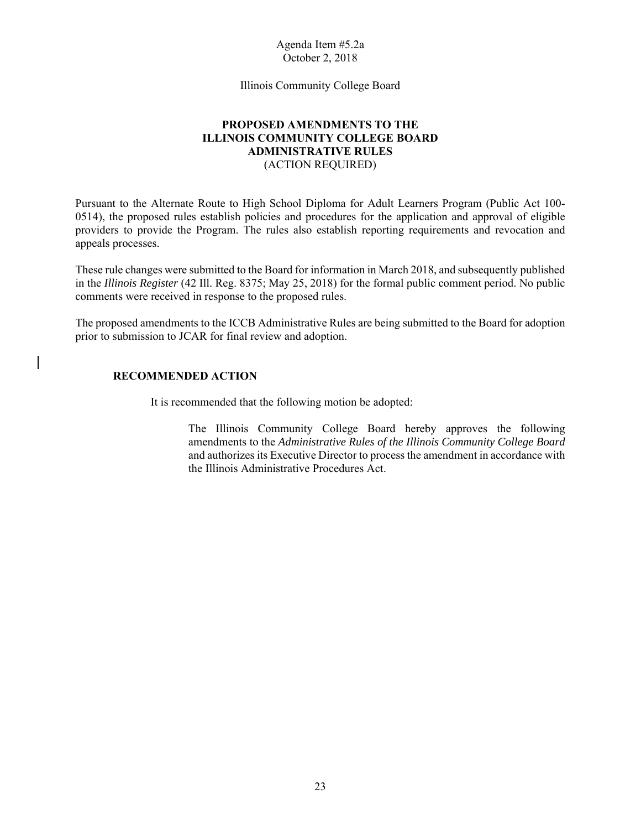Illinois Community College Board

## **PROPOSED AMENDMENTS TO THE ILLINOIS COMMUNITY COLLEGE BOARD ADMINISTRATIVE RULES** (ACTION REQUIRED)

 0514), the proposed rules establish policies and procedures for the application and approval of eligible Pursuant to the Alternate Route to High School Diploma for Adult Learners Program (Public Act 100 providers to provide the Program. The rules also establish reporting requirements and revocation and appeals processes.

 These rule changes were submitted to the Board for information in March 2018, and subsequently published in the *Illinois Register* (42 Ill. Reg. 8375; May 25, 2018) for the formal public comment period. No public comments were received in response to the proposed rules.

The proposed amendments to the ICCB Administrative Rules are being submitted to the Board for adoption prior to submission to JCAR for final review and adoption.

### **RECOMMENDED ACTION**

It is recommended that the following motion be adopted:

The Illinois Community College Board hereby approves the following amendments to the *Administrative Rules of the Illinois Community College Board*  and authorizes its Executive Director to process the amendment in accordance with the Illinois Administrative Procedures Act.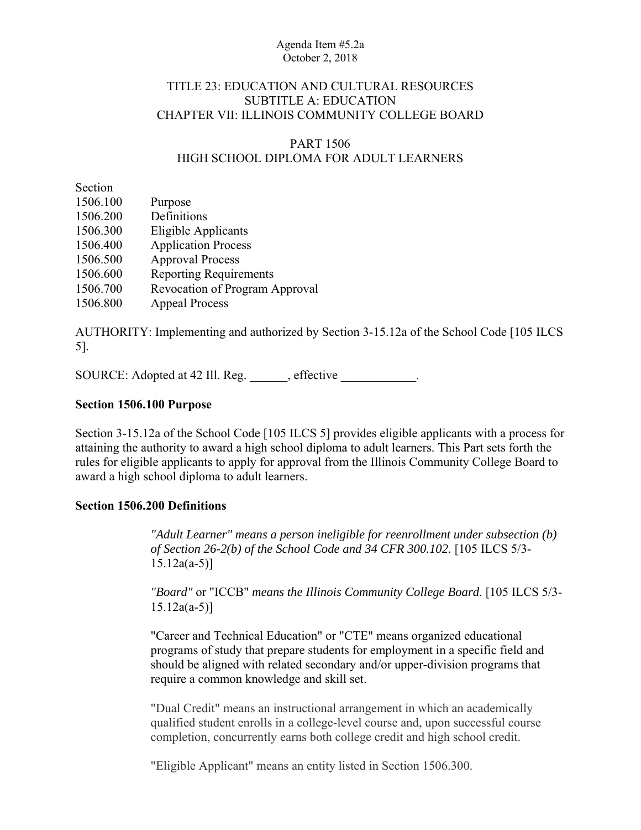## TITLE 23: EDUCATION AND CULTURAL RESOURCES SUBTITLE A: EDUCATION CHAPTER VII: ILLINOIS COMMUNITY COLLEGE BOARD

## PART 1506 HIGH SCHOOL DIPLOMA FOR ADULT LEARNERS

Section

| Purpose                        |
|--------------------------------|
| Definitions                    |
| Eligible Applicants            |
| <b>Application Process</b>     |
| <b>Approval Process</b>        |
| <b>Reporting Requirements</b>  |
| Revocation of Program Approval |
| <b>Appeal Process</b>          |
|                                |

AUTHORITY: Implementing and authorized by Section 3-15.12a of the School Code [105 ILCS 5].

SOURCE: Adopted at 42 Ill. Reg. effective .

## **Section 1506.100 Purpose**

Section 3-15.12a of the School Code [105 ILCS 5] provides eligible applicants with a process for attaining the authority to award a high school diploma to adult learners. This Part sets forth the rules for eligible applicants to apply for approval from the Illinois Community College Board to award a high school diploma to adult learners.

## **Section 1506.200 Definitions**

*"Adult Learner" means a person ineligible for reenrollment under subsection (b) of Section 26-2(b) of the School Code and 34 CFR 300.102.* [105 ILCS 5/3- 15.12a(a-5)]

*"Board"* or "ICCB" *means the Illinois Community College Board*. [105 ILCS 5/3-  $15.12a(a-5)$ ]

"Career and Technical Education" or "CTE" means organized educational programs of study that prepare students for employment in a specific field and should be aligned with related secondary and/or upper-division programs that require a common knowledge and skill set.

"Dual Credit" means an instructional arrangement in which an academically qualified student enrolls in a college-level course and, upon successful course completion, concurrently earns both college credit and high school credit.

"Eligible Applicant" means an entity listed in Section 1506.300.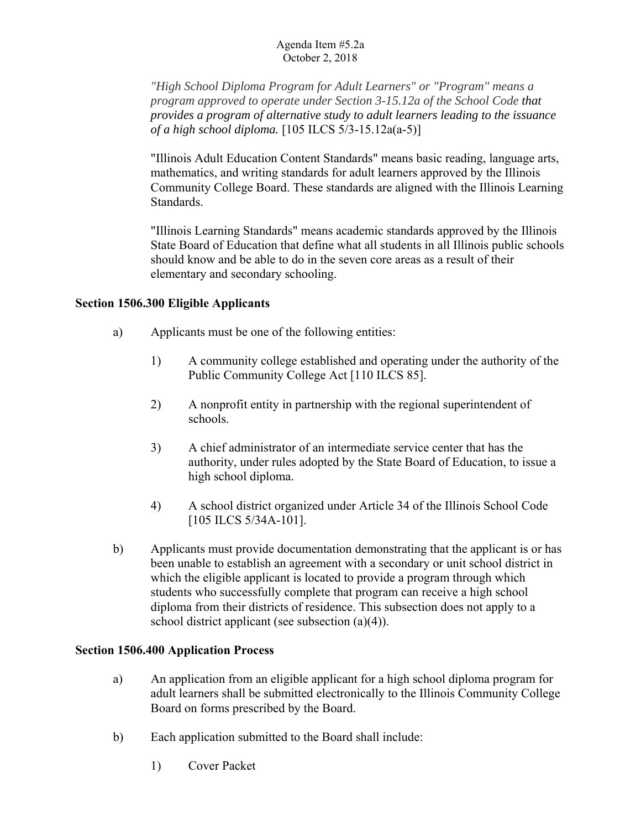*"High School Diploma Program for Adult Learners" or "Program" means a program approved to operate under Section 3-15.12a of the School Code that provides a program of alternative study to adult learners leading to the issuance of a high school diploma.* [105 ILCS 5/3-15.12a(a-5)]

"Illinois Adult Education Content Standards" means basic reading, language arts, mathematics, and writing standards for adult learners approved by the Illinois Community College Board. These standards are aligned with the Illinois Learning Standards.

"Illinois Learning Standards" means academic standards approved by the Illinois State Board of Education that define what all students in all Illinois public schools should know and be able to do in the seven core areas as a result of their elementary and secondary schooling.

## **Section 1506.300 Eligible Applicants**

- a) Applicants must be one of the following entities:
	- 1) A community college established and operating under the authority of the Public Community College Act [110 ILCS 85].
	- 2) A nonprofit entity in partnership with the regional superintendent of schools.
	- 3) A chief administrator of an intermediate service center that has the authority, under rules adopted by the State Board of Education, to issue a high school diploma.
	- 4) A school district organized under Article 34 of the Illinois School Code [105 ILCS 5/34A-101].
- b) Applicants must provide documentation demonstrating that the applicant is or has been unable to establish an agreement with a secondary or unit school district in which the eligible applicant is located to provide a program through which students who successfully complete that program can receive a high school diploma from their districts of residence. This subsection does not apply to a school district applicant (see subsection (a)(4)).

## **Section 1506.400 Application Process**

- a) An application from an eligible applicant for a high school diploma program for adult learners shall be submitted electronically to the Illinois Community College Board on forms prescribed by the Board.
- b) Each application submitted to the Board shall include:
	- 1) Cover Packet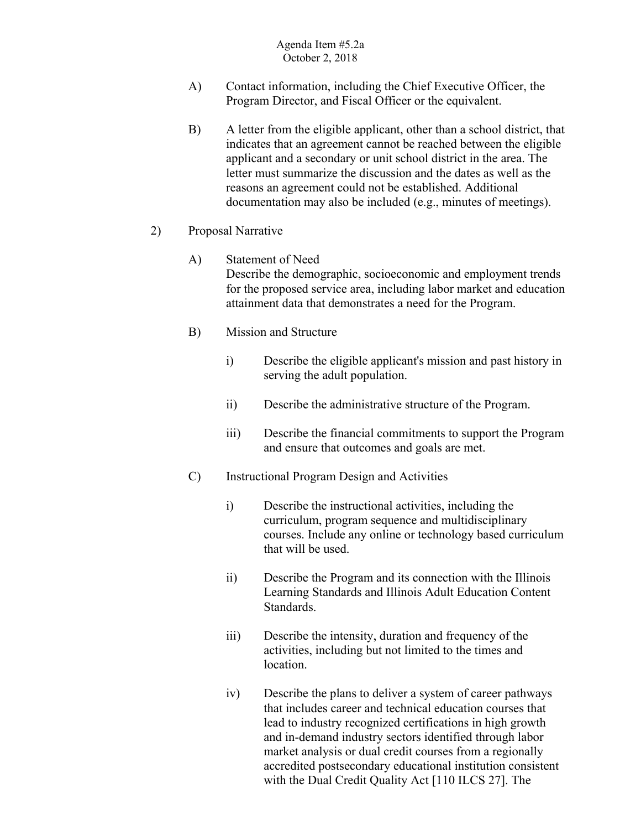- A) Contact information, including the Chief Executive Officer, the Program Director, and Fiscal Officer or the equivalent.
- B) A letter from the eligible applicant, other than a school district, that indicates that an agreement cannot be reached between the eligible applicant and a secondary or unit school district in the area. The letter must summarize the discussion and the dates as well as the reasons an agreement could not be established. Additional documentation may also be included (e.g., minutes of meetings).
- 2) Proposal Narrative
	- A) Statement of Need Describe the demographic, socioeconomic and employment trends for the proposed service area, including labor market and education attainment data that demonstrates a need for the Program.
	- B) Mission and Structure
		- i) Describe the eligible applicant's mission and past history in serving the adult population.
		- ii) Describe the administrative structure of the Program.
		- iii) Describe the financial commitments to support the Program and ensure that outcomes and goals are met.
	- C) Instructional Program Design and Activities
		- i) Describe the instructional activities, including the curriculum, program sequence and multidisciplinary courses. Include any online or technology based curriculum that will be used.
		- ii) Describe the Program and its connection with the Illinois Learning Standards and Illinois Adult Education Content Standards.
		- iii) Describe the intensity, duration and frequency of the activities, including but not limited to the times and location.
		- iv) Describe the plans to deliver a system of career pathways that includes career and technical education courses that lead to industry recognized certifications in high growth and in-demand industry sectors identified through labor market analysis or dual credit courses from a regionally accredited postsecondary educational institution consistent with the Dual Credit Quality Act [110 ILCS 27]. The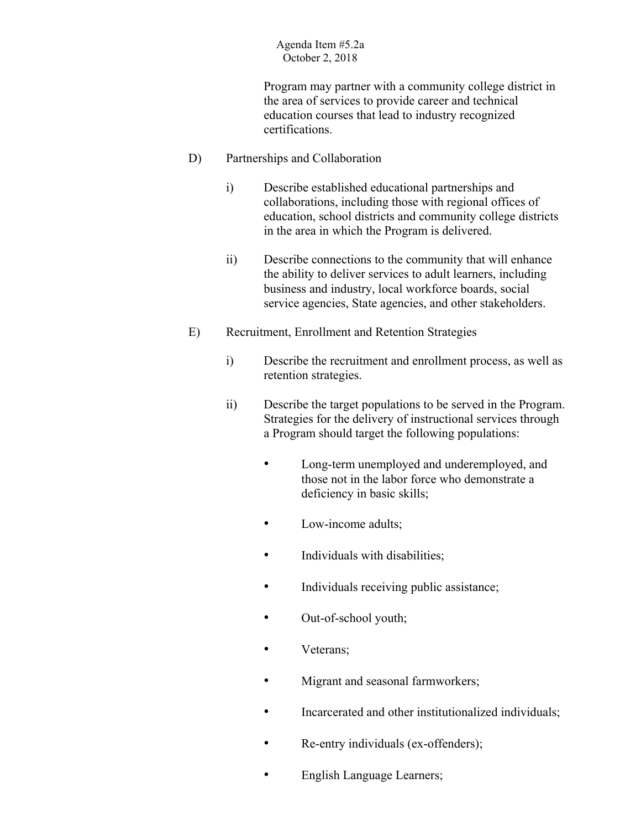Program may partner with a community college district in the area of services to provide career and technical education courses that lead to industry recognized certifications.

- D) Partnerships and Collaboration
	- i) Describe established educational partnerships and collaborations, including those with regional offices of education, school districts and community college districts in the area in which the Program is delivered.
	- ii) Describe connections to the community that will enhance the ability to deliver services to adult learners, including business and industry, local workforce boards, social service agencies, State agencies, and other stakeholders.
- E) Recruitment, Enrollment and Retention Strategies
	- i) Describe the recruitment and enrollment process, as well as retention strategies.
	- ii) Describe the target populations to be served in the Program. Strategies for the delivery of instructional services through a Program should target the following populations:
		- Long-term unemployed and underemployed, and those not in the labor force who demonstrate a deficiency in basic skills;
		- Low-income adults;
		- Individuals with disabilities;
		- Individuals receiving public assistance;
		- Out-of-school youth;
		- Veterans;
		- Migrant and seasonal farmworkers;
		- Incarcerated and other institutionalized individuals;
		- Re-entry individuals (ex-offenders);
		- English Language Learners;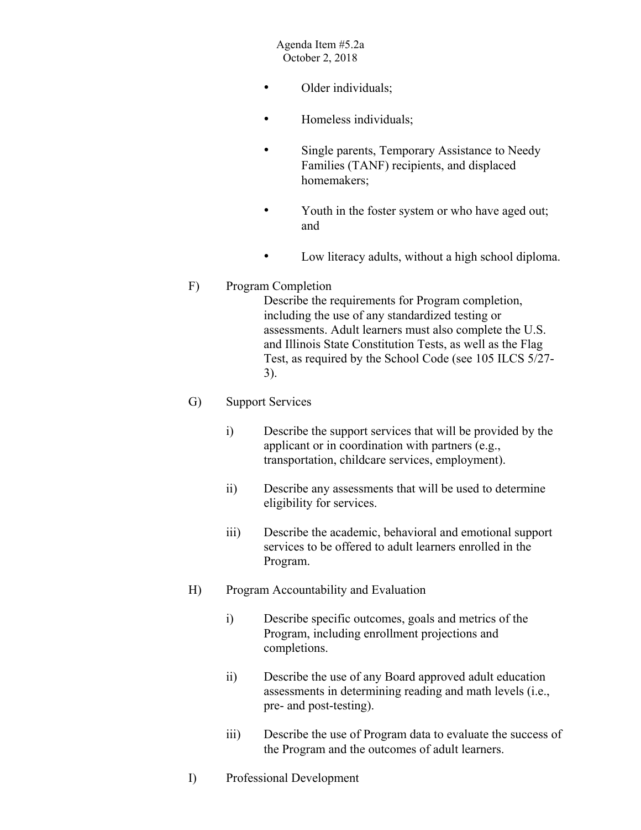- Older individuals;
- Homeless individuals;
- Single parents, Temporary Assistance to Needy Families (TANF) recipients, and displaced homemakers;
- Youth in the foster system or who have aged out; and
- Low literacy adults, without a high school diploma.

## F) Program Completion

Describe the requirements for Program completion, including the use of any standardized testing or assessments. Adult learners must also complete the U.S. and Illinois State Constitution Tests, as well as the Flag Test, as required by the School Code (see 105 ILCS 5/27- 3).

### G) Support Services

- i) Describe the support services that will be provided by the applicant or in coordination with partners (e.g., transportation, childcare services, employment).
- ii) Describe any assessments that will be used to determine eligibility for services.
- iii) Describe the academic, behavioral and emotional support services to be offered to adult learners enrolled in the Program.
- H) Program Accountability and Evaluation
	- i) Describe specific outcomes, goals and metrics of the Program, including enrollment projections and completions.
	- ii) Describe the use of any Board approved adult education assessments in determining reading and math levels (i.e., pre- and post-testing).
	- iii) Describe the use of Program data to evaluate the success of the Program and the outcomes of adult learners.
- I) Professional Development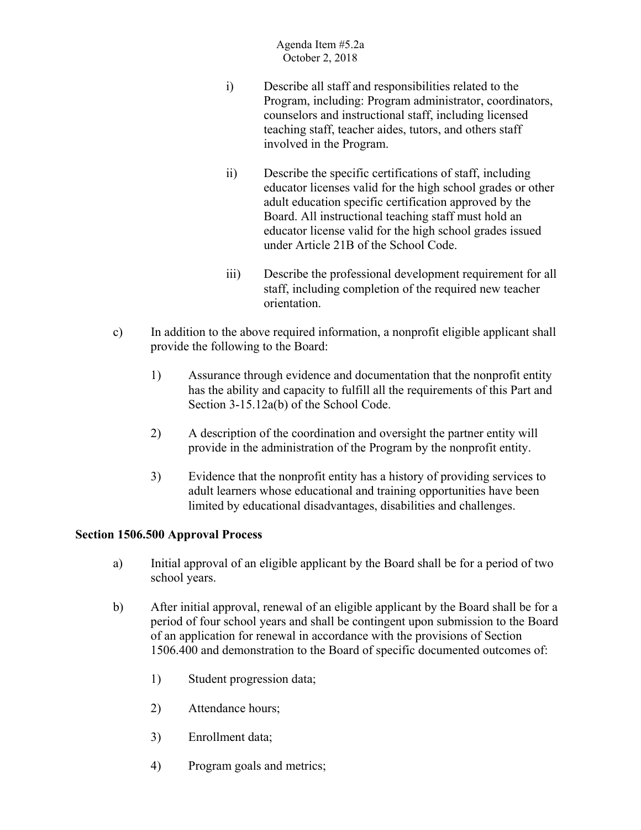- i) Describe all staff and responsibilities related to the Program, including: Program administrator, coordinators, counselors and instructional staff, including licensed teaching staff, teacher aides, tutors, and others staff involved in the Program.
- ii) Describe the specific certifications of staff, including educator licenses valid for the high school grades or other adult education specific certification approved by the Board. All instructional teaching staff must hold an educator license valid for the high school grades issued under Article 21B of the School Code.
- iii) Describe the professional development requirement for all staff, including completion of the required new teacher orientation.
- c) In addition to the above required information, a nonprofit eligible applicant shall provide the following to the Board:
	- 1) Assurance through evidence and documentation that the nonprofit entity has the ability and capacity to fulfill all the requirements of this Part and Section 3-15.12a(b) of the School Code.
	- 2) A description of the coordination and oversight the partner entity will provide in the administration of the Program by the nonprofit entity.
	- 3) Evidence that the nonprofit entity has a history of providing services to adult learners whose educational and training opportunities have been limited by educational disadvantages, disabilities and challenges.

## **Section 1506.500 Approval Process**

- a) Initial approval of an eligible applicant by the Board shall be for a period of two school years.
- b) After initial approval, renewal of an eligible applicant by the Board shall be for a period of four school years and shall be contingent upon submission to the Board of an application for renewal in accordance with the provisions of Section 1506.400 and demonstration to the Board of specific documented outcomes of:
	- 1) Student progression data;
	- 2) Attendance hours;
	- 3) Enrollment data;
	- 4) Program goals and metrics;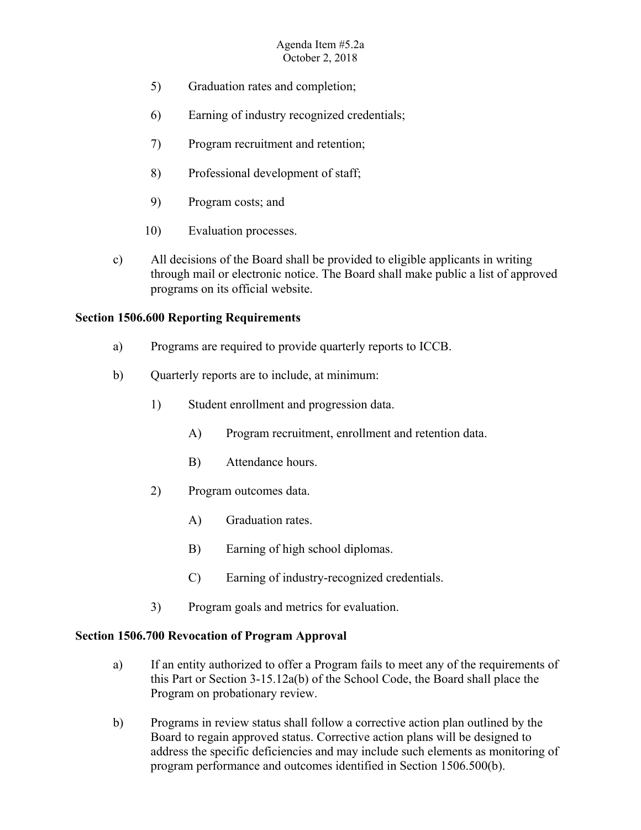- 5) Graduation rates and completion;
- 6) Earning of industry recognized credentials;
- 7) Program recruitment and retention;
- 8) Professional development of staff;
- 9) Program costs; and
- 10) Evaluation processes.
- c) All decisions of the Board shall be provided to eligible applicants in writing through mail or electronic notice. The Board shall make public a list of approved programs on its official website.

## **Section 1506.600 Reporting Requirements**

- a) Programs are required to provide quarterly reports to ICCB.
- b) Quarterly reports are to include, at minimum:
	- 1) Student enrollment and progression data.
		- A) Program recruitment, enrollment and retention data.
		- B) Attendance hours.
	- 2) Program outcomes data.
		- A) Graduation rates.
		- B) Earning of high school diplomas.
		- C) Earning of industry-recognized credentials.
	- 3) Program goals and metrics for evaluation.

# **Section 1506.700 Revocation of Program Approval**

- a) If an entity authorized to offer a Program fails to meet any of the requirements of this Part or Section 3-15.12a(b) of the School Code, the Board shall place the Program on probationary review.
- b) Programs in review status shall follow a corrective action plan outlined by the Board to regain approved status. Corrective action plans will be designed to address the specific deficiencies and may include such elements as monitoring of program performance and outcomes identified in Section 1506.500(b).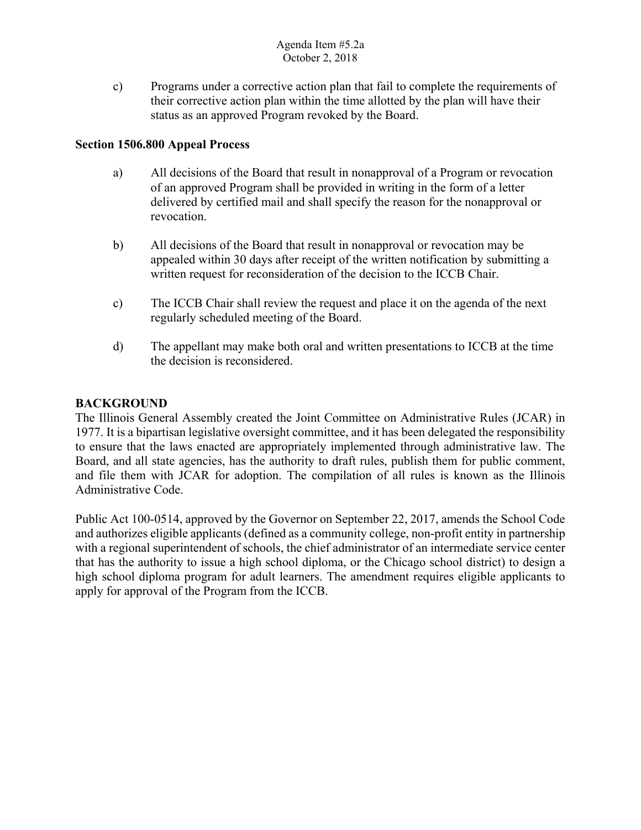c) Programs under a corrective action plan that fail to complete the requirements of their corrective action plan within the time allotted by the plan will have their status as an approved Program revoked by the Board.

## **Section 1506.800 Appeal Process**

- a) All decisions of the Board that result in nonapproval of a Program or revocation of an approved Program shall be provided in writing in the form of a letter delivered by certified mail and shall specify the reason for the nonapproval or revocation.
- b) All decisions of the Board that result in nonapproval or revocation may be appealed within 30 days after receipt of the written notification by submitting a written request for reconsideration of the decision to the ICCB Chair.
- c) The ICCB Chair shall review the request and place it on the agenda of the next regularly scheduled meeting of the Board.
- d) The appellant may make both oral and written presentations to ICCB at the time the decision is reconsidered.

## **BACKGROUND**

The Illinois General Assembly created the Joint Committee on Administrative Rules (JCAR) in 1977. It is a bipartisan legislative oversight committee, and it has been delegated the responsibility to ensure that the laws enacted are appropriately implemented through administrative law. The Board, and all state agencies, has the authority to draft rules, publish them for public comment, and file them with JCAR for adoption. The compilation of all rules is known as the Illinois Administrative Code.

 and authorizes eligible applicants (defined as a community college, non-profit entity in partnership high school diploma program for adult learners. The amendment requires eligible applicants to apply for approval of the Program from the ICCB. Public Act 100-0514, approved by the Governor on September 22, 2017, amends the School Code with a regional superintendent of schools, the chief administrator of an intermediate service center that has the authority to issue a high school diploma, or the Chicago school district) to design a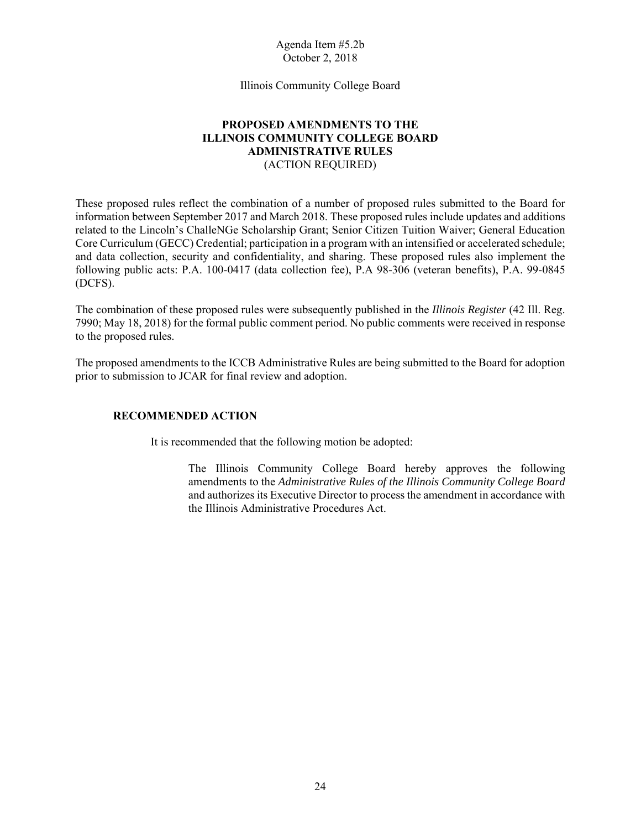Illinois Community College Board

## **PROPOSED AMENDMENTS TO THE ILLINOIS COMMUNITY COLLEGE BOARD ADMINISTRATIVE RULES** (ACTION REQUIRED)

 Core Curriculum (GECC) Credential; participation in a program with an intensified or accelerated schedule; These proposed rules reflect the combination of a number of proposed rules submitted to the Board for information between September 2017 and March 2018. These proposed rules include updates and additions related to the Lincoln's ChalleNGe Scholarship Grant; Senior Citizen Tuition Waiver; General Education and data collection, security and confidentiality, and sharing. These proposed rules also implement the following public acts: P.A. 100-0417 (data collection fee), P.A 98-306 (veteran benefits), P.A. 99-0845 (DCFS).

 7990; May 18, 2018) for the formal public comment period. No public comments were received in response The combination of these proposed rules were subsequently published in the *Illinois Register* (42 Ill. Reg. to the proposed rules.

The proposed amendments to the ICCB Administrative Rules are being submitted to the Board for adoption prior to submission to JCAR for final review and adoption.

### **RECOMMENDED ACTION**

It is recommended that the following motion be adopted:

The Illinois Community College Board hereby approves the following amendments to the *Administrative Rules of the Illinois Community College Board*  and authorizes its Executive Director to process the amendment in accordance with the Illinois Administrative Procedures Act.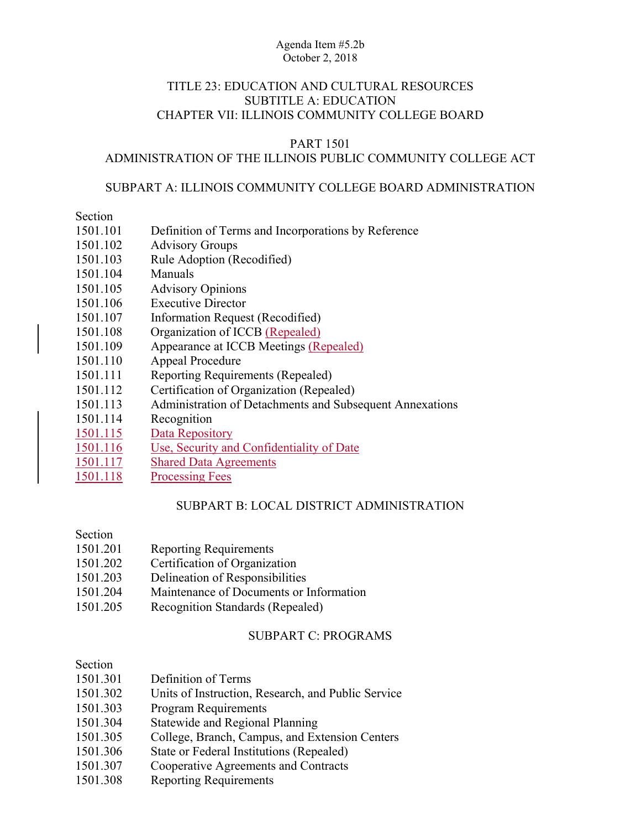## TITLE 23: EDUCATION AND CULTURAL RESOURCES SUBTITLE A: EDUCATION CHAPTER VII: ILLINOIS COMMUNITY COLLEGE BOARD

## PART 1501

## ADMINISTRATION OF THE ILLINOIS PUBLIC COMMUNITY COLLEGE ACT

## SUBPART A: ILLINOIS COMMUNITY COLLEGE BOARD ADMINISTRATION

## Section

- 1501.101 Definition of Terms and Incorporations by Reference
- 1501.102 Advisory Groups
- 1501.103 Rule Adoption (Recodified)
- 1501.104 Manuals
- 1501.105 Advisory Opinions
- 1501.106 Executive Director
- 1501.107 Information Request (Recodified)
- 1501.108 Organization of ICCB (Repealed)
- 1501.109 Appearance at ICCB Meetings (Repealed)
- 1501.110 Appeal Procedure
- 1501.111 Reporting Requirements (Repealed)
- 1501.112 Certification of Organization (Repealed)
- 1501.113 Administration of Detachments and Subsequent Annexations
- 1501.114 Recognition
- 1501.115 Data Repository
- 1501.116 Use, Security and Confidentiality of Date
- 1501.117 Shared Data Agreements
- 1501.118 Processing Fees

## SUBPART B: LOCAL DISTRICT ADMINISTRATION

### Section

- 1501.201 Reporting Requirements
- 1501.202 Certification of Organization
- 1501.203 Delineation of Responsibilities
- 1501.204 Maintenance of Documents or Information
- 1501.205 Recognition Standards (Repealed)

## SUBPART C: PROGRAMS

## Section

| 1501.301 | Definition of Terms                                |
|----------|----------------------------------------------------|
| 1501.302 | Units of Instruction, Research, and Public Service |
| 1501.303 | <b>Program Requirements</b>                        |
| 1501.304 | <b>Statewide and Regional Planning</b>             |
| 1501.305 | College, Branch, Campus, and Extension Centers     |
| 1501.306 | State or Federal Institutions (Repealed)           |
| 1501.307 | Cooperative Agreements and Contracts               |

1501.308 Reporting Requirements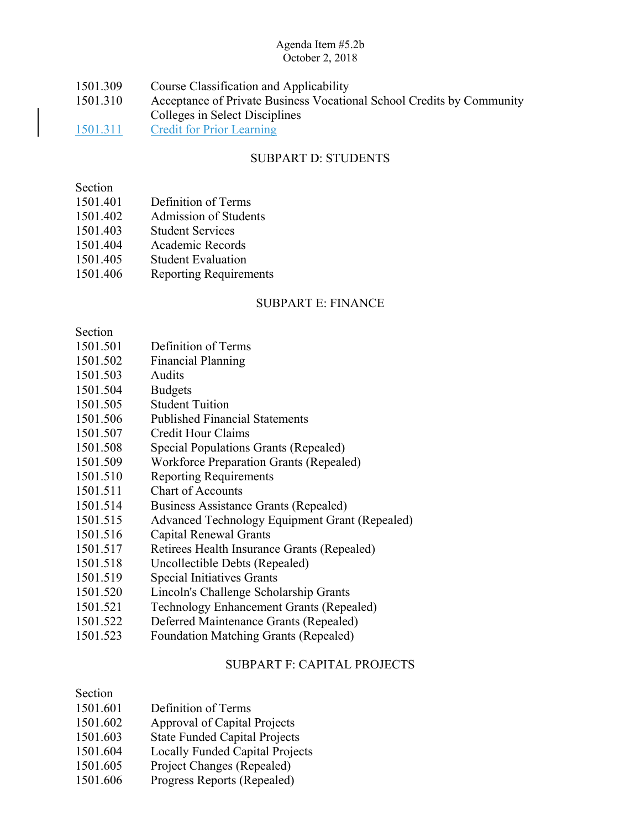| 1501.309 | Course Classification and Applicability                               |
|----------|-----------------------------------------------------------------------|
| 1501.310 | Acceptance of Private Business Vocational School Credits by Community |
|          | Colleges in Select Disciplines                                        |
| 1501.311 | <b>Credit for Prior Learning</b>                                      |

## SUBPART D: STUDENTS

## Section

- 1501.401 Definition of Terms
- 1501.402 Admission of Students
- 1501.403 Student Services
- 1501.404 Academic Records
- 1501.405 Student Evaluation
- 1501.406 Reporting Requirements

## SUBPART E: FINANCE

### Section

- 1501.501 Definition of Terms
- 1501.502 Financial Planning
- 1501.503 Audits
- 1501.504 Budgets
- 1501.505 Student Tuition
- 1501.506 Published Financial Statements
- 1501.507 Credit Hour Claims
- 1501.508 Special Populations Grants (Repealed)
- 1501.509 Workforce Preparation Grants (Repealed)
- 1501.510 Reporting Requirements
- 1501.511 Chart of Accounts
- 1501.514 Business Assistance Grants (Repealed)
- 1501.515 Advanced Technology Equipment Grant (Repealed)
- 1501.516 Capital Renewal Grants
- 1501.517 Retirees Health Insurance Grants (Repealed)
- 1501.518 Uncollectible Debts (Repealed)
- 1501.519 Special Initiatives Grants
- 1501.520 Lincoln's Challenge Scholarship Grants
- 1501.521 Technology Enhancement Grants (Repealed)
- 1501.522 Deferred Maintenance Grants (Repealed)
- 1501.523 Foundation Matching Grants (Repealed)

## SUBPART F: CAPITAL PROJECTS

## Section

- 1501.601 Definition of Terms
- 1501.602 Approval of Capital Projects
- 1501.603 State Funded Capital Projects
- 1501.604 Locally Funded Capital Projects
- 1501.605 Project Changes (Repealed)
- 1501.606 Progress Reports (Repealed)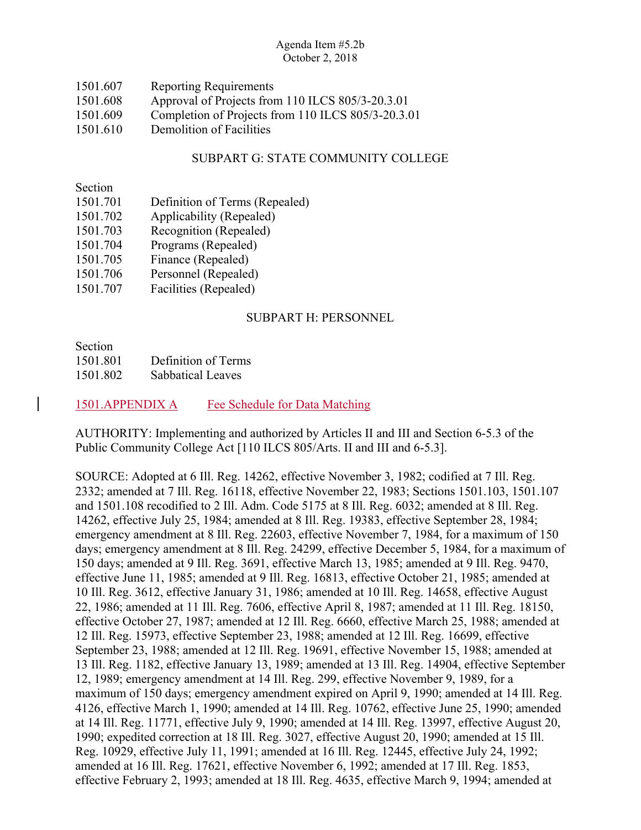| 1501.607 | <b>Reporting Requirements</b>                      |
|----------|----------------------------------------------------|
| 1501.608 | Approval of Projects from 110 ILCS 805/3-20.3.01   |
| 1501.609 | Completion of Projects from 110 ILCS 805/3-20.3.01 |
| 1501.610 | Demolition of Facilities                           |

## SUBPART G: STATE COMMUNITY COLLEGE

Section

- 1501.701 Definition of Terms (Repealed)
- 1501.702 Applicability (Repealed)
- 1501.703 Recognition (Repealed)
- 1501.704 Programs (Repealed)
- 1501.705 Finance (Repealed)
- 1501.706 Personnel (Repealed)
- 1501.707 Facilities (Repealed)

## SUBPART H: PERSONNEL

Section 1501.801 Definition of Terms 1501.802 Sabbatical Leaves

## 1501.APPENDIX A Fee Schedule for Data Matching

AUTHORITY: Implementing and authorized by Articles II and III and Section 6-5.3 of the Public Community College Act [110 ILCS 805/Arts. II and III and 6-5.3].

SOURCE: Adopted at 6 Ill. Reg. 14262, effective November 3, 1982; codified at 7 Ill. Reg. 2332; amended at 7 Ill. Reg. 16118, effective November 22, 1983; Sections 1501.103, 1501.107 and 1501.108 recodified to 2 Ill. Adm. Code 5175 at 8 Ill. Reg. 6032; amended at 8 Ill. Reg. 14262, effective July 25, 1984; amended at 8 Ill. Reg. 19383, effective September 28, 1984; emergency amendment at 8 Ill. Reg. 22603, effective November 7, 1984, for a maximum of 150 days; emergency amendment at 8 Ill. Reg. 24299, effective December 5, 1984, for a maximum of 150 days; amended at 9 Ill. Reg. 3691, effective March 13, 1985; amended at 9 Ill. Reg. 9470, effective June 11, 1985; amended at 9 Ill. Reg. 16813, effective October 21, 1985; amended at 10 Ill. Reg. 3612, effective January 31, 1986; amended at 10 Ill. Reg. 14658, effective August 22, 1986; amended at 11 Ill. Reg. 7606, effective April 8, 1987; amended at 11 Ill. Reg. 18150, effective October 27, 1987; amended at 12 Ill. Reg. 6660, effective March 25, 1988; amended at 12 Ill. Reg. 15973, effective September 23, 1988; amended at 12 Ill. Reg. 16699, effective September 23, 1988; amended at 12 Ill. Reg. 19691, effective November 15, 1988; amended at 13 Ill. Reg. 1182, effective January 13, 1989; amended at 13 Ill. Reg. 14904, effective September 12, 1989; emergency amendment at 14 Ill. Reg. 299, effective November 9, 1989, for a maximum of 150 days; emergency amendment expired on April 9, 1990; amended at 14 Ill. Reg. 4126, effective March 1, 1990; amended at 14 Ill. Reg. 10762, effective June 25, 1990; amended at 14 Ill. Reg. 11771, effective July 9, 1990; amended at 14 Ill. Reg. 13997, effective August 20, 1990; expedited correction at 18 Ill. Reg. 3027, effective August 20, 1990; amended at 15 Ill. Reg. 10929, effective July 11, 1991; amended at 16 Ill. Reg. 12445, effective July 24, 1992; amended at 16 Ill. Reg. 17621, effective November 6, 1992; amended at 17 Ill. Reg. 1853, effective February 2, 1993; amended at 18 Ill. Reg. 4635, effective March 9, 1994; amended at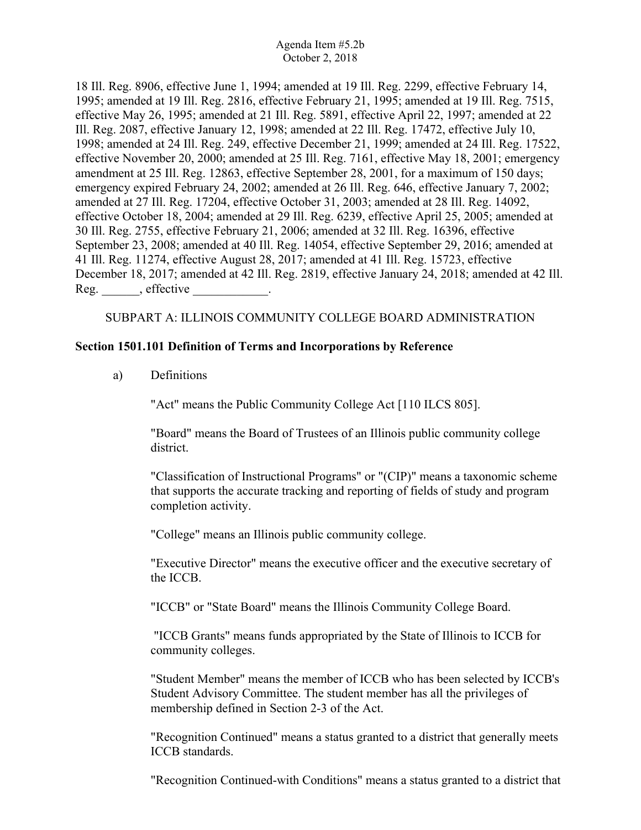18 Ill. Reg. 8906, effective June 1, 1994; amended at 19 Ill. Reg. 2299, effective February 14, 1995; amended at 19 Ill. Reg. 2816, effective February 21, 1995; amended at 19 Ill. Reg. 7515, effective May 26, 1995; amended at 21 Ill. Reg. 5891, effective April 22, 1997; amended at 22 Ill. Reg. 2087, effective January 12, 1998; amended at 22 Ill. Reg. 17472, effective July 10, 1998; amended at 24 Ill. Reg. 249, effective December 21, 1999; amended at 24 Ill. Reg. 17522, effective November 20, 2000; amended at 25 Ill. Reg. 7161, effective May 18, 2001; emergency amendment at 25 Ill. Reg. 12863, effective September 28, 2001, for a maximum of 150 days; emergency expired February 24, 2002; amended at 26 Ill. Reg. 646, effective January 7, 2002; amended at 27 Ill. Reg. 17204, effective October 31, 2003; amended at 28 Ill. Reg. 14092, effective October 18, 2004; amended at 29 Ill. Reg. 6239, effective April 25, 2005; amended at 30 Ill. Reg. 2755, effective February 21, 2006; amended at 32 Ill. Reg. 16396, effective September 23, 2008; amended at 40 Ill. Reg. 14054, effective September 29, 2016; amended at 41 Ill. Reg. 11274, effective August 28, 2017; amended at 41 Ill. Reg. 15723, effective December 18, 2017; amended at 42 Ill. Reg. 2819, effective January 24, 2018; amended at 42 Ill. Reg.  $\qquad \qquad$ , effective  $\qquad \qquad$ .

## SUBPART A: ILLINOIS COMMUNITY COLLEGE BOARD ADMINISTRATION

## **Section 1501.101 Definition of Terms and Incorporations by Reference**

a) Definitions

"Act" means the Public Community College Act [110 ILCS 805].

"Board" means the Board of Trustees of an Illinois public community college district.

"Classification of Instructional Programs" or "(CIP)" means a taxonomic scheme that supports the accurate tracking and reporting of fields of study and program completion activity.

"College" means an Illinois public community college.

"Executive Director" means the executive officer and the executive secretary of the ICCB.

"ICCB" or "State Board" means the Illinois Community College Board.

 "ICCB Grants" means funds appropriated by the State of Illinois to ICCB for community colleges.

"Student Member" means the member of ICCB who has been selected by ICCB's Student Advisory Committee. The student member has all the privileges of membership defined in Section 2-3 of the Act.

"Recognition Continued" means a status granted to a district that generally meets ICCB standards.

"Recognition Continued-with Conditions" means a status granted to a district that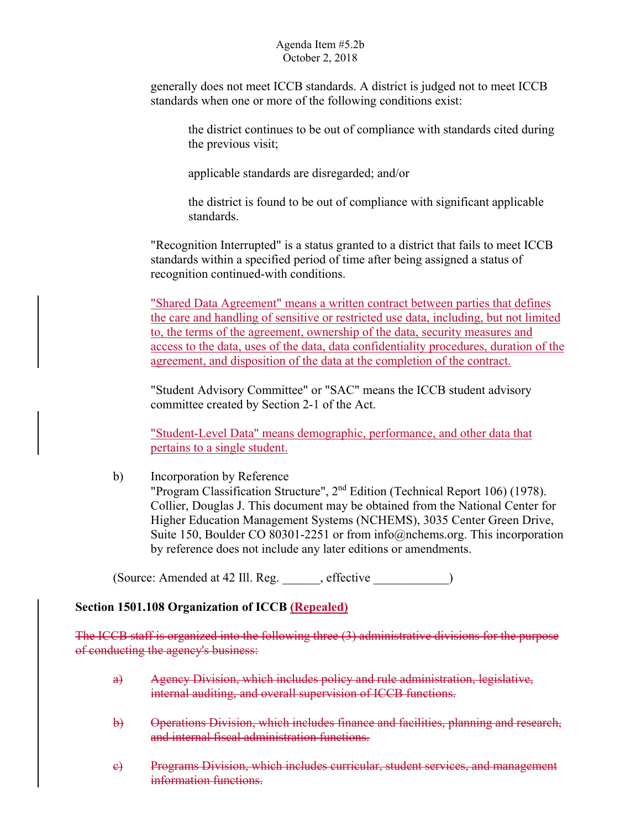generally does not meet ICCB standards. A district is judged not to meet ICCB standards when one or more of the following conditions exist:

the district continues to be out of compliance with standards cited during the previous visit;

applicable standards are disregarded; and/or

the district is found to be out of compliance with significant applicable standards.

"Recognition Interrupted" is a status granted to a district that fails to meet ICCB standards within a specified period of time after being assigned a status of recognition continued-with conditions.

"Shared Data Agreement" means a written contract between parties that defines the care and handling of sensitive or restricted use data, including, but not limited to, the terms of the agreement, ownership of the data, security measures and access to the data, uses of the data, data confidentiality procedures, duration of the agreement, and disposition of the data at the completion of the contract.

"Student Advisory Committee" or "SAC" means the ICCB student advisory committee created by Section 2-1 of the Act.

"Student-Level Data" means demographic, performance, and other data that pertains to a single student.

b) Incorporation by Reference "Program Classification Structure",  $2<sup>nd</sup>$  Edition (Technical Report 106) (1978). Collier, Douglas J. This document may be obtained from the National Center for Higher Education Management Systems (NCHEMS), 3035 Center Green Drive, Suite 150, Boulder CO 80301-2251 or from info@nchems.org. This incorporation by reference does not include any later editions or amendments.

(Source: Amended at 42 Ill. Reg. effective )

## **Section 1501.108 Organization of ICCB (Repealed)**

The ICCB staff is organized into the following three (3) administrative divisions for the purpose of conducting the agency's business:

- a) Agency Division, which includes policy and rule administration, legislative, internal auditing, and overall supervision of ICCB functions.
- b) Operations Division, which includes finance and facilities, planning and research, and internal fiscal administration functions.
- e) Programs Division, which includes curricular, student services, and management information functions.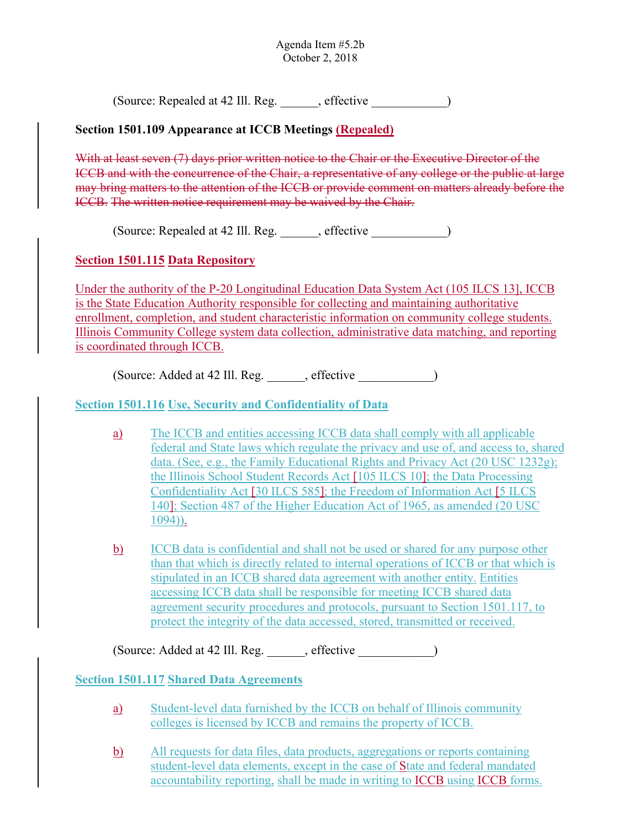(Source: Repealed at 42 Ill. Reg. effective )

## **Section 1501.109 Appearance at ICCB Meetings (Repealed)**

With at least seven (7) days prior written notice to the Chair or the Executive Director of the ICCB and with the concurrence of the Chair, a representative of any college or the public at large may bring matters to the attention of the ICCB or provide comment on matters already before the ICCB. The written notice requirement may be waived by the Chair.

(Source: Repealed at 42 Ill. Reg. effective )

# **Section 1501.115 Data Repository**

 Under the authority of the P-20 Longitudinal Education Data System Act (105 ILCS 13], ICCB is the State Education Authority responsible for collecting and maintaining authoritative enrollment, completion, and student characteristic information on community college students. Illinois Community College system data collection, administrative data matching, and reporting is coordinated through ICCB.

(Source: Added at 42 Ill. Reg. effective )

## **Section 1501.116 Use, Security and Confidentiality of Data**

- a) The ICCB and entities accessing ICCB data shall comply with all applicable federal and State laws which regulate the privacy and use of, and access to, shared data. (See, e.g., the Family Educational Rights and Privacy Act (20 USC 1232g); the Illinois School Student Records Act [105 ILCS 10]; the Data Processing Confidentiality Act [30 ILCS 585]; the Freedom of Information Act [5 ILCS 140]; Section 487 of the Higher Education Act of 1965, as amended (20 USC 1094)).
- protect the integrity of the data accessed, stored, transmitted or received. b) ICCB data is confidential and shall not be used or shared for any purpose other than that which is directly related to internal operations of ICCB or that which is stipulated in an ICCB shared data agreement with another entity. Entities accessing ICCB data shall be responsible for meeting ICCB shared data agreement security procedures and protocols, pursuant to Section 1501.117, to

(Source: Added at 42 Ill. Reg. effective )

## **Section 1501.117 Shared Data Agreements**

- a) Student-level data furnished by the ICCB on behalf of Illinois community colleges is licensed by ICCB and remains the property of ICCB.
- b) All requests for data files, data products, aggregations or reports containing student-level data elements, except in the case of State and federal mandated accountability reporting, shall be made in writing to ICCB using ICCB forms.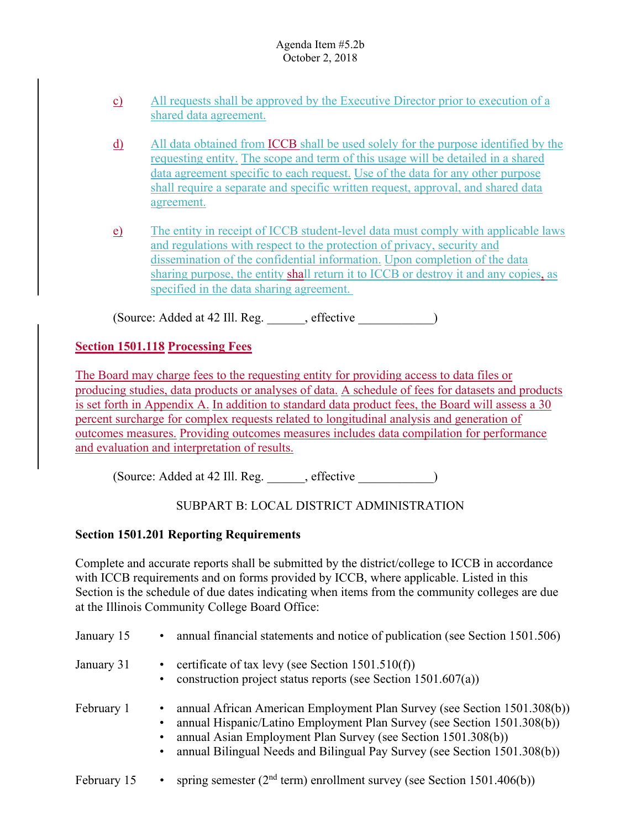- c) All requests shall be approved by the Executive Director prior to execution of a shared data agreement.
- d) All data obtained from **ICCB** shall be used solely for the purpose identified by the requesting entity. The scope and term of this usage will be detailed in a shared data agreement specific to each request. Use of the data for any other purpose shall require a separate and specific written request, approval, and shared data agreement.
- e) The entity in receipt of ICCB student-level data must comply with applicable laws and regulations with respect to the protection of privacy, security and dissemination of the confidential information. Upon completion of the data sharing purpose, the entity shall return it to ICCB or destroy it and any copies, as specified in the data sharing agreement.

(Source: Added at 42 Ill. Reg. effective )

# **Section 1501.118 Processing Fees**

The Board may charge fees to the requesting entity for providing access to data files or producing studies, data products or analyses of data. A schedule of fees for datasets and products is set forth in Appendix A. In addition to standard data product fees, the Board will assess a 30 percent surcharge for complex requests related to longitudinal analysis and generation of outcomes measures. Providing outcomes measures includes data compilation for performance and evaluation and interpretation of results.

(Source: Added at 42 Ill. Reg. \_\_\_\_\_\_, effective \_\_\_\_\_\_\_\_\_\_\_\_)

# SUBPART B: LOCAL DISTRICT ADMINISTRATION

## **Section 1501.201 Reporting Requirements**

Complete and accurate reports shall be submitted by the district/college to ICCB in accordance with ICCB requirements and on forms provided by ICCB, where applicable. Listed in this Section is the schedule of due dates indicating when items from the community colleges are due at the Illinois Community College Board Office:

| January 15  | annual financial statements and notice of publication (see Section 1501.506)<br>٠                                                                                                                                                                                                                                   |
|-------------|---------------------------------------------------------------------------------------------------------------------------------------------------------------------------------------------------------------------------------------------------------------------------------------------------------------------|
| January 31  | • certificate of tax levy (see Section $1501.510(f)$ )<br>construction project status reports (see Section $1501.607(a)$ )                                                                                                                                                                                          |
| February 1  | annual African American Employment Plan Survey (see Section 1501.308(b))<br>$\bullet$<br>annual Hispanic/Latino Employment Plan Survey (see Section 1501.308(b))<br>annual Asian Employment Plan Survey (see Section 1501.308(b))<br>annual Bilingual Needs and Bilingual Pay Survey (see Section 1501.308(b))<br>٠ |
| February 15 | spring semester ( $2nd$ term) enrollment survey (see Section 1501.406(b))<br>$\bullet$                                                                                                                                                                                                                              |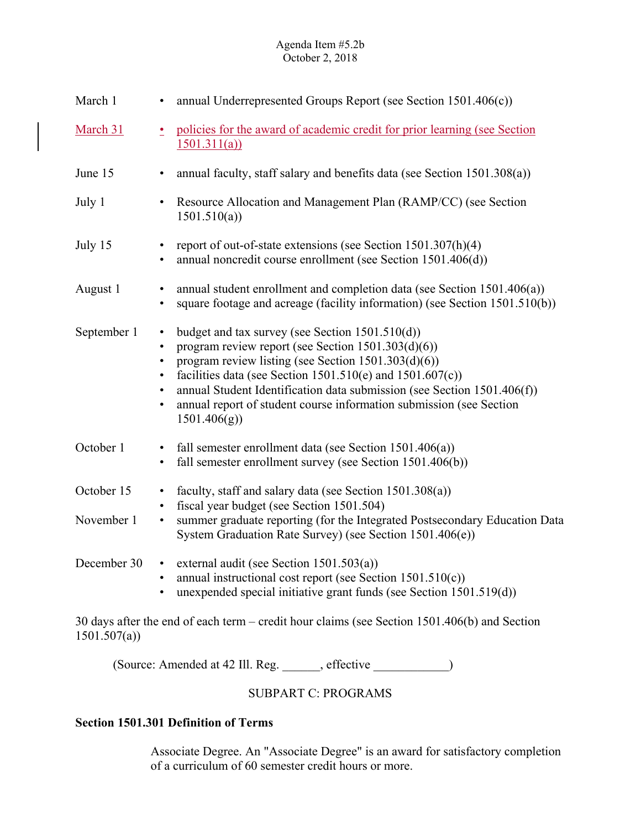| March 1     | annual Underrepresented Groups Report (see Section 1501.406(c))<br>$\bullet$                                                                                                                                                                                                                                                                                                                                                                                                |
|-------------|-----------------------------------------------------------------------------------------------------------------------------------------------------------------------------------------------------------------------------------------------------------------------------------------------------------------------------------------------------------------------------------------------------------------------------------------------------------------------------|
| March 31    | policies for the award of academic credit for prior learning (see Section<br>$\overline{\phantom{a}}$<br>1501.311(a)                                                                                                                                                                                                                                                                                                                                                        |
| June 15     | annual faculty, staff salary and benefits data (see Section 1501.308(a))<br>$\bullet$                                                                                                                                                                                                                                                                                                                                                                                       |
| July 1      | Resource Allocation and Management Plan (RAMP/CC) (see Section<br>$\bullet$<br>1501.510(a)                                                                                                                                                                                                                                                                                                                                                                                  |
| July 15     | report of out-of-state extensions (see Section $1501.307(h)(4)$ )<br>$\bullet$<br>annual noncredit course enrollment (see Section 1501.406(d))<br>$\bullet$                                                                                                                                                                                                                                                                                                                 |
| August 1    | annual student enrollment and completion data (see Section 1501.406(a))<br>$\bullet$<br>square footage and acreage (facility information) (see Section 1501.510(b))<br>$\bullet$                                                                                                                                                                                                                                                                                            |
| September 1 | budget and tax survey (see Section $1501.510(d)$ )<br>$\bullet$<br>program review report (see Section 1501.303(d)(6))<br>$\bullet$<br>program review listing (see Section 1501.303(d)(6))<br>$\bullet$<br>facilities data (see Section 1501.510(e) and 1501.607(c))<br>$\bullet$<br>annual Student Identification data submission (see Section 1501.406(f))<br>$\bullet$<br>annual report of student course information submission (see Section<br>$\bullet$<br>1501.406(g) |
| October 1   | fall semester enrollment data (see Section $1501.406(a)$ )<br>$\bullet$<br>fall semester enrollment survey (see Section 1501.406(b))<br>$\bullet$                                                                                                                                                                                                                                                                                                                           |
| October 15  | faculty, staff and salary data (see Section 1501.308(a))<br>$\bullet$<br>fiscal year budget (see Section 1501.504)<br>$\bullet$                                                                                                                                                                                                                                                                                                                                             |
| November 1  | summer graduate reporting (for the Integrated Postsecondary Education Data<br>$\bullet$<br>System Graduation Rate Survey) (see Section 1501.406(e))                                                                                                                                                                                                                                                                                                                         |
| December 30 | external audit (see Section 1501.503(a))<br>$\bullet$<br>annual instructional cost report (see Section $1501.510(c)$ )<br>$\bullet$<br>unexpended special initiative grant funds (see Section 1501.519(d))<br>$\bullet$                                                                                                                                                                                                                                                     |

30 days after the end of each term – credit hour claims (see Section 1501.406(b) and Section 1501.507(a))

(Source: Amended at 42 Ill. Reg. \_\_\_\_\_\_, effective \_\_\_\_\_\_\_\_\_\_\_\_)

# SUBPART C: PROGRAMS

## **Section 1501.301 Definition of Terms**

Associate Degree. An "Associate Degree" is an award for satisfactory completion of a curriculum of 60 semester credit hours or more.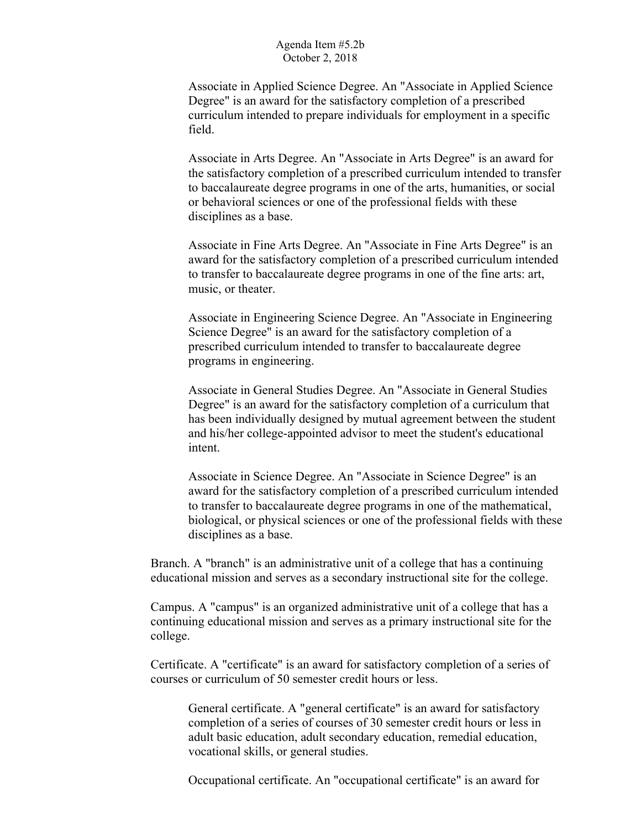Associate in Applied Science Degree. An "Associate in Applied Science Degree" is an award for the satisfactory completion of a prescribed curriculum intended to prepare individuals for employment in a specific field.

Associate in Arts Degree. An "Associate in Arts Degree" is an award for the satisfactory completion of a prescribed curriculum intended to transfer to baccalaureate degree programs in one of the arts, humanities, or social or behavioral sciences or one of the professional fields with these disciplines as a base.

 award for the satisfactory completion of a prescribed curriculum intended Associate in Fine Arts Degree. An "Associate in Fine Arts Degree" is an to transfer to baccalaureate degree programs in one of the fine arts: art, music, or theater.

Associate in Engineering Science Degree. An "Associate in Engineering Science Degree" is an award for the satisfactory completion of a prescribed curriculum intended to transfer to baccalaureate degree programs in engineering.

Associate in General Studies Degree. An "Associate in General Studies Degree" is an award for the satisfactory completion of a curriculum that has been individually designed by mutual agreement between the student and his/her college-appointed advisor to meet the student's educational intent.

 award for the satisfactory completion of a prescribed curriculum intended Associate in Science Degree. An "Associate in Science Degree" is an to transfer to baccalaureate degree programs in one of the mathematical, biological, or physical sciences or one of the professional fields with these disciplines as a base.

Branch. A "branch" is an administrative unit of a college that has a continuing educational mission and serves as a secondary instructional site for the college.

Campus. A "campus" is an organized administrative unit of a college that has a continuing educational mission and serves as a primary instructional site for the college.

Certificate. A "certificate" is an award for satisfactory completion of a series of courses or curriculum of 50 semester credit hours or less.

General certificate. A "general certificate" is an award for satisfactory completion of a series of courses of 30 semester credit hours or less in adult basic education, adult secondary education, remedial education, vocational skills, or general studies.

Occupational certificate. An "occupational certificate" is an award for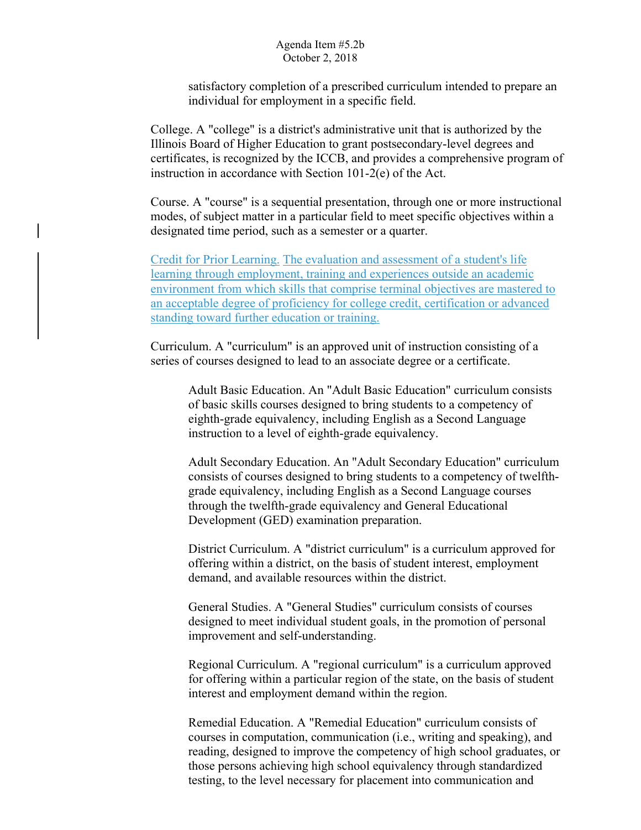satisfactory completion of a prescribed curriculum intended to prepare an individual for employment in a specific field.

College. A "college" is a district's administrative unit that is authorized by the Illinois Board of Higher Education to grant postsecondary-level degrees and certificates, is recognized by the ICCB, and provides a comprehensive program of instruction in accordance with Section 101-2(e) of the Act.

Course. A "course" is a sequential presentation, through one or more instructional modes, of subject matter in a particular field to meet specific objectives within a designated time period, such as a semester or a quarter.

Credit for Prior Learning. The evaluation and assessment of a student's life learning through employment, training and experiences outside an academic environment from which skills that comprise terminal objectives are mastered to an acceptable degree of proficiency for college credit, certification or advanced standing toward further education or training.

Curriculum. A "curriculum" is an approved unit of instruction consisting of a series of courses designed to lead to an associate degree or a certificate.

Adult Basic Education. An "Adult Basic Education" curriculum consists of basic skills courses designed to bring students to a competency of eighth-grade equivalency, including English as a Second Language instruction to a level of eighth-grade equivalency.

Adult Secondary Education. An "Adult Secondary Education" curriculum consists of courses designed to bring students to a competency of twelfthgrade equivalency, including English as a Second Language courses through the twelfth-grade equivalency and General Educational Development (GED) examination preparation.

District Curriculum. A "district curriculum" is a curriculum approved for offering within a district, on the basis of student interest, employment demand, and available resources within the district.

General Studies. A "General Studies" curriculum consists of courses designed to meet individual student goals, in the promotion of personal improvement and self-understanding.

Regional Curriculum. A "regional curriculum" is a curriculum approved for offering within a particular region of the state, on the basis of student interest and employment demand within the region.

Remedial Education. A "Remedial Education" curriculum consists of courses in computation, communication (i.e., writing and speaking), and reading, designed to improve the competency of high school graduates, or those persons achieving high school equivalency through standardized testing, to the level necessary for placement into communication and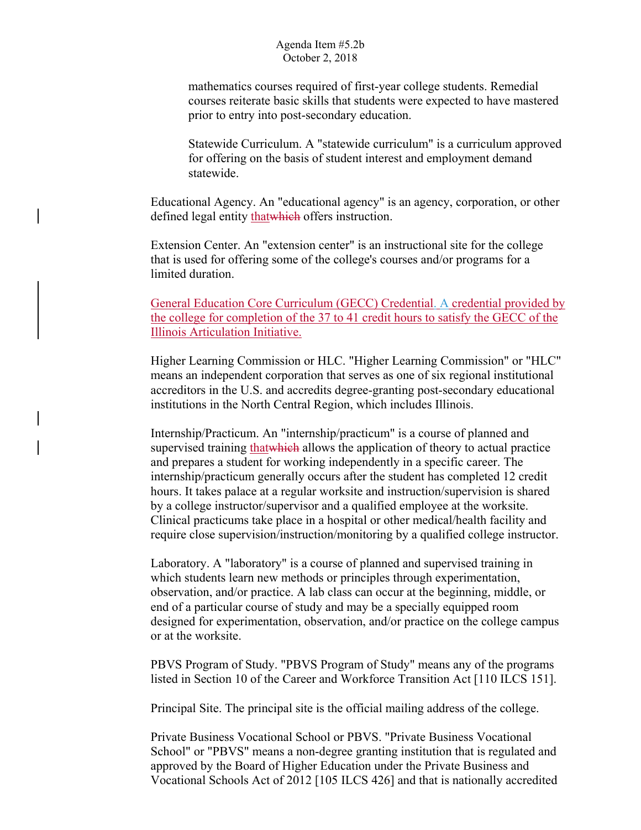mathematics courses required of first-year college students. Remedial courses reiterate basic skills that students were expected to have mastered prior to entry into post-secondary education.

Statewide Curriculum. A "statewide curriculum" is a curriculum approved for offering on the basis of student interest and employment demand statewide.

Educational Agency. An "educational agency" is an agency, corporation, or other defined legal entity that which offers instruction.

Extension Center. An "extension center" is an instructional site for the college that is used for offering some of the college's courses and/or programs for a limited duration.

General Education Core Curriculum (GECC) Credential. A credential provided by the college for completion of the 37 to 41 credit hours to satisfy the GECC of the Illinois Articulation Initiative.

Higher Learning Commission or HLC. "Higher Learning Commission" or "HLC" means an independent corporation that serves as one of six regional institutional accreditors in the U.S. and accredits degree-granting post-secondary educational institutions in the North Central Region, which includes Illinois.

Internship/Practicum. An "internship/practicum" is a course of planned and supervised training that which allows the application of theory to actual practice and prepares a student for working independently in a specific career. The internship/practicum generally occurs after the student has completed 12 credit hours. It takes palace at a regular worksite and instruction/supervision is shared by a college instructor/supervisor and a qualified employee at the worksite. Clinical practicums take place in a hospital or other medical/health facility and require close supervision/instruction/monitoring by a qualified college instructor.

Laboratory. A "laboratory" is a course of planned and supervised training in which students learn new methods or principles through experimentation, observation, and/or practice. A lab class can occur at the beginning, middle, or end of a particular course of study and may be a specially equipped room designed for experimentation, observation, and/or practice on the college campus or at the worksite.

PBVS Program of Study. "PBVS Program of Study" means any of the programs listed in Section 10 of the Career and Workforce Transition Act [110 ILCS 151].

Principal Site. The principal site is the official mailing address of the college.

Private Business Vocational School or PBVS. "Private Business Vocational School" or "PBVS" means a non-degree granting institution that is regulated and approved by the Board of Higher Education under the Private Business and Vocational Schools Act of 2012 [105 ILCS 426] and that is nationally accredited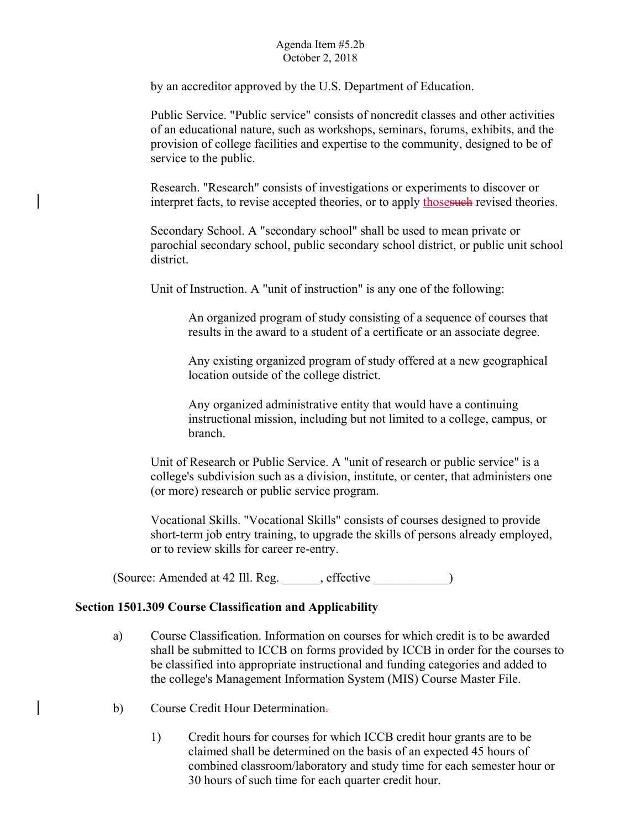by an accreditor approved by the U.S. Department of Education.

Public Service. "Public service" consists of noncredit classes and other activities of an educational nature, such as workshops, seminars, forums, exhibits, and the provision of college facilities and expertise to the community, designed to be of service to the public.

Research. "Research" consists of investigations or experiments to discover or interpret facts, to revise accepted theories, or to apply those such revised theories.

Secondary School. A "secondary school" shall be used to mean private or parochial secondary school, public secondary school district, or public unit school district.

Unit of Instruction. A "unit of instruction" is any one of the following:

An organized program of study consisting of a sequence of courses that results in the award to a student of a certificate or an associate degree.

Any existing organized program of study offered at a new geographical location outside of the college district.

Any organized administrative entity that would have a continuing instructional mission, including but not limited to a college, campus, or branch.

Unit of Research or Public Service. A "unit of research or public service" is a college's subdivision such as a division, institute, or center, that administers one (or more) research or public service program.

or to review skills for career re-entry. Vocational Skills. "Vocational Skills" consists of courses designed to provide short-term job entry training, to upgrade the skills of persons already employed,

(Source: Amended at 42 Ill. Reg.  $\qquad \qquad$ , effective  $)$ 

## **Section 1501.309 Course Classification and Applicability**

- a) Course Classification. Information on courses for which credit is to be awarded shall be submitted to ICCB on forms provided by ICCB in order for the courses to be classified into appropriate instructional and funding categories and added to the college's Management Information System (MIS) Course Master File.
- Course Credit Hour Determination-
- b) Course Credit Hour Determination.<br>
1) Credit hours for courses for which ICCB credit hour grants are to be claimed shall be determined on the basis of an expected 45 hours of combined classroom/laboratory and study time for each semester hour or 30 hours of such time for each quarter credit hour.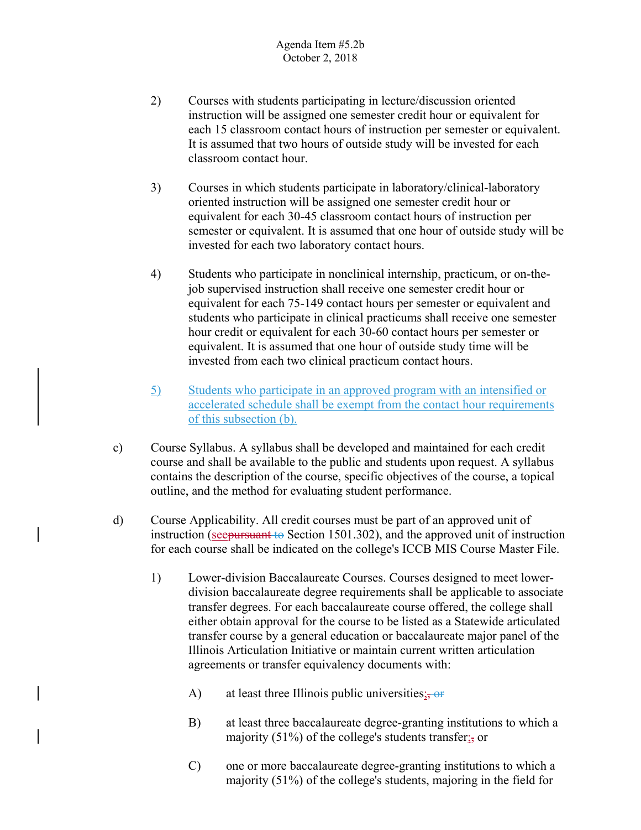- 2) Courses with students participating in lecture/discussion oriented instruction will be assigned one semester credit hour or equivalent for each 15 classroom contact hours of instruction per semester or equivalent. It is assumed that two hours of outside study will be invested for each classroom contact hour.
- 3) Courses in which students participate in laboratory/clinical-laboratory oriented instruction will be assigned one semester credit hour or equivalent for each 30-45 classroom contact hours of instruction per semester or equivalent. It is assumed that one hour of outside study will be invested for each two laboratory contact hours.
- 4) Students who participate in nonclinical internship, practicum, or on-thejob supervised instruction shall receive one semester credit hour or equivalent for each 75-149 contact hours per semester or equivalent and students who participate in clinical practicums shall receive one semester hour credit or equivalent for each 30-60 contact hours per semester or equivalent. It is assumed that one hour of outside study time will be invested from each two clinical practicum contact hours.
- 5) Students who participate in an approved program with an intensified or accelerated schedule shall be exempt from the contact hour requirements of this subsection (b).
- c) Course Syllabus. A syllabus shall be developed and maintained for each credit course and shall be available to the public and students upon request. A syllabus contains the description of the course, specific objectives of the course, a topical outline, and the method for evaluating student performance.
- d) Course Applicability. All credit courses must be part of an approved unit of instruction (see pursuant to Section 1501.302), and the approved unit of instruction for each course shall be indicated on the college's ICCB MIS Course Master File.
	- 1) Lower-division Baccalaureate Courses. Courses designed to meet lowerdivision baccalaureate degree requirements shall be applicable to associate transfer degrees. For each baccalaureate course offered, the college shall either obtain approval for the course to be listed as a Statewide articulated transfer course by a general education or baccalaureate major panel of the Illinois Articulation Initiative or maintain current written articulation agreements or transfer equivalency documents with:
		- at least three Illinois public universities;  $\frac{1}{2}$  or
		- A) at least three Illinois public universities<sub>is</sub>-or<br>B) at least three baccalaureate degree-granting institutions to which a majority (51%) of the college's students transfer $\frac{1}{22}$  or
		- C) one or more baccalaureate degree-granting institutions to which a majority (51%) of the college's students, majoring in the field for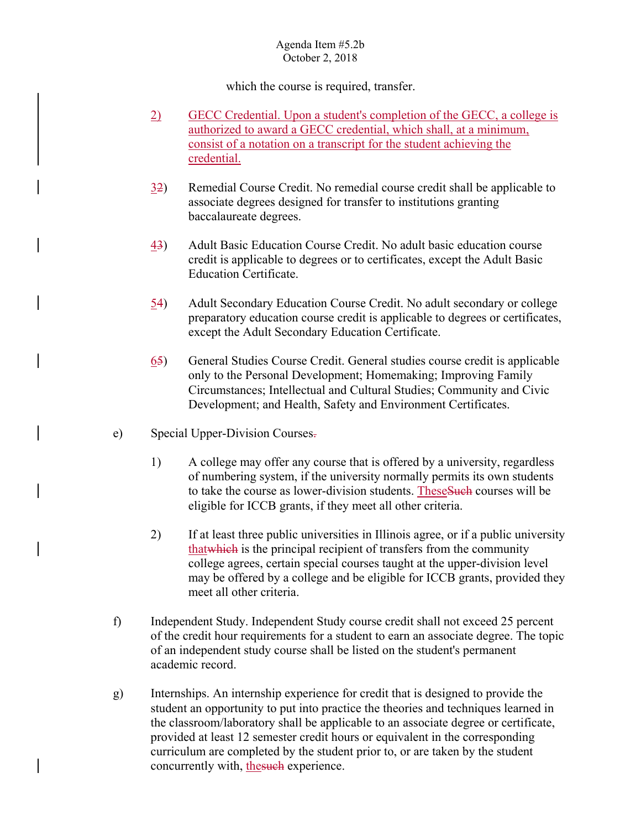which the course is required, transfer.

- 2) GECC Credential. Upon a student's completion of the GECC, a college is authorized to award a GECC credential, which shall, at a minimum, consist of a notation on a transcript for the student achieving the credential.
- 32) Remedial Course Credit. No remedial course credit shall be applicable to associate degrees designed for transfer to institutions granting baccalaureate degrees.
- 43) Adult Basic Education Course Credit. No adult basic education course credit is applicable to degrees or to certificates, except the Adult Basic Education Certificate.
- 54) Adult Secondary Education Course Credit. No adult secondary or college preparatory education course credit is applicable to degrees or certificates, except the Adult Secondary Education Certificate.
- 65) General Studies Course Credit. General studies course credit is applicable only to the Personal Development; Homemaking; Improving Family Circumstances; Intellectual and Cultural Studies; Community and Civic Development; and Health, Safety and Environment Certificates.
- Special Upper-Division Courses-
- e) Special Upper-Division Courses.<br>
1) A college may offer any course that is offered by a university, regardless of numbering system, if the university normally permits its own students to take the course as lower-division students. These Such courses will be eligible for ICCB grants, if they meet all other criteria.
	- 2) If at least three public universities in Illinois agree, or if a public university thatwhich is the principal recipient of transfers from the community college agrees, certain special courses taught at the upper-division level may be offered by a college and be eligible for ICCB grants, provided they meet all other criteria.
- f) Independent Study. Independent Study course credit shall not exceed 25 percent of the credit hour requirements for a student to earn an associate degree. The topic of an independent study course shall be listed on the student's permanent academic record.
- g) Internships. An internship experience for credit that is designed to provide the student an opportunity to put into practice the theories and techniques learned in the classroom/laboratory shall be applicable to an associate degree or certificate, provided at least 12 semester credit hours or equivalent in the corresponding curriculum are completed by the student prior to, or are taken by the student concurrently with, the such experience.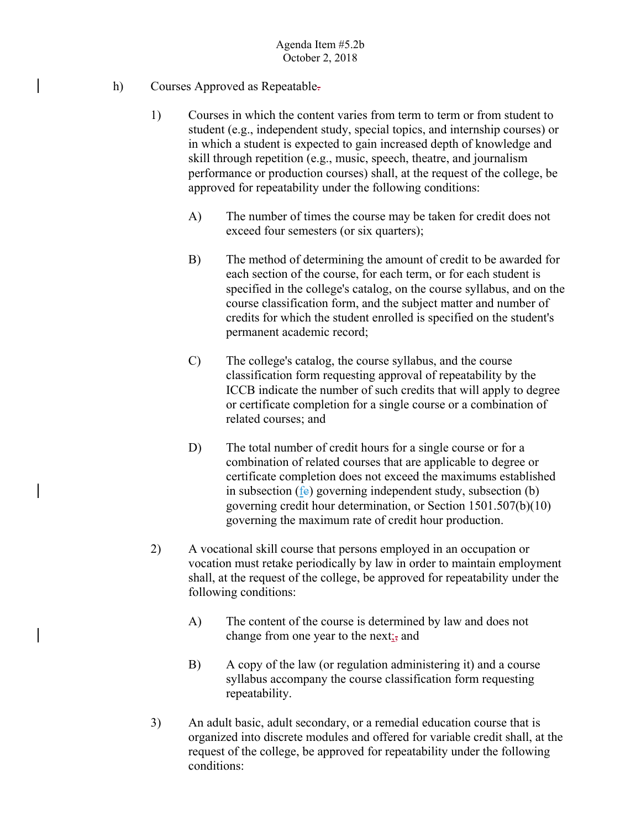- Courses Approved as Repeatable-
- h) Courses Approved as Repeatable.<br>
1) Courses in which the content varies from term to term or from student to student (e.g., independent study, special topics, and internship courses) or in which a student is expected to gain increased depth of knowledge and skill through repetition (e.g., music, speech, theatre, and journalism performance or production courses) shall, at the request of the college, be approved for repeatability under the following conditions:
	- A) The number of times the course may be taken for credit does not exceed four semesters (or six quarters);
	- B) The method of determining the amount of credit to be awarded for each section of the course, for each term, or for each student is specified in the college's catalog, on the course syllabus, and on the course classification form, and the subject matter and number of credits for which the student enrolled is specified on the student's permanent academic record;
	- C) The college's catalog, the course syllabus, and the course classification form requesting approval of repeatability by the ICCB indicate the number of such credits that will apply to degree or certificate completion for a single course or a combination of related courses; and
	- D) The total number of credit hours for a single course or for a combination of related courses that are applicable to degree or certificate completion does not exceed the maximums established in subsection (fe) governing independent study, subsection (b) governing credit hour determination, or Section 1501.507(b)(10) governing the maximum rate of credit hour production.
	- 2) A vocational skill course that persons employed in an occupation or vocation must retake periodically by law in order to maintain employment shall, at the request of the college, be approved for repeatability under the following conditions:
		- A) The content of the course is determined by law and does not change from one year to the next; and
		- B) A copy of the law (or regulation administering it) and a course syllabus accompany the course classification form requesting repeatability.
	- 3) An adult basic, adult secondary, or a remedial education course that is organized into discrete modules and offered for variable credit shall, at the request of the college, be approved for repeatability under the following conditions: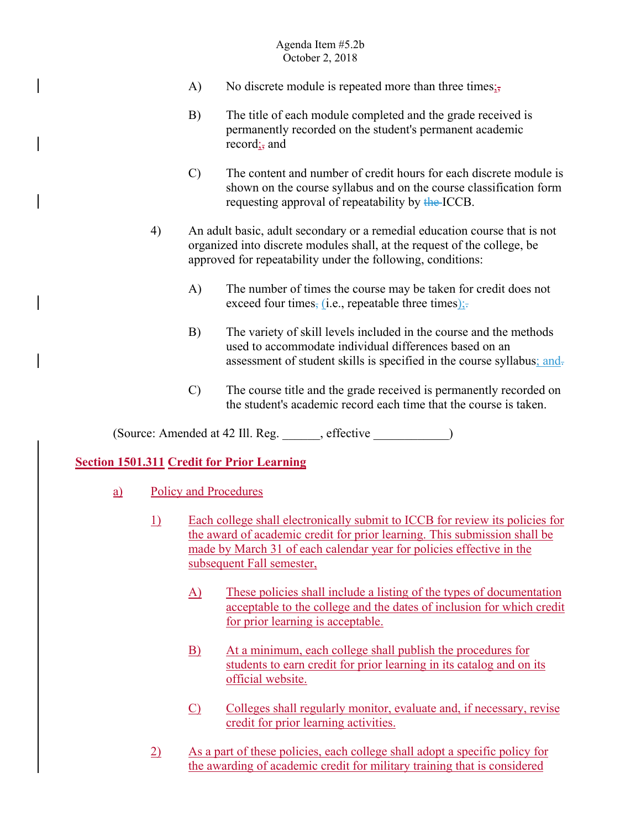- No discrete module is repeated more than three times $\frac{1}{27}$ A) No discrete module is repeated more than three times $\frac{1}{25}$ <br>B) The title of each module completed and the grade received is
- permanently recorded on the student's permanent academic record; and
- C) The content and number of credit hours for each discrete module is shown on the course syllabus and on the course classification form requesting approval of repeatability by the ICCB.
- 4) An adult basic, adult secondary or a remedial education course that is not organized into discrete modules shall, at the request of the college, be approved for repeatability under the following, conditions:
	- exceed four times, (i.e., repeatable three times); A) The number of times the course may be taken for credit does not
	- B) The variety of skill levels included in the course and the methods used to accommodate individual differences based on an
	- assessment of student skills is specified in the course syllabus; and-<br>C) The course title and the grade received is permanently recorded on the student's academic record each time that the course is taken.

(Source: Amended at 42 Ill. Reg. effective )

## **Section 1501.311 Credit for Prior Learning**

- a) Policy and Procedures
	- 1) Each college shall electronically submit to ICCB for review its policies for the award of academic credit for prior learning. This submission shall be made by March 31 of each calendar year for policies effective in the subsequent Fall semester,
		- A) These policies shall include a listing of the types of documentation acceptable to the college and the dates of inclusion for which credit for prior learning is acceptable.
		- B) At a minimum, each college shall publish the procedures for students to earn credit for prior learning in its catalog and on its official website.
		- $\overline{C}$  Colleges shall regularly monitor, evaluate and, if necessary, revise credit for prior learning activities.
	- 2) As a part of these policies, each college shall adopt a specific policy for the awarding of academic credit for military training that is considered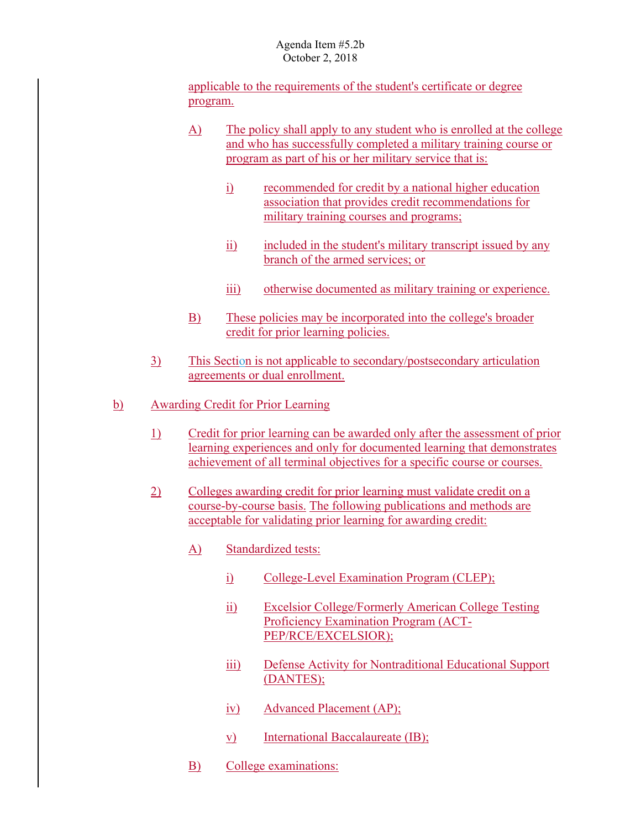applicable to the requirements of the student's certificate or degree program.

- A) The policy shall apply to any student who is enrolled at the college and who has successfully completed a military training course or program as part of his or her military service that is:
	- i) recommended for credit by a national higher education association that provides credit recommendations for military training courses and programs;
	- ii) included in the student's military transcript issued by any branch of the armed services; or
	- iii) otherwise documented as military training or experience.
- B) These policies may be incorporated into the college's broader credit for prior learning policies.
- 3) This Section is not applicable to secondary/postsecondary articulation agreements or dual enrollment.
- b) Awarding Credit for Prior Learning
	- 1) Credit for prior learning can be awarded only after the assessment of prior learning experiences and only for documented learning that demonstrates achievement of all terminal objectives for a specific course or courses.
	- 2) Colleges awarding credit for prior learning must validate credit on a course-by-course basis. The following publications and methods are acceptable for validating prior learning for awarding credit:
		- A) Standardized tests:
			- i) College-Level Examination Program (CLEP);
			- ii) Excelsior College/Formerly American College Testing Proficiency Examination Program (ACT-PEP/RCE/EXCELSIOR);
			- iii) Defense Activity for Nontraditional Educational Support (DANTES);
			- iv) Advanced Placement (AP);
			- v) International Baccalaureate (IB);
		- B) College examinations: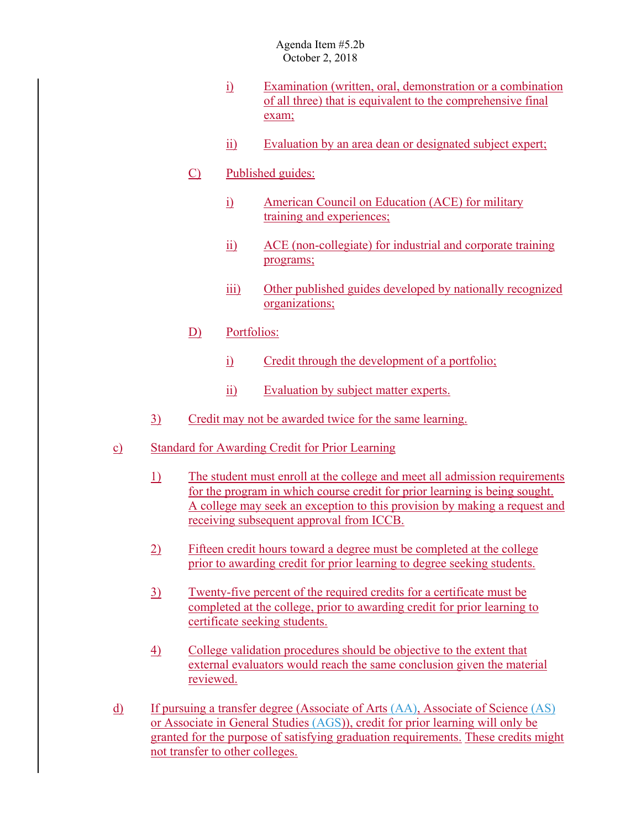- i) Examination (written, oral, demonstration or a combination of all three) that is equivalent to the comprehensive final exam;
- ii) Evaluation by an area dean or designated subject expert;
- C) Published guides:
	- i) American Council on Education (ACE) for military training and experiences;
	- ii) ACE (non-collegiate) for industrial and corporate training programs;
	- iii) Other published guides developed by nationally recognized organizations;
- D) Portfolios:
	- i) Credit through the development of a portfolio;
	- ii) Evaluation by subject matter experts.
- 3) Credit may not be awarded twice for the same learning.
- c) Standard for Awarding Credit for Prior Learning
	- receiving subsequent approval from ICCB. 1) The student must enroll at the college and meet all admission requirements for the program in which course credit for prior learning is being sought. A college may seek an exception to this provision by making a request and
	- 2) Fifteen credit hours toward a degree must be completed at the college prior to awarding credit for prior learning to degree seeking students.
	- 3) Twenty-five percent of the required credits for a certificate must be completed at the college, prior to awarding credit for prior learning to certificate seeking students.
	- 4) College validation procedures should be objective to the extent that external evaluators would reach the same conclusion given the material reviewed.
- d) If pursuing a transfer degree (Associate of Arts (AA), Associate of Science (AS) or Associate in General Studies (AGS)), credit for prior learning will only be granted for the purpose of satisfying graduation requirements. These credits might not transfer to other colleges.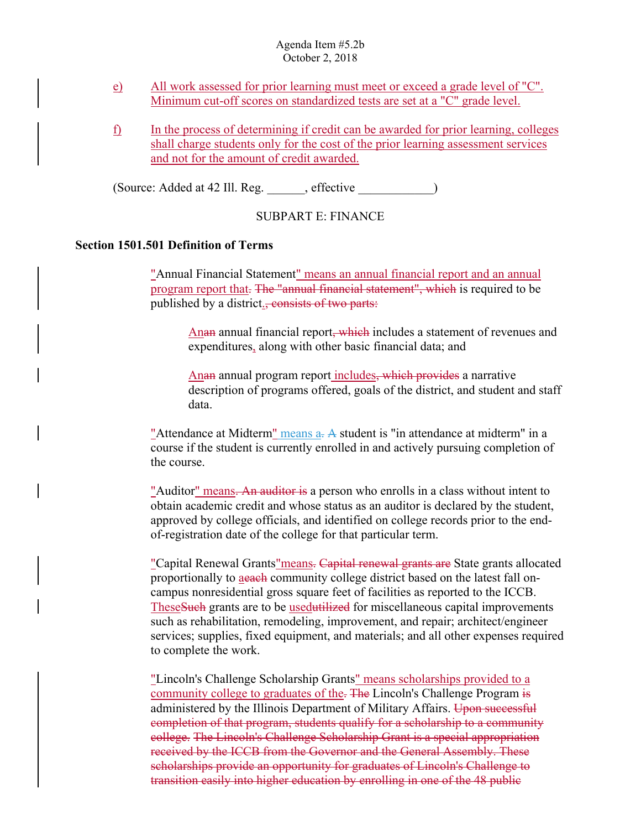- e) All work assessed for prior learning must meet or exceed a grade level of "C". Minimum cut-off scores on standardized tests are set at a "C" grade level.
- f) In the process of determining if credit can be awarded for prior learning, colleges shall charge students only for the cost of the prior learning assessment services and not for the amount of credit awarded.

(Source: Added at 42 Ill. Reg. \_\_\_\_\_\_, effective \_\_\_\_\_\_\_\_\_\_\_\_)

SUBPART E: FINANCE

## **Section 1501.501 Definition of Terms**

published by a district., consists of two parts: "Annual Financial Statement" means an annual financial report and an annual program report that. The "annual financial statement", which is required to be

Anan annual financial report, which includes a statement of revenues and expenditures, along with other basic financial data; and

Anan annual program report includes, which provides a narrative description of programs offered, goals of the district, and student and staff data.

"Attendance at Midterm" means  $a<sub>z</sub>$  A student is "in attendance at midterm" in a course if the student is currently enrolled in and actively pursuing completion of the course.

of-registration date of the college for that particular term. "Auditor" means. An auditor is a person who enrolls in a class without intent to obtain academic credit and whose status as an auditor is declared by the student, approved by college officials, and identified on college records prior to the end-

"Capital Renewal Grants" means. Capital renewal grants are State grants allocated proportionally to aeach community college district based on the latest fall oncampus nonresidential gross square feet of facilities as reported to the ICCB. TheseSuch grants are to be usedutilized for miscellaneous capital improvements such as rehabilitation, remodeling, improvement, and repair; architect/engineer services; supplies, fixed equipment, and materials; and all other expenses required to complete the work.

"Lincoln's Challenge Scholarship Grants" means scholarships provided to a community college to graduates of the. The Lincoln's Challenge Program is administered by the Illinois Department of Military Affairs. Upon successful completion of that program, students qualify for a scholarship to a community college. The Lincoln's Challenge Scholarship Grant is a special appropriation received by the ICCB from the Governor and the General Assembly. These scholarships provide an opportunity for graduates of Lincoln's Challenge to transition easily into higher education by enrolling in one of the 48 public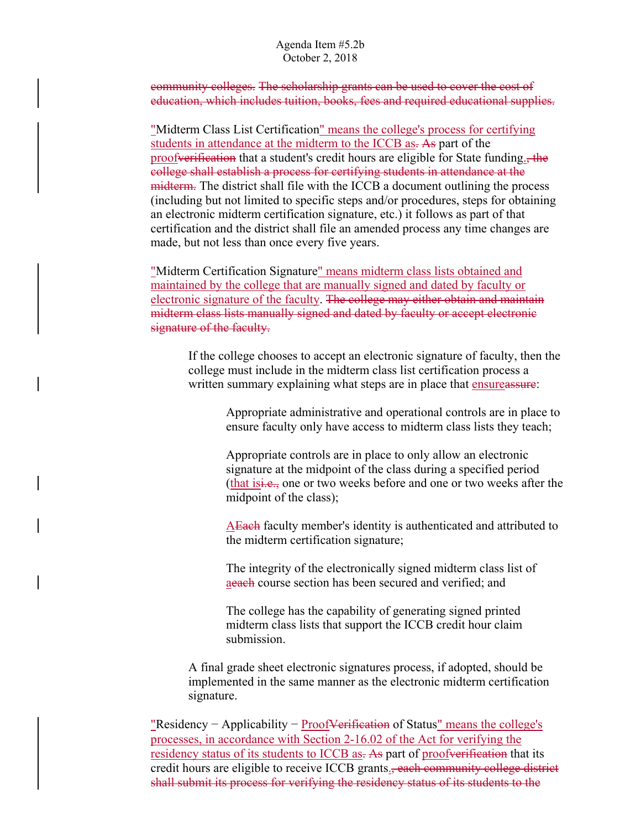community colleges. The scholarship grants can be used to cover the cost of education, which includes tuition, books, fees and required educational supplies.

"Midterm Class List Certification" means the college's process for certifying students in attendance at the midterm to the ICCB as. As part of the proofverification that a student's credit hours are eligible for State funding<sub>5</sub>, the college shall establish a process for certifying students in attendance at the midterm. The district shall file with the ICCB a document outlining the process (including but not limited to specific steps and/or procedures, steps for obtaining an electronic midterm certification signature, etc.) it follows as part of that certification and the district shall file an amended process any time changes are made, but not less than once every five years.

"Midterm Certification Signature" means midterm class lists obtained and maintained by the college that are manually signed and dated by faculty or electronic signature of the faculty. The college may either obtain and maintain midterm class lists manually signed and dated by faculty or accept electronic signature of the faculty.

If the college chooses to accept an electronic signature of faculty, then the college must include in the midterm class list certification process a written summary explaining what steps are in place that ensureassure:

> Appropriate administrative and operational controls are in place to ensure faculty only have access to midterm class lists they teach;

> Appropriate controls are in place to only allow an electronic signature at the midpoint of the class during a specified period (that is<del>i.e.,</del> one or two weeks before and one or two weeks after the midpoint of the class);

AEach faculty member's identity is authenticated and attributed to the midterm certification signature;

The integrity of the electronically signed midterm class list of aeach course section has been secured and verified; and

The college has the capability of generating signed printed midterm class lists that support the ICCB credit hour claim submission.

A final grade sheet electronic signatures process, if adopted, should be implemented in the same manner as the electronic midterm certification signature.

residency status of its students to ICCB as. As part of proofverification that its "Residency – Applicability – Proof<del>Verification</del> of Status" means the college's processes, in accordance with Section 2-16.02 of the Act for verifying the credit hours are eligible to receive ICCB grants., each community college district shall submit its process for verifying the residency status of its students to the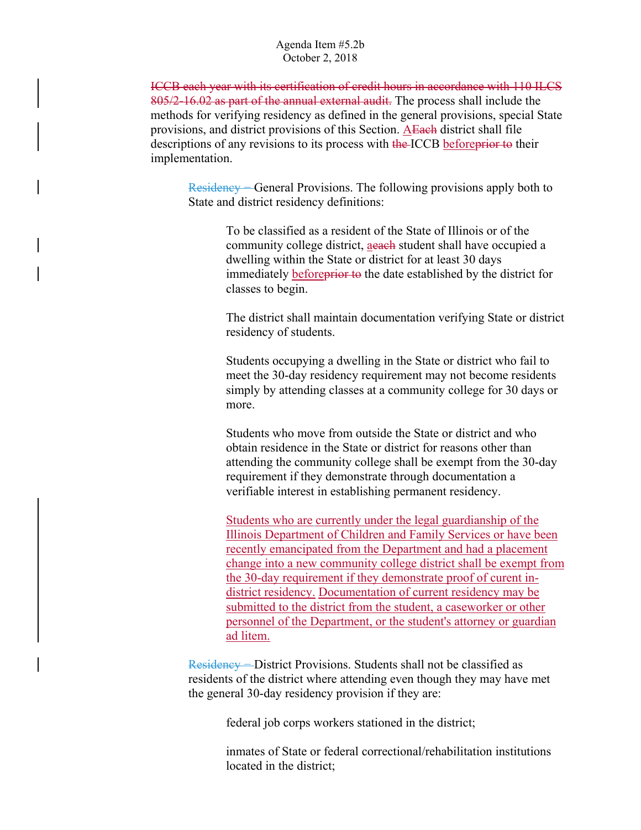ICCB each year with its certification of credit hours in accordance with 110 ILCS 805/2-16.02 as part of the annual external audit. The process shall include the methods for verifying residency as defined in the general provisions, special State provisions, and district provisions of this Section. AEach district shall file descriptions of any revisions to its process with the ICCB before prior to their implementation.

Residency − General Provisions. The following provisions apply both to State and district residency definitions:

> To be classified as a resident of the State of Illinois or of the community college district, aeach student shall have occupied a dwelling within the State or district for at least 30 days immediately **beforeprior** to the date established by the district for classes to begin.

The district shall maintain documentation verifying State or district residency of students.

Students occupying a dwelling in the State or district who fail to meet the 30-day residency requirement may not become residents simply by attending classes at a community college for 30 days or more.

Students who move from outside the State or district and who obtain residence in the State or district for reasons other than attending the community college shall be exempt from the 30-day requirement if they demonstrate through documentation a verifiable interest in establishing permanent residency.

Students who are currently under the legal guardianship of the Illinois Department of Children and Family Services or have been recently emancipated from the Department and had a placement change into a new community college district shall be exempt from the 30-day requirement if they demonstrate proof of curent indistrict residency. Documentation of current residency may be submitted to the district from the student, a caseworker or other personnel of the Department, or the student's attorney or guardian ad litem.

Residency – District Provisions. Students shall not be classified as residents of the district where attending even though they may have met the general 30-day residency provision if they are:

federal job corps workers stationed in the district;

inmates of State or federal correctional/rehabilitation institutions located in the district;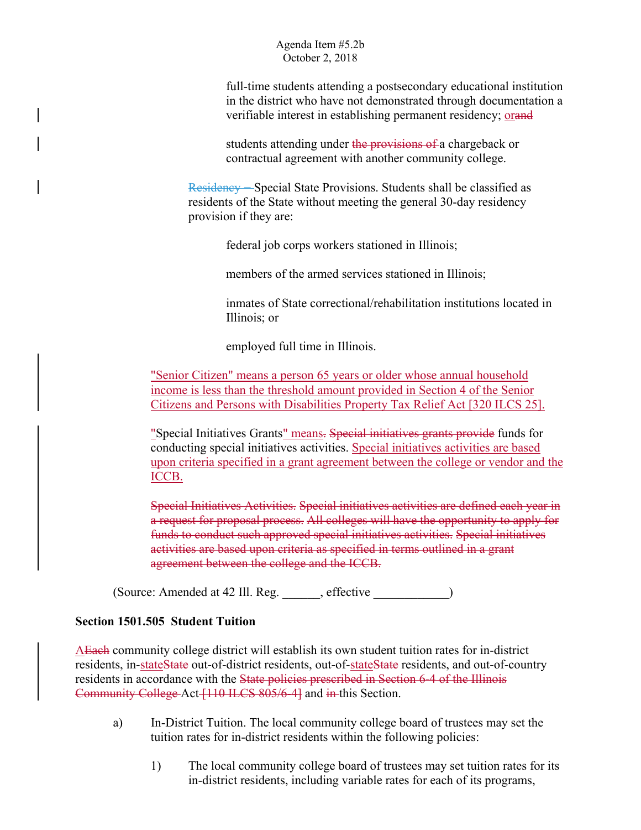full-time students attending a postsecondary educational institution in the district who have not demonstrated through documentation a verifiable interest in establishing permanent residency; orand

students attending under the provisions of a chargeback or contractual agreement with another community college.

Residency – Special State Provisions. Students shall be classified as residents of the State without meeting the general 30-day residency provision if they are:

federal job corps workers stationed in Illinois;

members of the armed services stationed in Illinois;

inmates of State correctional/rehabilitation institutions located in Illinois; or

employed full time in Illinois.

"Senior Citizen" means a person 65 years or older whose annual household income is less than the threshold amount provided in Section 4 of the Senior Citizens and Persons with Disabilities Property Tax Relief Act [320 ILCS 25].

"Special Initiatives Grants" means. Special initiatives grants provide funds for conducting special initiatives activities. Special initiatives activities are based upon criteria specified in a grant agreement between the college or vendor and the ICCB.

Special Initiatives Activities. Special initiatives activities are defined each year in a request for proposal process. All colleges will have the opportunity to apply for funds to conduct such approved special initiatives activities. Special initiatives activities are based upon criteria as specified in terms outlined in a grant agreement between the college and the ICCB.

(Source: Amended at 42 Ill. Reg. \_\_\_\_\_\_, effective \_\_\_\_\_\_\_\_\_\_\_\_)

## **Section 1501.505 Student Tuition**

AEach community college district will establish its own student tuition rates for in-district residents, in-stateState out-of-district residents, out-of-stateState residents, and out-of-country residents in accordance with the State policies prescribed in Section 6-4 of the Illinois Community College Act [110 ILCS 805/6-4] and in this Section.

- a) In-District Tuition. The local community college board of trustees may set the tuition rates for in-district residents within the following policies:
	- 1) The local community college board of trustees may set tuition rates for its in-district residents, including variable rates for each of its programs,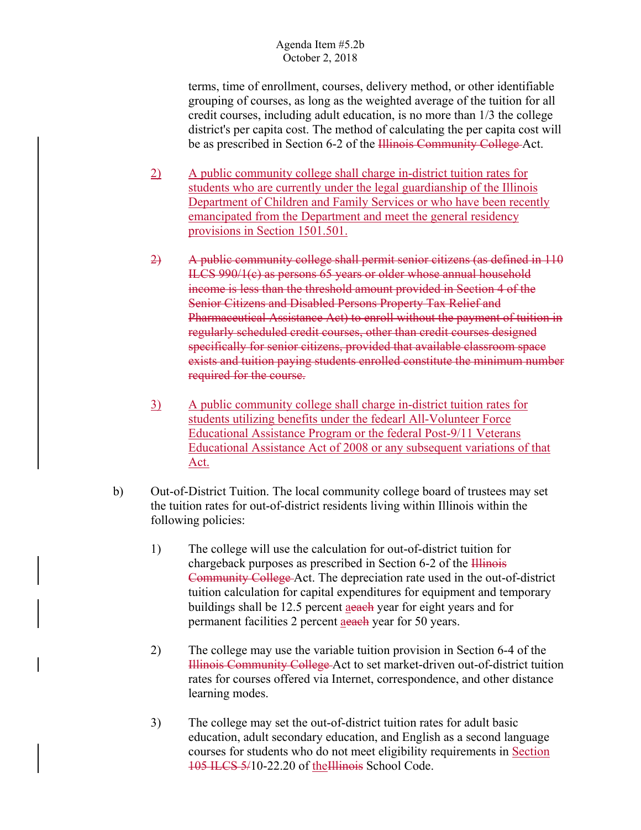terms, time of enrollment, courses, delivery method, or other identifiable grouping of courses, as long as the weighted average of the tuition for all credit courses, including adult education, is no more than 1/3 the college district's per capita cost. The method of calculating the per capita cost will be as prescribed in Section 6-2 of the Illinois Community College Act.

- 2) A public community college shall charge in-district tuition rates for students who are currently under the legal guardianship of the Illinois Department of Children and Family Services or who have been recently emancipated from the Department and meet the general residency provisions in Section 1501.501.
- 2) A public community college shall permit senior citizens (as defined in 110 ILCS 990/1(c) as persons 65 years or older whose annual household income is less than the threshold amount provided in Section 4 of the Senior Citizens and Disabled Persons Property Tax Relief and Pharmaceutical Assistance Act) to enroll without the payment of tuition in regularly scheduled credit courses, other than credit courses designed specifically for senior citizens, provided that available classroom space exists and tuition paying students enrolled constitute the minimum number required for the course.
- 3) A public community college shall charge in-district tuition rates for students utilizing benefits under the fedearl All-Volunteer Force Educational Assistance Program or the federal Post-9/11 Veterans Educational Assistance Act of 2008 or any subsequent variations of that Act.
- b) Out-of-District Tuition. The local community college board of trustees may set the tuition rates for out-of-district residents living within Illinois within the following policies:
	- 1) The college will use the calculation for out-of-district tuition for chargeback purposes as prescribed in Section 6-2 of the Illinois Community College Act. The depreciation rate used in the out-of-district tuition calculation for capital expenditures for equipment and temporary buildings shall be 12.5 percent aeach year for eight years and for permanent facilities 2 percent aeach year for 50 years.
	- 2) The college may use the variable tuition provision in Section 6-4 of the Illinois Community College Act to set market-driven out-of-district tuition rates for courses offered via Internet, correspondence, and other distance learning modes.
	- 3) The college may set the out-of-district tuition rates for adult basic education, adult secondary education, and English as a second language courses for students who do not meet eligibility requirements in Section 105 ILCS 5/10-22.20 of theIllinois School Code.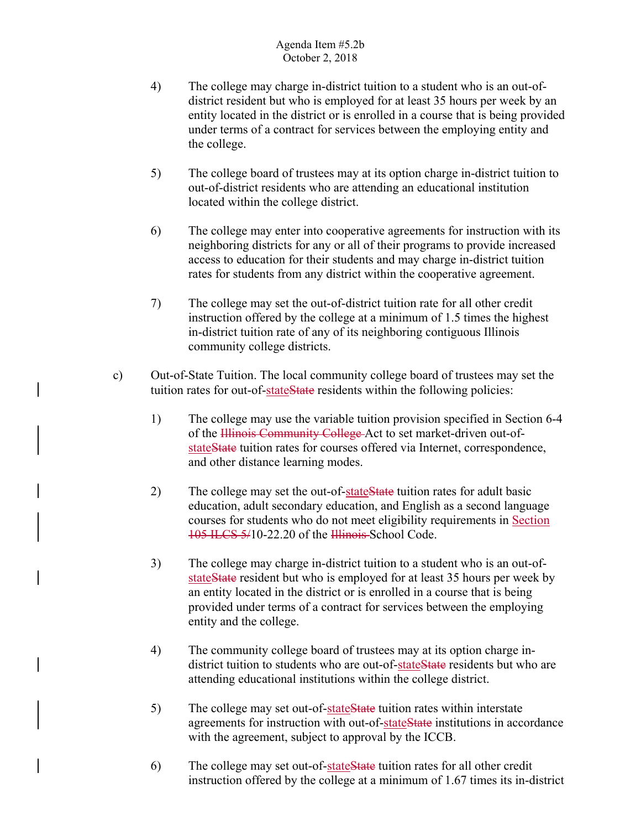- 4) The college may charge in-district tuition to a student who is an out-ofdistrict resident but who is employed for at least 35 hours per week by an entity located in the district or is enrolled in a course that is being provided under terms of a contract for services between the employing entity and the college.
- 5) The college board of trustees may at its option charge in-district tuition to out-of-district residents who are attending an educational institution located within the college district.
- 6) The college may enter into cooperative agreements for instruction with its neighboring districts for any or all of their programs to provide increased access to education for their students and may charge in-district tuition rates for students from any district within the cooperative agreement.
- 7) The college may set the out-of-district tuition rate for all other credit instruction offered by the college at a minimum of 1.5 times the highest in-district tuition rate of any of its neighboring contiguous Illinois community college districts.
- c) Out-of-State Tuition. The local community college board of trustees may set the tuition rates for out-of-stateState residents within the following policies:
	- 1) The college may use the variable tuition provision specified in Section 6-4 of the Hlinois Community College-Act to set market-driven out-ofstateState tuition rates for courses offered via Internet, correspondence, and other distance learning modes.
	- 2) The college may set the out-of-state State tuition rates for adult basic education, adult secondary education, and English as a second language courses for students who do not meet eligibility requirements in Section 105 ILCS 5/10-22.20 of the Illinois School Code.
	- 3) The college may charge in-district tuition to a student who is an out-ofstateState resident but who is employed for at least 35 hours per week by an entity located in the district or is enrolled in a course that is being provided under terms of a contract for services between the employing entity and the college.
	- attending educational institutions within the college district. 4) The community college board of trustees may at its option charge indistrict tuition to students who are out-of-state State residents but who are
	- 5) The college may set out-of-state State tuition rates within interstate agreements for instruction with out-of-stateState institutions in accordance with the agreement, subject to approval by the ICCB.
	- 6) The college may set out-of-stateState tuition rates for all other credit instruction offered by the college at a minimum of 1.67 times its in-district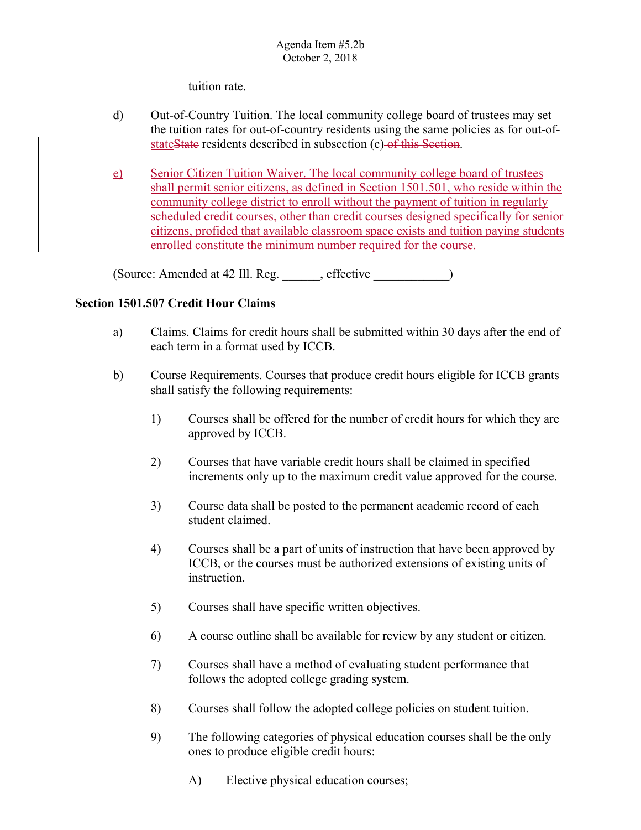tuition rate.

- d) Out-of-Country Tuition. The local community college board of trustees may set the tuition rates for out-of-country residents using the same policies as for out-ofstateState residents described in subsection (c) of this Section.
- e) Senior Citizen Tuition Waiver. The local community college board of trustees shall permit senior citizens, as defined in Section 1501.501, who reside within the community college district to enroll without the payment of tuition in regularly scheduled credit courses, other than credit courses designed specifically for senior citizens, profided that available classroom space exists and tuition paying students enrolled constitute the minimum number required for the course.

(Source: Amended at 42 Ill. Reg. effective )

# **Section 1501.507 Credit Hour Claims**

- each term in a format used by ICCB. a) Claims. Claims for credit hours shall be submitted within 30 days after the end of
- b) Course Requirements. Courses that produce credit hours eligible for ICCB grants shall satisfy the following requirements:
	- 1) Courses shall be offered for the number of credit hours for which they are approved by ICCB.
	- 2) Courses that have variable credit hours shall be claimed in specified increments only up to the maximum credit value approved for the course.
	- 3) Course data shall be posted to the permanent academic record of each student claimed.
	- 4) Courses shall be a part of units of instruction that have been approved by ICCB, or the courses must be authorized extensions of existing units of instruction.
	- 5) Courses shall have specific written objectives.
	- 6) A course outline shall be available for review by any student or citizen.
	- 7) Courses shall have a method of evaluating student performance that follows the adopted college grading system.
	- 8) Courses shall follow the adopted college policies on student tuition.
	- 9) The following categories of physical education courses shall be the only ones to produce eligible credit hours:
		- A) Elective physical education courses;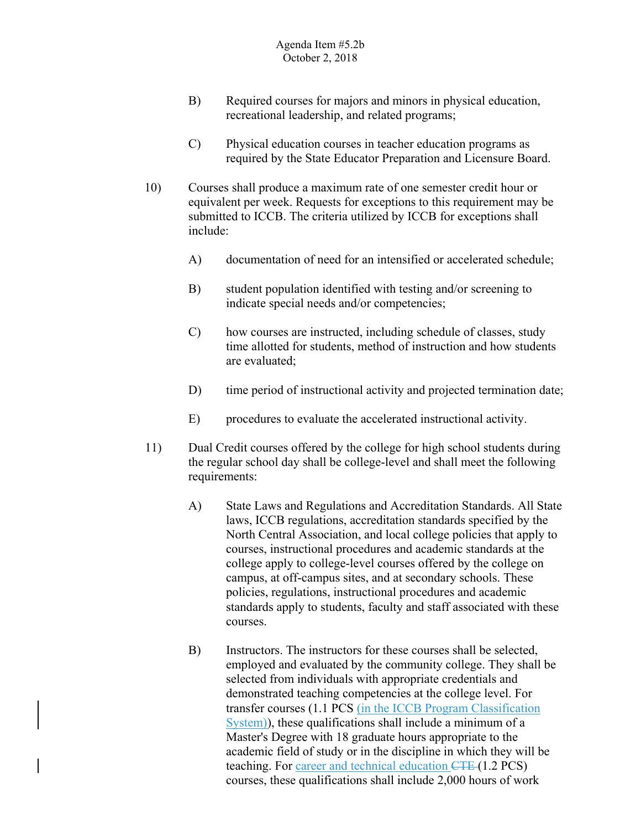- B) Required courses for majors and minors in physical education, recreational leadership, and related programs;
- required by the State Educator Preparation and Licensure Board. C) Physical education courses in teacher education programs as
- 10) Courses shall produce a maximum rate of one semester credit hour or equivalent per week. Requests for exceptions to this requirement may be submitted to ICCB. The criteria utilized by ICCB for exceptions shall include:
	- A) documentation of need for an intensified or accelerated schedule;
	- B) student population identified with testing and/or screening to indicate special needs and/or competencies;
	- C) how courses are instructed, including schedule of classes, study time allotted for students, method of instruction and how students are evaluated;
	- D) time period of instructional activity and projected termination date;
	- E) procedures to evaluate the accelerated instructional activity.
- 11) Dual Credit courses offered by the college for high school students during the regular school day shall be college-level and shall meet the following requirements:
	- A) State Laws and Regulations and Accreditation Standards. All State laws, ICCB regulations, accreditation standards specified by the North Central Association, and local college policies that apply to courses, instructional procedures and academic standards at the college apply to college-level courses offered by the college on campus, at off-campus sites, and at secondary schools. These policies, regulations, instructional procedures and academic standards apply to students, faculty and staff associated with these courses.
	- B) Instructors. The instructors for these courses shall be selected, employed and evaluated by the community college. They shall be selected from individuals with appropriate credentials and demonstrated teaching competencies at the college level. For transfer courses (1.1 PCS (in the ICCB Program Classification System)), these qualifications shall include a minimum of a Master's Degree with 18 graduate hours appropriate to the academic field of study or in the discipline in which they will be teaching. For career and technical education CTE (1.2 PCS) courses, these qualifications shall include 2,000 hours of work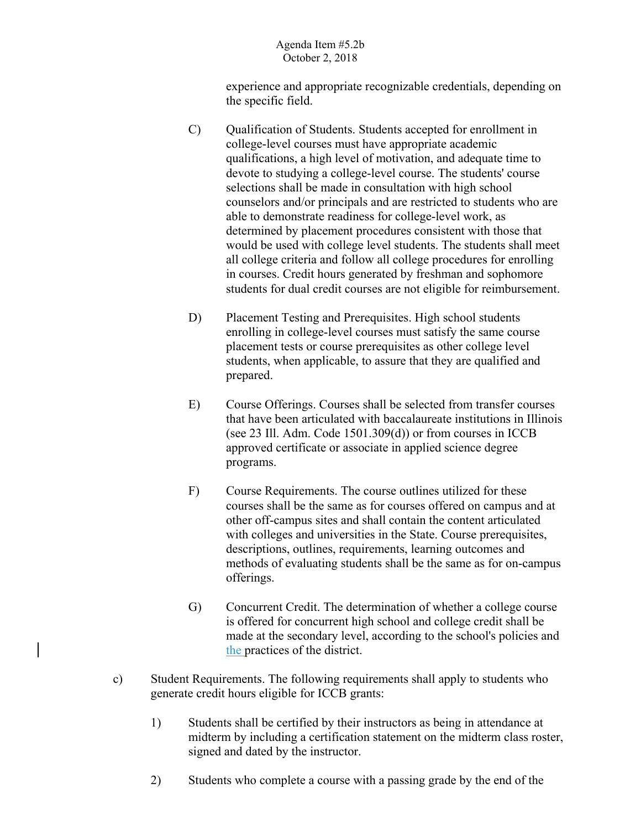experience and appropriate recognizable credentials, depending on the specific field.

- C) Qualification of Students. Students accepted for enrollment in college-level courses must have appropriate academic qualifications, a high level of motivation, and adequate time to devote to studying a college-level course. The students' course selections shall be made in consultation with high school counselors and/or principals and are restricted to students who are able to demonstrate readiness for college-level work, as determined by placement procedures consistent with those that would be used with college level students. The students shall meet all college criteria and follow all college procedures for enrolling in courses. Credit hours generated by freshman and sophomore students for dual credit courses are not eligible for reimbursement.
- D) Placement Testing and Prerequisites. High school students enrolling in college-level courses must satisfy the same course placement tests or course prerequisites as other college level students, when applicable, to assure that they are qualified and prepared.
- E) Course Offerings. Courses shall be selected from transfer courses that have been articulated with baccalaureate institutions in Illinois (see 23 Ill. Adm. Code 1501.309(d)) or from courses in ICCB approved certificate or associate in applied science degree programs.
- F) Course Requirements. The course outlines utilized for these courses shall be the same as for courses offered on campus and at other off-campus sites and shall contain the content articulated with colleges and universities in the State. Course prerequisites, descriptions, outlines, requirements, learning outcomes and methods of evaluating students shall be the same as for on-campus offerings.
- G) Concurrent Credit. The determination of whether a college course is offered for concurrent high school and college credit shall be made at the secondary level, according to the school's policies and the practices of the district.
- c) Student Requirements. The following requirements shall apply to students who generate credit hours eligible for ICCB grants:
	- 1) Students shall be certified by their instructors as being in attendance at midterm by including a certification statement on the midterm class roster, signed and dated by the instructor.
	- 2) Students who complete a course with a passing grade by the end of the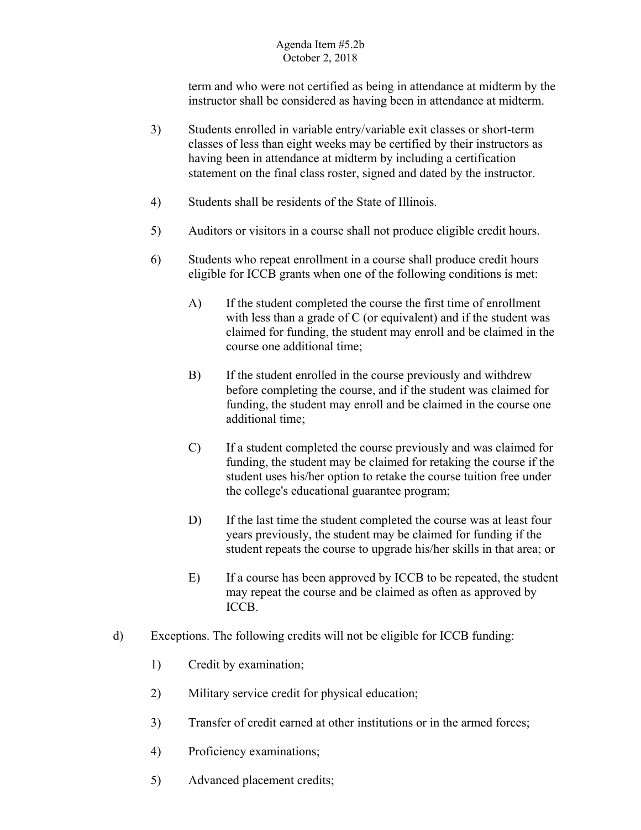term and who were not certified as being in attendance at midterm by the

- instructor shall be considered as having been in attendance at midterm.<br>3) Students enrolled in variable entry/variable exit classes or short-term classes of less than eight weeks may be certified by their instructors as having been in attendance at midterm by including a certification statement on the final class roster, signed and dated by the instructor.
- 4) Students shall be residents of the State of Illinois.
- 5) Auditors or visitors in a course shall not produce eligible credit hours.
- 6) Students who repeat enrollment in a course shall produce credit hours eligible for ICCB grants when one of the following conditions is met:
	- A) If the student completed the course the first time of enrollment with less than a grade of C (or equivalent) and if the student was claimed for funding, the student may enroll and be claimed in the course one additional time;
	- B) If the student enrolled in the course previously and withdrew before completing the course, and if the student was claimed for funding, the student may enroll and be claimed in the course one additional time;
	- C) If a student completed the course previously and was claimed for funding, the student may be claimed for retaking the course if the student uses his/her option to retake the course tuition free under the college's educational guarantee program;
	- D) If the last time the student completed the course was at least four years previously, the student may be claimed for funding if the student repeats the course to upgrade his/her skills in that area; or
	- E) If a course has been approved by ICCB to be repeated, the student may repeat the course and be claimed as often as approved by ICCB.
- d) Exceptions. The following credits will not be eligible for ICCB funding:
	- 1) Credit by examination;
	- 2) Military service credit for physical education;
	- 3) Transfer of credit earned at other institutions or in the armed forces;
	- 4) Proficiency examinations;
	- 5) Advanced placement credits;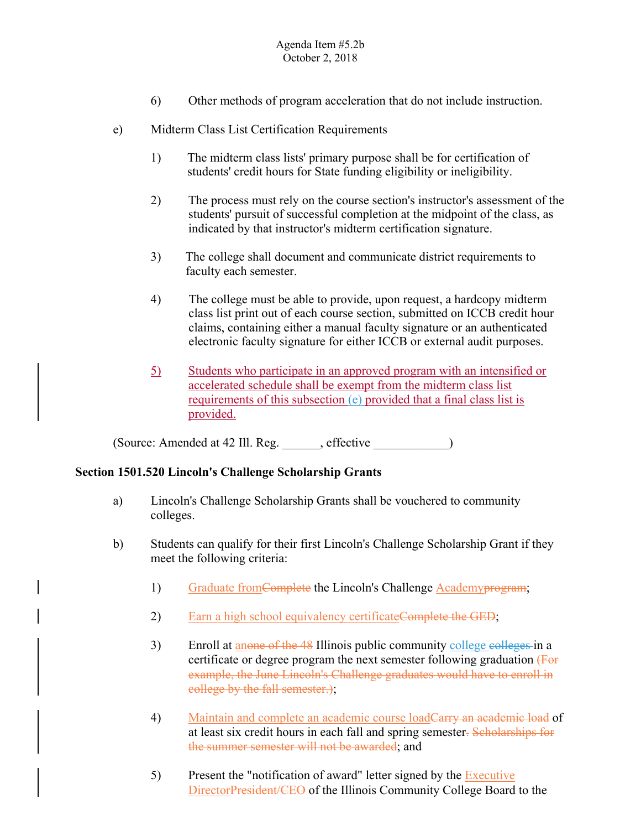- 6) Other methods of program acceleration that do not include instruction.
- e) Midterm Class List Certification Requirements
	- 1) The midterm class lists' primary purpose shall be for certification of students' credit hours for State funding eligibility or ineligibility.
	- 2) The process must rely on the course section's instructor's assessment of the students' pursuit of successful completion at the midpoint of the class, as indicated by that instructor's midterm certification signature.
	- 3) The college shall document and communicate district requirements to faculty each semester.
	- 4) The college must be able to provide, upon request, a hardcopy midterm class list print out of each course section, submitted on ICCB credit hour claims, containing either a manual faculty signature or an authenticated electronic faculty signature for either ICCB or external audit purposes.
	- 5) Students who participate in an approved program with an intensified or accelerated schedule shall be exempt from the midterm class list requirements of this subsection (e) provided that a final class list is provided.

(Source: Amended at 42 Ill. Reg. effective )

## **Section 1501.520 Lincoln's Challenge Scholarship Grants**

- colleges. a) Lincoln's Challenge Scholarship Grants shall be vouchered to community
- b) Students can qualify for their first Lincoln's Challenge Scholarship Grant if they meet the following criteria:
	- 1) Graduate from Complete the Lincoln's Challenge Academy program;
	- 2) Earn a high school equivalency certificate Complete the GED;
	- 3) Enroll at anone of the 48 Illinois public community college colleges in a certificate or degree program the next semester following graduation (For example, the June Lincoln's Challenge graduates would have to enroll in college by the fall semester.);
	- 4) Maintain and complete an academic course loadCarry an academic load of at least six credit hours in each fall and spring semester. Scholarships for the summer semester will not be awarded; and
	- 5) Present the "notification of award" letter signed by the  $\frac{Executive}{}$ DirectorPresident/CEO of the Illinois Community College Board to the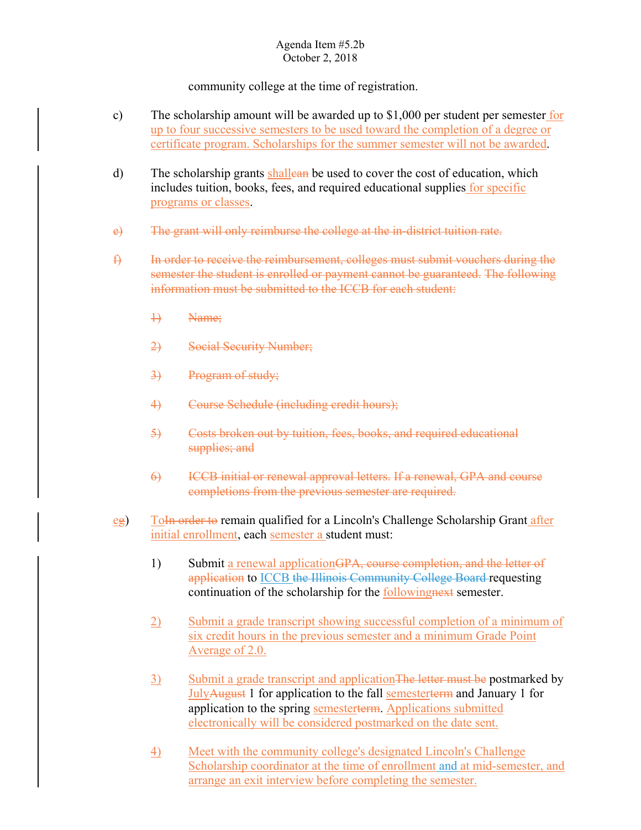community college at the time of registration.

- c) The scholarship amount will be awarded up to  $$1,000$  per student per semester for up to four successive semesters to be used toward the completion of a degree or certificate program. Scholarships for the summer semester will not be awarded.
- d) The scholarship grants shalled be used to cover the cost of education, which includes tuition, books, fees, and required educational supplies for specific programs or classes.
- e) The grant will only reimburse the college at the in-district tuition rate.
- f) In order to receive the reimbursement, colleges must submit vouchers during the semester the student is enrolled or payment cannot be guaranteed. The following information must be submitted to the ICCB for each student:
	- 1) Name;
	- 2) Social Security Number;
	- 3) Program of study;
	- 4) Course Schedule (including credit hours);
	- 5) Costs broken out by tuition, fees, books, and required educational supplies; and
	- 6) ICCB initial or renewal approval letters. If a renewal, GPA and course completions from the previous semester are required.
- eg) Toln order to remain qualified for a Lincoln's Challenge Scholarship Grant after initial enrollment, each semester a student must:
	- 1) Submit a renewal application GPA, course completion, and the letter of application to ICCB the Illinois Community College Board requesting continuation of the scholarship for the followingnext semester.
	- 2) Submit a grade transcript showing successful completion of a minimum of six credit hours in the previous semester and a minimum Grade Point Average of 2.0.
	- 3) Submit a grade transcript and application The letter must be postmarked by JulyAugust 1 for application to the fall semesterterm and January 1 for application to the spring semesterterm. Applications submitted electronically will be considered postmarked on the date sent.
	- 4) Meet with the community college's designated Lincoln's Challenge Scholarship coordinator at the time of enrollment and at mid-semester, and arrange an exit interview before completing the semester.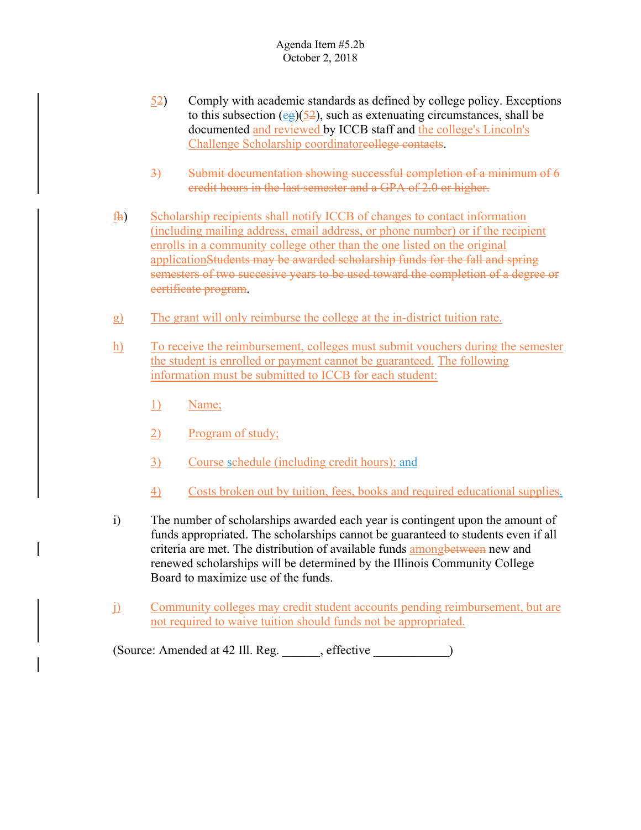- 52) Comply with academic standards as defined by college policy. Exceptions to this subsection (eg)( $52$ ), such as extenuating circumstances, shall be documented and reviewed by ICCB staff and the college's Lincoln's Challenge Scholarship coordinatoreollege contacts.
- 3) Submit documentation showing successful completion of a minimum of 6 credit hours in the last semester and a GPA of 2.0 or higher.
- fh) Scholarship recipients shall notify ICCB of changes to contact information (including mailing address, email address, or phone number) or if the recipient enrolls in a community college other than the one listed on the original applicationStudents may be awarded scholarship funds for the fall and spring semesters of two succesive years to be used toward the completion of a degree or certificate program.
- g) The grant will only reimburse the college at the in-district tuition rate.
- h) To receive the reimbursement, colleges must submit vouchers during the semester the student is enrolled or payment cannot be guaranteed. The following information must be submitted to ICCB for each student:
	- 1) Name;
	- 2) Program of study;
	- 3) Course schedule (including credit hours); and
	- 4) Costs broken out by tuition, fees, books and required educational supplies.
- i) The number of scholarships awarded each year is contingent upon the amount of funds appropriated. The scholarships cannot be guaranteed to students even if all criteria are met. The distribution of available funds among between new and renewed scholarships will be determined by the Illinois Community College Board to maximize use of the funds.
- j) Community colleges may credit student accounts pending reimbursement, but are not required to waive tuition should funds not be appropriated.

(Source: Amended at 42 Ill. Reg. \_\_\_\_\_\_, effective \_\_\_\_\_\_\_\_\_\_\_\_)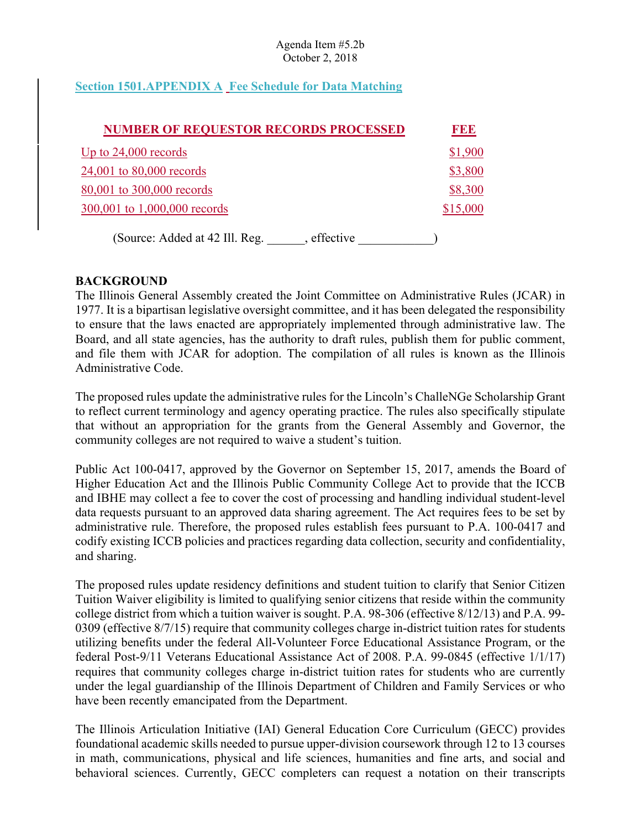# **Section 1501.APPENDIX A Fee Schedule for Data Matching**

| <b>NUMBER OF REQUESTOR RECORDS PROCESSED</b>  | <b>FEE</b> |
|-----------------------------------------------|------------|
| Up to $24,000$ records                        | \$1,900    |
| 24,001 to 80,000 records                      | \$3,800    |
| 80,001 to 300,000 records                     | \$8,300    |
| 300,001 to 1,000,000 records                  | \$15,000   |
| (Source: Added at 42 Ill. Reg.<br>, effective |            |

## **BACKGROUND**

The Illinois General Assembly created the Joint Committee on Administrative Rules (JCAR) in 1977. It is a bipartisan legislative oversight committee, and it has been delegated the responsibility to ensure that the laws enacted are appropriately implemented through administrative law. The Board, and all state agencies, has the authority to draft rules, publish them for public comment, and file them with JCAR for adoption. The compilation of all rules is known as the Illinois Administrative Code.

The proposed rules update the administrative rules for the Lincoln's ChalleNGe Scholarship Grant to reflect current terminology and agency operating practice. The rules also specifically stipulate that without an appropriation for the grants from the General Assembly and Governor, the community colleges are not required to waive a student's tuition.

 Higher Education Act and the Illinois Public Community College Act to provide that the ICCB codify existing ICCB policies and practices regarding data collection, security and confidentiality, Public Act 100-0417, approved by the Governor on September 15, 2017, amends the Board of and IBHE may collect a fee to cover the cost of processing and handling individual student-level data requests pursuant to an approved data sharing agreement. The Act requires fees to be set by administrative rule. Therefore, the proposed rules establish fees pursuant to P.A. 100-0417 and and sharing.

 college district from which a tuition waiver is sought. P.A. 98-306 (effective 8/12/13) and P.A. 99- utilizing benefits under the federal All-Volunteer Force Educational Assistance Program, or the The proposed rules update residency definitions and student tuition to clarify that Senior Citizen Tuition Waiver eligibility is limited to qualifying senior citizens that reside within the community 0309 (effective 8/7/15) require that community colleges charge in-district tuition rates for students federal Post-9/11 Veterans Educational Assistance Act of 2008. P.A. 99-0845 (effective 1/1/17) requires that community colleges charge in-district tuition rates for students who are currently under the legal guardianship of the Illinois Department of Children and Family Services or who have been recently emancipated from the Department.

The Illinois Articulation Initiative (IAI) General Education Core Curriculum (GECC) provides foundational academic skills needed to pursue upper-division coursework through 12 to 13 courses in math, communications, physical and life sciences, humanities and fine arts, and social and behavioral sciences. Currently, GECC completers can request a notation on their transcripts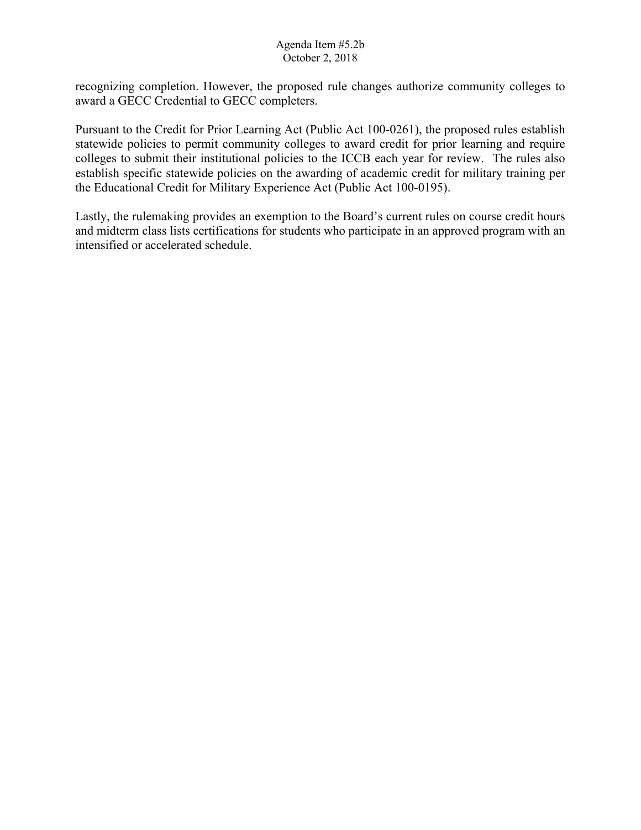recognizing completion. However, the proposed rule changes authorize community colleges to award a GECC Credential to GECC completers.

Pursuant to the Credit for Prior Learning Act (Public Act 100-0261), the proposed rules establish statewide policies to permit community colleges to award credit for prior learning and require colleges to submit their institutional policies to the ICCB each year for review. The rules also establish specific statewide policies on the awarding of academic credit for military training per the Educational Credit for Military Experience Act (Public Act 100-0195).

 intensified or accelerated schedule. Lastly, the rulemaking provides an exemption to the Board's current rules on course credit hours and midterm class lists certifications for students who participate in an approved program with an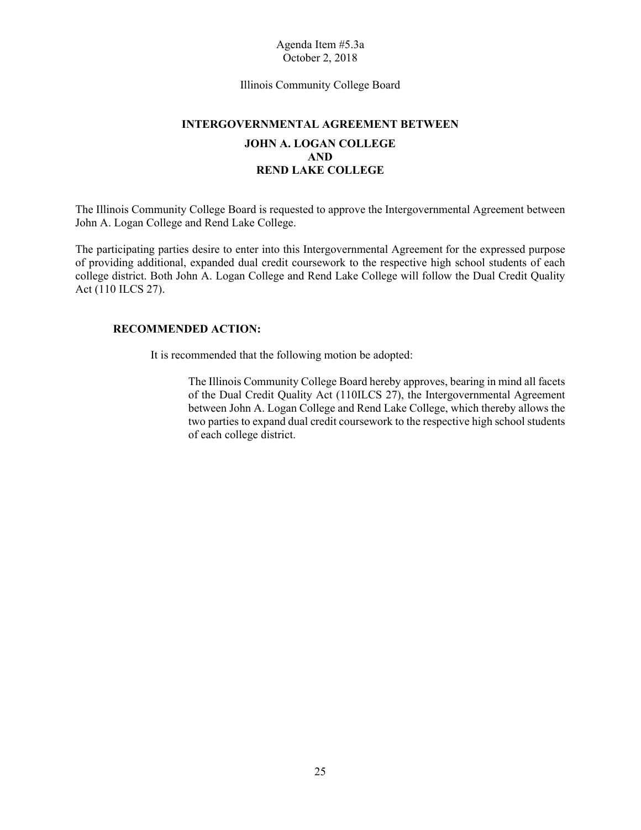Illinois Community College Board

# **INTERGOVERNMENTAL AGREEMENT BETWEEN JOHN A. LOGAN COLLEGE AND REND LAKE COLLEGE**

The Illinois Community College Board is requested to approve the Intergovernmental Agreement between John A. Logan College and Rend Lake College.

The participating parties desire to enter into this Intergovernmental Agreement for the expressed purpose of providing additional, expanded dual credit coursework to the respective high school students of each college district. Both John A. Logan College and Rend Lake College will follow the Dual Credit Quality Act (110 ILCS 27).

## **RECOMMENDED ACTION:**

It is recommended that the following motion be adopted:

 between John A. Logan College and Rend Lake College, which thereby allows the The Illinois Community College Board hereby approves, bearing in mind all facets of the Dual Credit Quality Act (110ILCS 27), the Intergovernmental Agreement two parties to expand dual credit coursework to the respective high school students of each college district.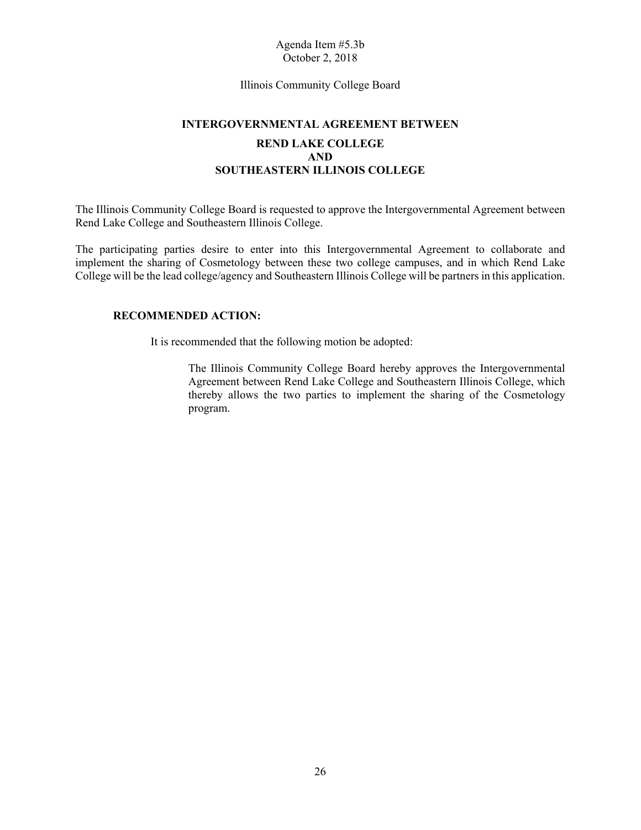#### Illinois Community College Board

# **INTERGOVERNMENTAL AGREEMENT BETWEEN REND LAKE COLLEGE AND SOUTHEASTERN ILLINOIS COLLEGE**

The Illinois Community College Board is requested to approve the Intergovernmental Agreement between Rend Lake College and Southeastern Illinois College.

The participating parties desire to enter into this Intergovernmental Agreement to collaborate and implement the sharing of Cosmetology between these two college campuses, and in which Rend Lake College will be the lead college/agency and Southeastern Illinois College will be partners in this application.

#### **RECOMMENDED ACTION:**

It is recommended that the following motion be adopted:

 The Illinois Community College Board hereby approves the Intergovernmental thereby allows the two parties to implement the sharing of the Cosmetology Agreement between Rend Lake College and Southeastern Illinois College, which program.